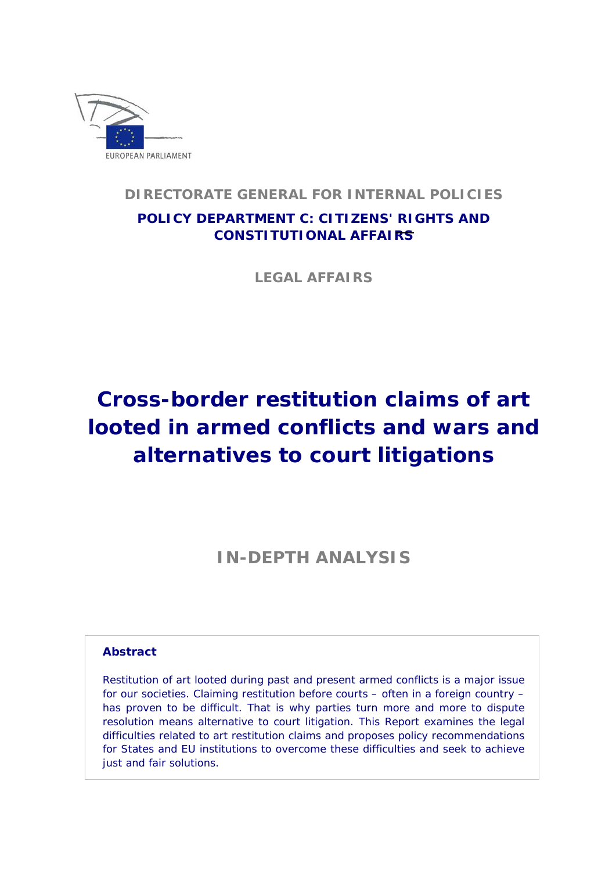

# **DIRECTORATE GENERAL FOR INTERNAL POLICIES**

# **POLICY DEPARTMENT C: CITIZENS' RIGHTS AND CONSTITUTIONAL AFFAIRS**

**LEGAL AFFAIRS** 

# **Cross-border restitution claims of art looted in armed conflicts and wars and alternatives to court litigations**

**IN-DEPTH ANALYSIS** 

### **Abstract**

Restitution of art looted during past and present armed conflicts is a major issue for our societies. Claiming restitution before courts – often in a foreign country – has proven to be difficult. That is why parties turn more and more to dispute resolution means alternative to court litigation. This Report examines the legal difficulties related to art restitution claims and proposes policy recommendations for States and EU institutions to overcome these difficulties and seek to achieve just and fair solutions.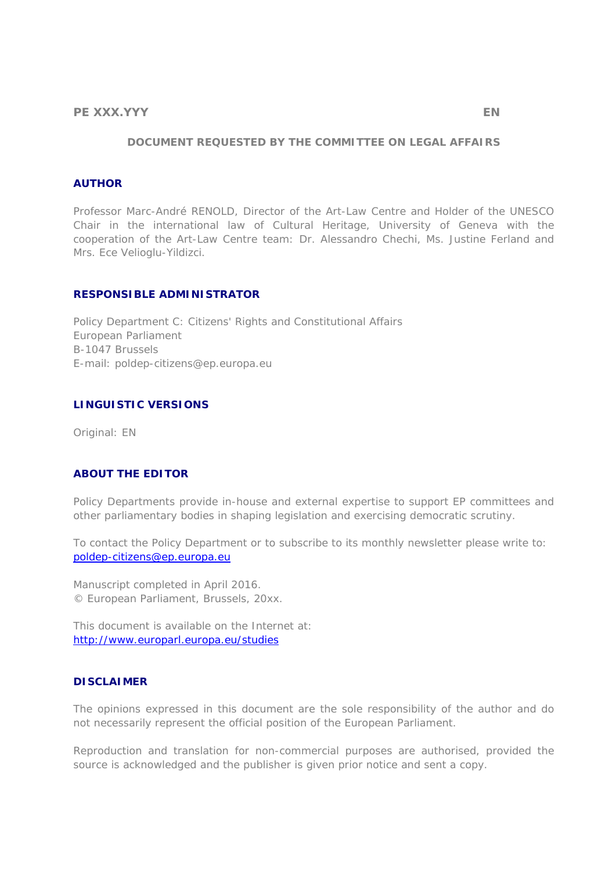#### **DOCUMENT REQUESTED BY THE COMMITTEE ON LEGAL AFFAIRS**

#### **AUTHOR**

Professor Marc-André RENOLD, Director of the Art-Law Centre and Holder of the UNESCO Chair in the international law of Cultural Heritage, University of Geneva with the cooperation of the Art-Law Centre team: Dr. Alessandro Chechi, Ms. Justine Ferland and Mrs. Ece Velioglu-Yildizci.

#### **RESPONSIBLE ADMINISTRATOR**

Policy Department C: Citizens' Rights and Constitutional Affairs European Parliament B-1047 Brussels E-mail: poldep-citizens@ep.europa.eu

#### **LINGUISTIC VERSIONS**

Original: EN

#### **ABOUT THE EDITOR**

Policy Departments provide in-house and external expertise to support EP committees and other parliamentary bodies in shaping legislation and exercising democratic scrutiny.

To contact the Policy Department or to subscribe to its monthly newsletter please write to: poldep-citizens@ep.europa.eu

Manuscript completed in April 2016. © European Parliament, Brussels, 20xx.

This document is available on the Internet at: http://www.europarl.europa.eu/studies

#### **DISCLAIMER**

The opinions expressed in this document are the sole responsibility of the author and do not necessarily represent the official position of the European Parliament.

Reproduction and translation for non-commercial purposes are authorised, provided the source is acknowledged and the publisher is given prior notice and sent a copy.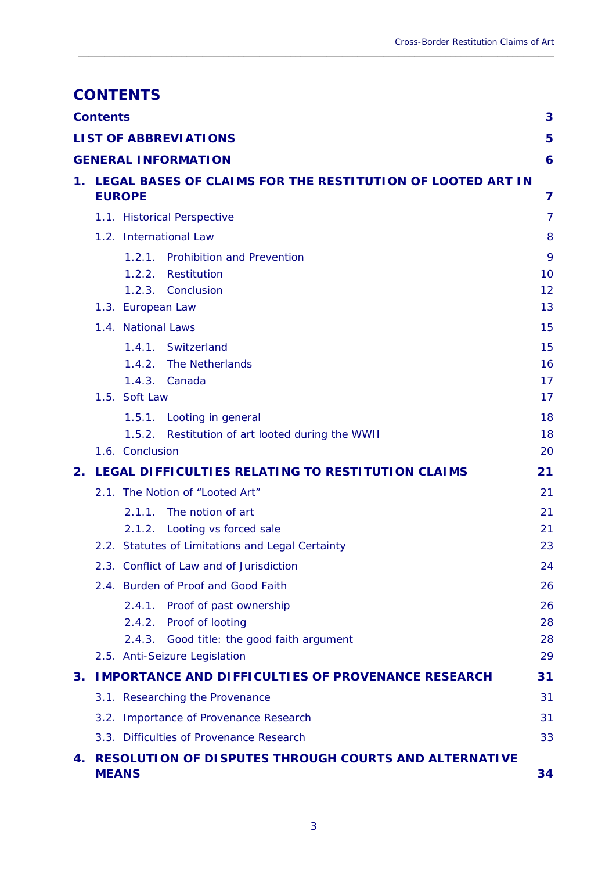# **CONTENTS**

| <b>Contents</b><br>3 |                                                                                         |          |  |
|----------------------|-----------------------------------------------------------------------------------------|----------|--|
|                      | <b>LIST OF ABBREVIATIONS</b>                                                            | 5        |  |
|                      | <b>GENERAL INFORMATION</b>                                                              | 6        |  |
| 1.                   | <b>LEGAL BASES OF CLAIMS FOR THE RESTITUTION OF LOOTED ART IN</b><br><b>EUROPE</b><br>7 |          |  |
|                      | 1.1. Historical Perspective                                                             | 7        |  |
|                      | 1.2. International Law                                                                  | 8        |  |
|                      | <b>Prohibition and Prevention</b><br>1.2.1.                                             | 9        |  |
|                      | Restitution<br>1.2.2.                                                                   | 10       |  |
|                      | 1.2.3. Conclusion                                                                       | 12       |  |
|                      | 1.3. European Law                                                                       | 13       |  |
|                      | 1.4. National Laws                                                                      | 15       |  |
|                      | Switzerland<br>1.4.1.                                                                   | 15       |  |
|                      | The Netherlands<br>1.4.2.                                                               | 16       |  |
|                      | 1.4.3.<br>Canada                                                                        | 17       |  |
|                      | 1.5. Soft Law                                                                           | 17       |  |
|                      | 1.5.1. Looting in general<br>Restitution of art looted during the WWII<br>1.5.2.        | 18<br>18 |  |
|                      | 1.6. Conclusion                                                                         | 20       |  |
| 2.                   | LEGAL DIFFICULTIES RELATING TO RESTITUTION CLAIMS                                       | 21       |  |
|                      | 2.1. The Notion of "Looted Art"                                                         | 21       |  |
|                      | The notion of art<br>2.1.1.                                                             | 21       |  |
|                      | 2.1.2.<br>Looting vs forced sale                                                        | 21       |  |
|                      | 2.2. Statutes of Limitations and Legal Certainty                                        | 23       |  |
|                      | 2.3. Conflict of Law and of Jurisdiction                                                | 24       |  |
|                      | 2.4. Burden of Proof and Good Faith                                                     | 26       |  |
|                      | Proof of past ownership<br>2.4.1.                                                       | 26       |  |
|                      | Proof of looting<br>2.4.2.                                                              | 28       |  |
|                      | Good title: the good faith argument<br>2.4.3.                                           | 28       |  |
|                      | 2.5. Anti-Seizure Legislation                                                           | 29       |  |
| 3.                   | <b>IMPORTANCE AND DIFFICULTIES OF PROVENANCE RESEARCH</b>                               | 31       |  |
|                      | 3.1. Researching the Provenance                                                         | 31       |  |
|                      | 3.2. Importance of Provenance Research                                                  | 31       |  |
|                      | 3.3. Difficulties of Provenance Research                                                | 33       |  |
| 4.                   | <b>RESOLUTION OF DISPUTES THROUGH COURTS AND ALTERNATIVE</b><br><b>MEANS</b>            | 34       |  |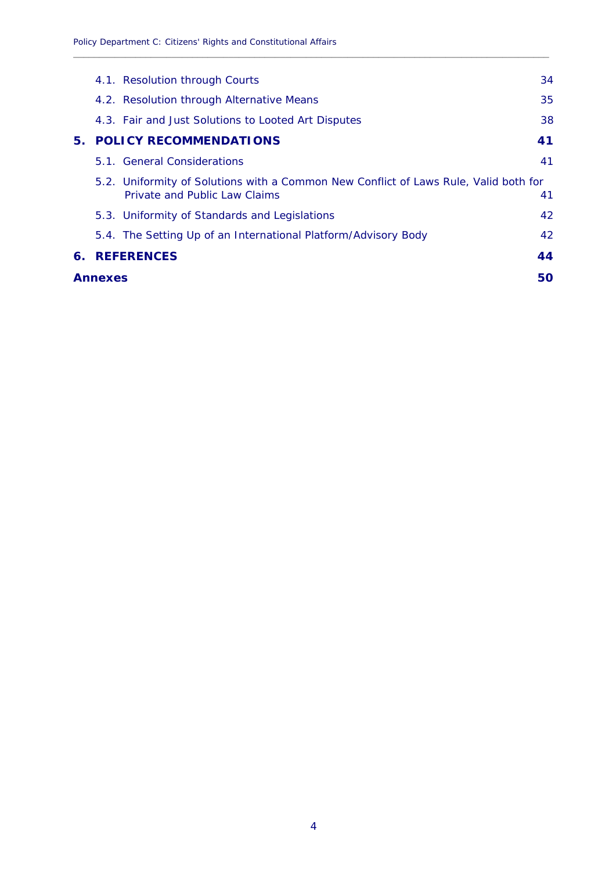|               | 4.1. Resolution through Courts                                                                                        | 34 |  |
|---------------|-----------------------------------------------------------------------------------------------------------------------|----|--|
|               | 4.2. Resolution through Alternative Means                                                                             | 35 |  |
|               | 4.3. Fair and Just Solutions to Looted Art Disputes                                                                   | 38 |  |
| 5.            | <b>POLICY RECOMMENDATIONS</b>                                                                                         | 41 |  |
|               | 5.1. General Considerations                                                                                           | 41 |  |
|               | 5.2. Uniformity of Solutions with a Common New Conflict of Laws Rule, Valid both for<br>Private and Public Law Claims | 41 |  |
|               | 5.3. Uniformity of Standards and Legislations                                                                         | 42 |  |
|               | 5.4. The Setting Up of an International Platform/Advisory Body                                                        | 42 |  |
| 6.            | <b>REFERENCES</b>                                                                                                     | 44 |  |
| 50<br>Annexes |                                                                                                                       |    |  |
|               |                                                                                                                       |    |  |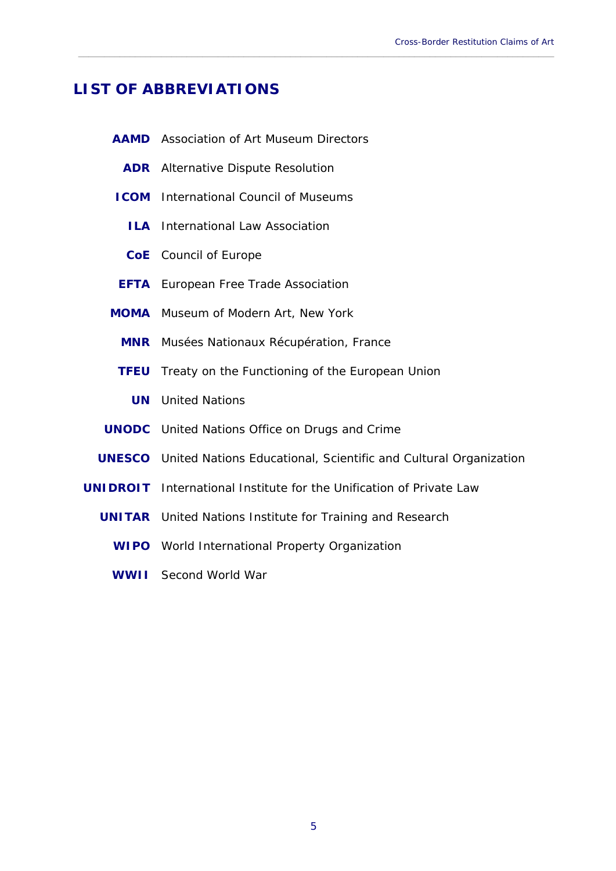# **LIST OF ABBREVIATIONS**

|             | <b>AAMD</b> Association of Art Museum Directors                                |
|-------------|--------------------------------------------------------------------------------|
|             | <b>ADR</b> Alternative Dispute Resolution                                      |
| <b>ICOM</b> | <b>International Council of Museums</b>                                        |
| <b>ILA</b>  | International Law Association                                                  |
|             | <b>CoE</b> Council of Europe                                                   |
|             | <b>EFTA</b> European Free Trade Association                                    |
| <b>MOMA</b> | Museum of Modern Art, New York                                                 |
|             | <b>MNR</b> Musées Nationaux Récupération, France                               |
| <b>TFEU</b> | Treaty on the Functioning of the European Union                                |
| <b>UN</b>   | <b>United Nations</b>                                                          |
|             | <b>UNODC</b> United Nations Office on Drugs and Crime                          |
|             | <b>UNESCO</b> United Nations Educational, Scientific and Cultural Organization |
|             | <b>UNIDROIT</b> International Institute for the Unification of Private Law     |
|             | <b>UNITAR</b> United Nations Institute for Training and Research               |
|             | <b>WIPO</b> World International Property Organization                          |
| <b>WWII</b> | Second World War                                                               |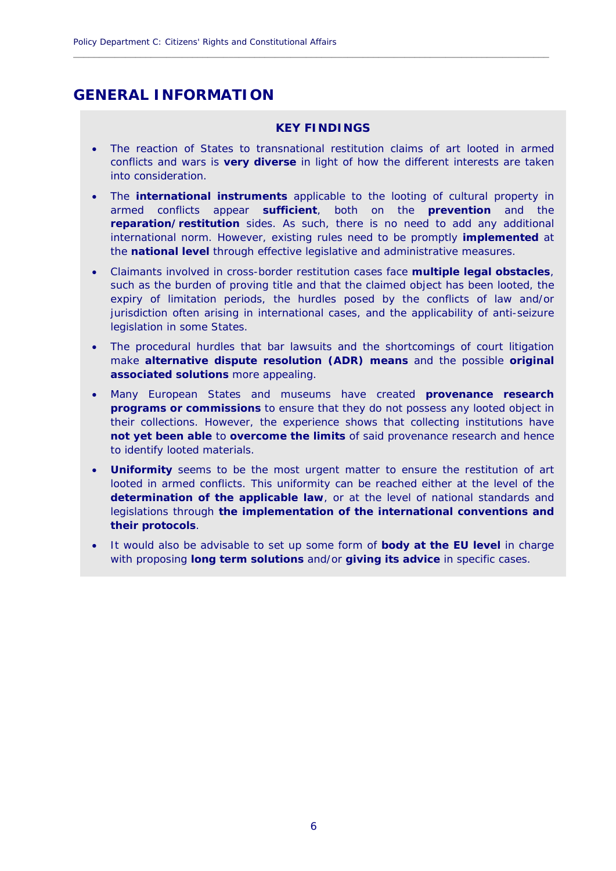# **GENERAL INFORMATION**

#### **KEY FINDINGS**

- The reaction of States to transnational restitution claims of art looted in armed conflicts and wars is **very diverse** in light of how the different interests are taken into consideration.
- The **international instruments** applicable to the looting of cultural property in armed conflicts appear **sufficient**, both on the **prevention** and the **reparation/restitution** sides. As such, there is no need to add any additional international norm. However, existing rules need to be promptly **implemented** at the **national level** through effective legislative and administrative measures.
- Claimants involved in cross-border restitution cases face **multiple legal obstacles**, such as the burden of proving title and that the claimed object has been looted, the expiry of limitation periods, the hurdles posed by the conflicts of law and/or jurisdiction often arising in international cases, and the applicability of anti-seizure legislation in some States.
- The procedural hurdles that bar lawsuits and the shortcomings of court litigation make **alternative dispute resolution (ADR) means** and the possible **original associated solutions** more appealing.
- Many European States and museums have created **provenance research programs or commissions** to ensure that they do not possess any looted object in their collections. However, the experience shows that collecting institutions have **not yet been able** to **overcome the limits** of said provenance research and hence to identify looted materials.
- **Uniformity** seems to be the most urgent matter to ensure the restitution of art looted in armed conflicts. This uniformity can be reached either at the level of the **determination of the applicable law**, or at the level of national standards and legislations through **the implementation of the international conventions and their protocols**.
- It would also be advisable to set up some form of **body at the EU level** in charge with proposing **long term solutions** and/or **giving its advice** in specific cases.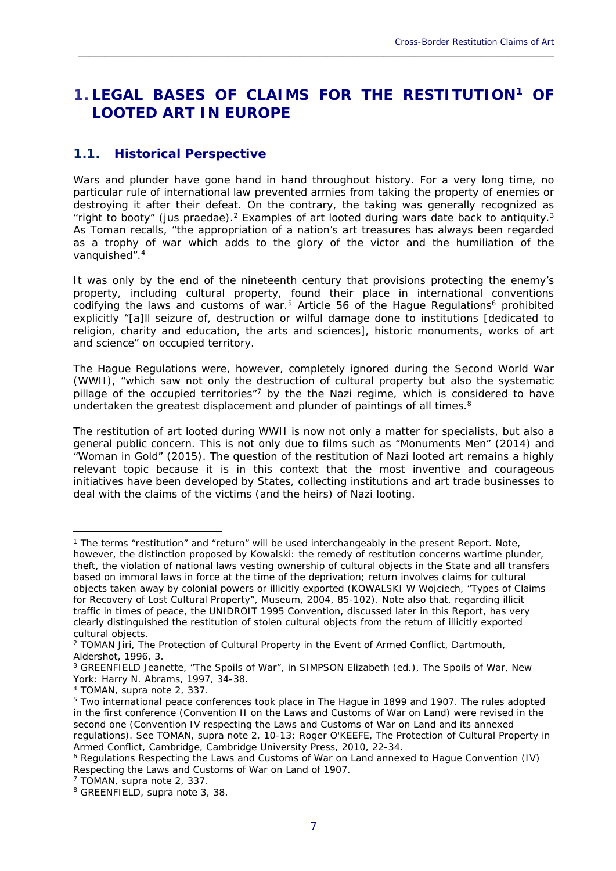# **1. LEGAL BASES OF CLAIMS FOR THE RESTITUTION1 OF LOOTED ART IN EUROPE**

\_\_\_\_\_\_\_\_\_\_\_\_\_\_\_\_\_\_\_\_\_\_\_\_\_\_\_\_\_\_\_\_\_\_\_\_\_\_\_\_\_\_\_\_\_\_\_\_\_\_\_\_\_\_\_\_\_\_\_\_\_\_\_\_\_\_\_\_\_\_\_\_\_\_\_\_\_\_\_\_\_\_\_\_\_\_\_\_\_\_\_\_

# **1.1. Historical Perspective**

Wars and plunder have gone hand in hand throughout history. For a very long time, no particular rule of international law prevented armies from taking the property of enemies or destroying it after their defeat. On the contrary, the taking was generally recognized as "right to booty" (*jus praedae*).2 Examples of art looted during wars date back to antiquity.3 As Toman recalls, "the appropriation of a nation's art treasures has always been regarded as a trophy of war which adds to the glory of the victor and the humiliation of the vanquished".4

It was only by the end of the nineteenth century that provisions protecting the enemy's property, including cultural property, found their place in international conventions codifying the laws and customs of war.<sup>5</sup> Article 56 of the Hague Regulations<sup>6</sup> prohibited explicitly "[a]ll seizure of, destruction or wilful damage done to institutions [dedicated to religion, charity and education, the arts and sciences], historic monuments, works of art and science" on occupied territory.

The Hague Regulations were, however, completely ignored during the Second World War (WWII), "which saw not only the destruction of cultural property but also the systematic pillage of the occupied territories"<sup>7</sup> by the the Nazi regime, which is considered to have undertaken the greatest displacement and plunder of paintings of all times. $8$ 

The restitution of art looted during WWII is now not only a matter for specialists, but also a general public concern. This is not only due to films such as "Monuments Men" (2014) and "Woman in Gold" (2015). The question of the restitution of Nazi looted art remains a highly relevant topic because it is in this context that the most inventive and courageous initiatives have been developed by States, collecting institutions and art trade businesses to deal with the claims of the victims (and the heirs) of Nazi looting.

<u>.</u>

<sup>&</sup>lt;sup>1</sup> The terms "restitution" and "return" will be used interchangeably in the present Report. Note, however, the distinction proposed by Kowalski: the remedy of restitution concerns wartime plunder, theft, the violation of national laws vesting ownership of cultural objects in the State and all transfers based on immoral laws in force at the time of the deprivation; return involves claims for cultural objects taken away by colonial powers or illicitly exported (KOWALSKI W Wojciech, "Types of Claims for Recovery of Lost Cultural Property", Museum, 2004, 85-102). Note also that, regarding illicit traffic in times of peace, the UNIDROIT 1995 Convention, discussed later in this Report, has very clearly distinguished the *restitution* of stolen cultural objects from the *return* of illicitly exported cultural objects.

<sup>2</sup> TOMAN Jiri, *The Protection of Cultural Property in the Event of Armed Conflict*, Dartmouth, Aldershot, 1996, 3.

<sup>3</sup> GREENFIELD Jeanette, "The Spoils of War", in SIMPSON Elizabeth (ed.), *The Spoils of War*, New York: Harry N. Abrams, 1997, 34-38.

<sup>4</sup> TOMAN, supra note 2, 337.

<sup>5</sup> Two international peace conferences took place in The Hague in 1899 and 1907. The rules adopted in the first conference (Convention II on the Laws and Customs of War on Land) were revised in the second one (Convention IV respecting the Laws and Customs of War on Land and its annexed regulations). See TOMAN, supra note 2, 10-13; Roger O'KEEFE, *The Protection of Cultural Property in Armed Conflict*, Cambridge, Cambridge University Press, 2010, 22-34.<br><sup>6</sup> Regulations Respecting the Laws and Customs of War on Land annexed to Hague Convention (IV)

Respecting the Laws and Customs of War on Land of 1907.

<sup>7</sup> TOMAN, supra note 2, 337.

<sup>8</sup> GREENFIELD, supra note 3, 38.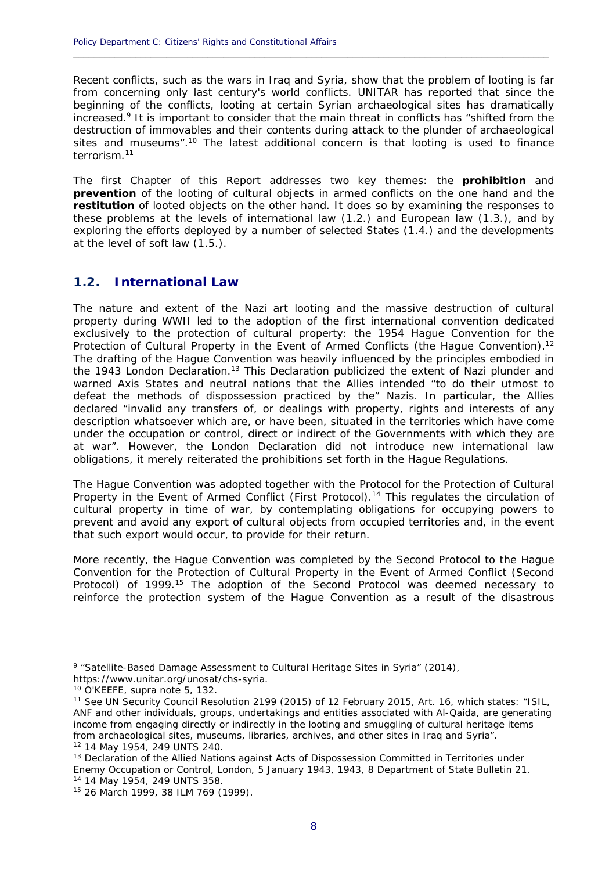Recent conflicts, such as the wars in Iraq and Syria, show that the problem of looting is far from concerning only last century's world conflicts. UNITAR has reported that since the beginning of the conflicts, looting at certain Syrian archaeological sites has dramatically increased.9 It is important to consider that the main threat in conflicts has "shifted from the destruction of immovables and their contents during attack to the plunder of archaeological sites and museums".10 The latest additional concern is that looting is used to finance terrorism<sup>11</sup>

**\_\_\_\_\_\_\_\_\_\_\_\_\_\_\_\_\_\_\_\_\_\_\_\_\_\_\_\_\_\_\_\_\_\_\_\_\_\_\_\_\_\_\_\_\_\_\_\_\_\_\_\_\_\_\_\_\_\_\_\_\_\_\_\_\_\_\_\_\_\_\_\_\_\_\_\_\_\_\_\_\_\_\_\_\_\_\_\_\_\_\_\_**

The first Chapter of this Report addresses two key themes: the **prohibition** and **prevention** of the looting of cultural objects in armed conflicts on the one hand and the **restitution** of looted objects on the other hand. It does so by examining the responses to these problems at the levels of international law (1.2.) and European law (1.3.), and by exploring the efforts deployed by a number of selected States (1.4.) and the developments at the level of soft law (1.5.).

### **1.2. International Law**

The nature and extent of the Nazi art looting and the massive destruction of cultural property during WWII led to the adoption of the first international convention dedicated exclusively to the protection of cultural property: the 1954 Hague Convention for the Protection of Cultural Property in the Event of Armed Conflicts (the Hague Convention).<sup>12</sup> The drafting of the Hague Convention was heavily influenced by the principles embodied in the 1943 London Declaration.<sup>13</sup> This Declaration publicized the extent of Nazi plunder and warned Axis States and neutral nations that the Allies intended "to do their utmost to defeat the methods of dispossession practiced by the" Nazis. In particular, the Allies declared "invalid any transfers of, or dealings with property, rights and interests of any description whatsoever which are, or have been, situated in the territories which have come under the occupation or control, direct or indirect of the Governments with which they are at war". However, the London Declaration did not introduce new international law obligations, it merely reiterated the prohibitions set forth in the Hague Regulations.

The Hague Convention was adopted together with the Protocol for the Protection of Cultural Property in the Event of Armed Conflict (First Protocol).14 This regulates the circulation of cultural property in time of war, by contemplating obligations for occupying powers to prevent and avoid any export of cultural objects from occupied territories and, in the event that such export would occur, to provide for their return.

More recently, the Hague Convention was completed by the Second Protocol to the Hague Convention for the Protection of Cultural Property in the Event of Armed Conflict (Second Protocol) of 1999.<sup>15</sup> The adoption of the Second Protocol was deemed necessary to reinforce the protection system of the Hague Convention as a result of the disastrous

<sup>9 &</sup>quot;Satellite-Based Damage Assessment to Cultural Heritage Sites in Syria" (2014), https://www.unitar.org/unosat/chs-syria.

<sup>10</sup> O'KEEFE, supra note 5, 132.

<sup>11</sup> See UN Security Council Resolution 2199 (2015) of 12 February 2015, Art. 16, which states: "ISIL, ANF and other individuals, groups, undertakings and entities associated with Al-Qaida, are generating income from engaging directly or indirectly in the looting and smuggling of cultural heritage items from archaeological sites, museums, libraries, archives, and other sites in Iraq and Syria". 12 14 May 1954, 249 UNTS 240.

<sup>&</sup>lt;sup>13</sup> Declaration of the Allied Nations against Acts of Dispossession Committed in Territories under Enemy Occupation or Control, London, 5 January 1943, 1943, 8 Department of State Bulletin 21. 14 14 May 1954, 249 UNTS 358.

<sup>15 26</sup> March 1999, 38 ILM 769 (1999).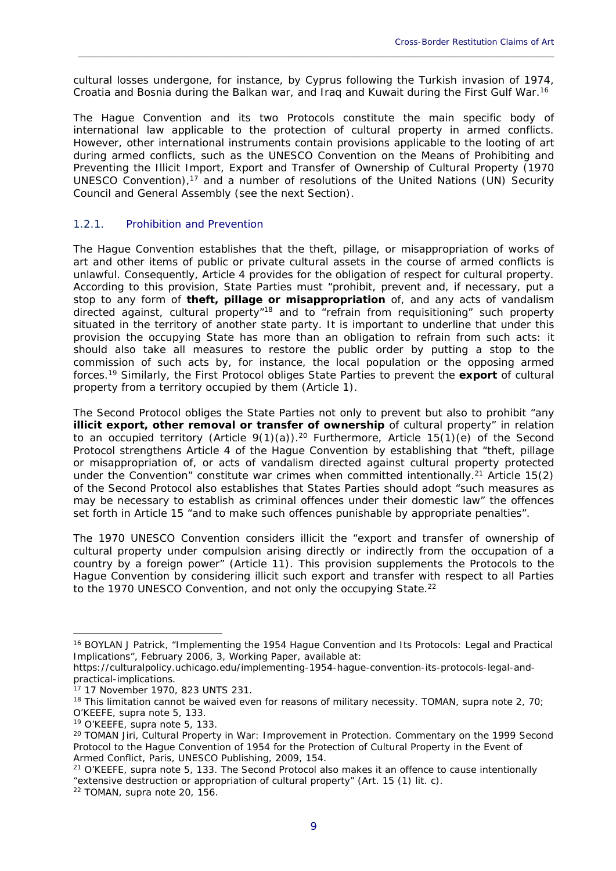cultural losses undergone, for instance, by Cyprus following the Turkish invasion of 1974, Croatia and Bosnia during the Balkan war, and Iraq and Kuwait during the First Gulf War.16

\_\_\_\_\_\_\_\_\_\_\_\_\_\_\_\_\_\_\_\_\_\_\_\_\_\_\_\_\_\_\_\_\_\_\_\_\_\_\_\_\_\_\_\_\_\_\_\_\_\_\_\_\_\_\_\_\_\_\_\_\_\_\_\_\_\_\_\_\_\_\_\_\_\_\_\_\_\_\_\_\_\_\_\_\_\_\_\_\_\_\_\_

The Hague Convention and its two Protocols constitute the main specific body of international law applicable to the protection of cultural property in armed conflicts. However, other international instruments contain provisions applicable to the looting of art during armed conflicts, such as the UNESCO Convention on the Means of Prohibiting and Preventing the Illicit Import, Export and Transfer of Ownership of Cultural Property (1970 UNESCO Convention),17 and a number of resolutions of the United Nations (UN) Security Council and General Assembly (see the next Section).

#### 1.2.1. Prohibition and Prevention

The Hague Convention establishes that the theft, pillage, or misappropriation of works of art and other items of public or private cultural assets in the course of armed conflicts is unlawful. Consequently, Article 4 provides for the obligation of respect for cultural property. According to this provision, State Parties must "prohibit, prevent and, if necessary, put a stop to any form of **theft, pillage or misappropriation** of, and any acts of vandalism directed against, cultural property"18 and to "refrain from requisitioning" such property situated in the territory of another state party. It is important to underline that under this provision the occupying State has more than an obligation to refrain from such acts: it should also take all measures to restore the public order by putting a stop to the commission of such acts by, for instance, the local population or the opposing armed forces.19 Similarly, the First Protocol obliges State Parties to prevent the **export** of cultural property from a territory occupied by them (Article 1).

The Second Protocol obliges the State Parties not only to prevent but also to prohibit "any **illicit export, other removal or transfer of ownership** of cultural property" in relation to an occupied territory (Article  $9(1)(a)$ ).<sup>20</sup> Furthermore, Article 15(1)(e) of the Second Protocol strengthens Article 4 of the Hague Convention by establishing that "theft, pillage or misappropriation of, or acts of vandalism directed against cultural property protected under the Convention" constitute war crimes when committed intentionally.<sup>21</sup> Article 15(2) of the Second Protocol also establishes that States Parties should adopt "such measures as may be necessary to establish as criminal offences under their domestic law" the offences set forth in Article 15 "and to make such offences punishable by appropriate penalties".

The 1970 UNESCO Convention considers illicit the "export and transfer of ownership of cultural property under compulsion arising directly or indirectly from the occupation of a country by a foreign power" (Article 11). This provision supplements the Protocols to the Hague Convention by considering illicit such export and transfer with respect to all Parties to the 1970 UNESCO Convention, and not only the occupying State.<sup>22</sup>

<sup>16</sup> BOYLAN J Patrick, "Implementing the 1954 Hague Convention and Its Protocols: Legal and Practical Implications", February 2006, 3, Working Paper, available at:

https://culturalpolicy.uchicago.edu/implementing-1954-hague-convention-its-protocols-legal-andpractical-implications.

<sup>17 17</sup> November 1970, 823 UNTS 231.

<sup>&</sup>lt;sup>18</sup> This limitation cannot be waived even for reasons of military necessity. TOMAN, supra note 2, 70; O'KEEFE, supra note 5, 133.

<sup>19</sup> O'KEEFE, supra note 5, 133.

<sup>20</sup> TOMAN Jiri, *Cultural Property in War: Improvement in Protection. Commentary on the 1999 Second Protocol to the Hague Convention of 1954 for the Protection of Cultural Property in the Event of Armed Conflict*, Paris, UNESCO Publishing, 2009, 154.<br><sup>21</sup> O'KEEFE, supra note 5, 133. The Second Protocol also makes it an offence to cause intentionally

<sup>&</sup>quot;extensive destruction or appropriation of cultural property" (Art. 15 (1) lit. c).

<sup>22</sup> TOMAN, supra note 20, 156.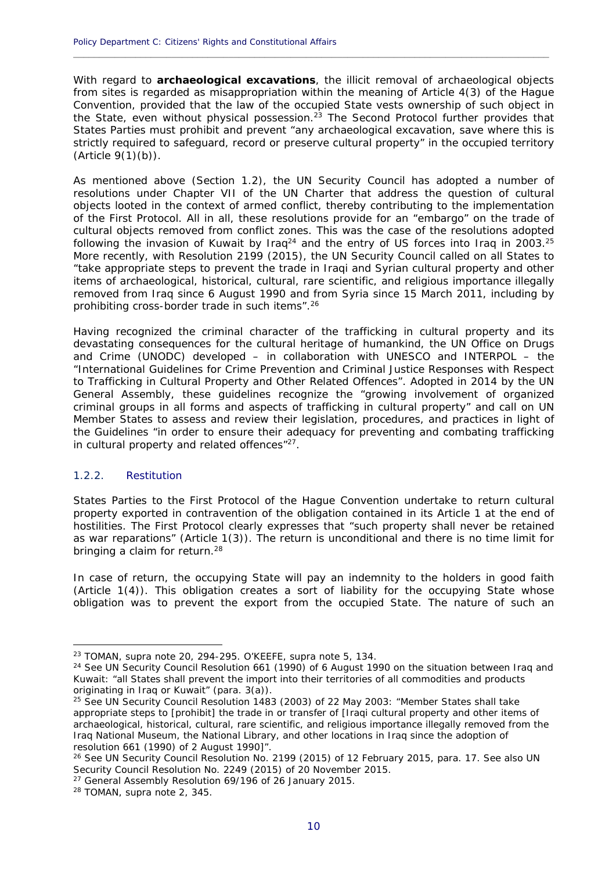With regard to **archaeological excavations**, the illicit removal of archaeological objects from sites is regarded as misappropriation within the meaning of Article 4(3) of the Hague Convention, provided that the law of the occupied State vests ownership of such object in the State, even without physical possession.<sup>23</sup> The Second Protocol further provides that States Parties must prohibit and prevent "any archaeological excavation, save where this is strictly required to safeguard, record or preserve cultural property" in the occupied territory (Article 9(1)(b)).

**\_\_\_\_\_\_\_\_\_\_\_\_\_\_\_\_\_\_\_\_\_\_\_\_\_\_\_\_\_\_\_\_\_\_\_\_\_\_\_\_\_\_\_\_\_\_\_\_\_\_\_\_\_\_\_\_\_\_\_\_\_\_\_\_\_\_\_\_\_\_\_\_\_\_\_\_\_\_\_\_\_\_\_\_\_\_\_\_\_\_\_\_**

As mentioned above (Section 1.2), the UN Security Council has adopted a number of resolutions under Chapter VII of the UN Charter that address the question of cultural objects looted in the context of armed conflict, thereby contributing to the implementation of the First Protocol. All in all, these resolutions provide for an "embargo" on the trade of cultural objects removed from conflict zones. This was the case of the resolutions adopted following the invasion of Kuwait by Iraq<sup>24</sup> and the entry of US forces into Iraq in 2003.<sup>25</sup> More recently, with Resolution 2199 (2015), the UN Security Council called on all States to "take appropriate steps to prevent the trade in Iraqi and Syrian cultural property and other items of archaeological, historical, cultural, rare scientific, and religious importance illegally removed from Iraq since 6 August 1990 and from Syria since 15 March 2011, including by prohibiting cross-border trade in such items".26

Having recognized the criminal character of the trafficking in cultural property and its devastating consequences for the cultural heritage of humankind, the UN Office on Drugs and Crime (UNODC) developed – in collaboration with UNESCO and INTERPOL – the "International Guidelines for Crime Prevention and Criminal Justice Responses with Respect to Trafficking in Cultural Property and Other Related Offences". Adopted in 2014 by the UN General Assembly, these guidelines recognize the "growing involvement of organized criminal groups in all forms and aspects of trafficking in cultural property" and call on UN Member States to assess and review their legislation, procedures, and practices in light of the Guidelines "in order to ensure their adequacy for preventing and combating trafficking in cultural property and related offences"27.

#### 1.2.2. Restitution

<u>.</u>

States Parties to the First Protocol of the Hague Convention undertake to return cultural property exported in contravention of the obligation contained in its Article 1 at the end of hostilities. The First Protocol clearly expresses that "such property shall never be retained as war reparations" (Article 1(3)). The return is unconditional and there is no time limit for bringing a claim for return.<sup>28</sup>

In case of return, the occupying State will pay an indemnity to the holders in good faith (Article 1(4)). This obligation creates a sort of liability for the occupying State whose obligation was to prevent the export from the occupied State. The nature of such an

<sup>23</sup> TOMAN, supra note 20, 294-295. O'KEEFE, supra note 5, 134.

<sup>&</sup>lt;sup>24</sup> See UN Security Council Resolution 661 (1990) of 6 August 1990 on the situation between Iraq and Kuwait: "all States shall prevent the import into their territories of all commodities and products originating in Iraq or Kuwait" (para. 3(a)).

<sup>25</sup> See UN Security Council Resolution 1483 (2003) of 22 May 2003: "Member States shall take appropriate steps to [prohibit] the trade in or transfer of [Iraqi cultural property and other items of archaeological, historical, cultural, rare scientific, and religious importance illegally removed from the Iraq National Museum, the National Library, and other locations in Iraq since the adoption of resolution 661 (1990) of 2 August 1990]".

<sup>&</sup>lt;sup>26</sup> See UN Security Council Resolution No. 2199 (2015) of 12 February 2015, para. 17. See also UN Security Council Resolution No. 2249 (2015) of 20 November 2015.

<sup>&</sup>lt;sup>27</sup> General Assembly Resolution 69/196 of 26 January 2015.

<sup>28</sup> TOMAN, supra note 2, 345.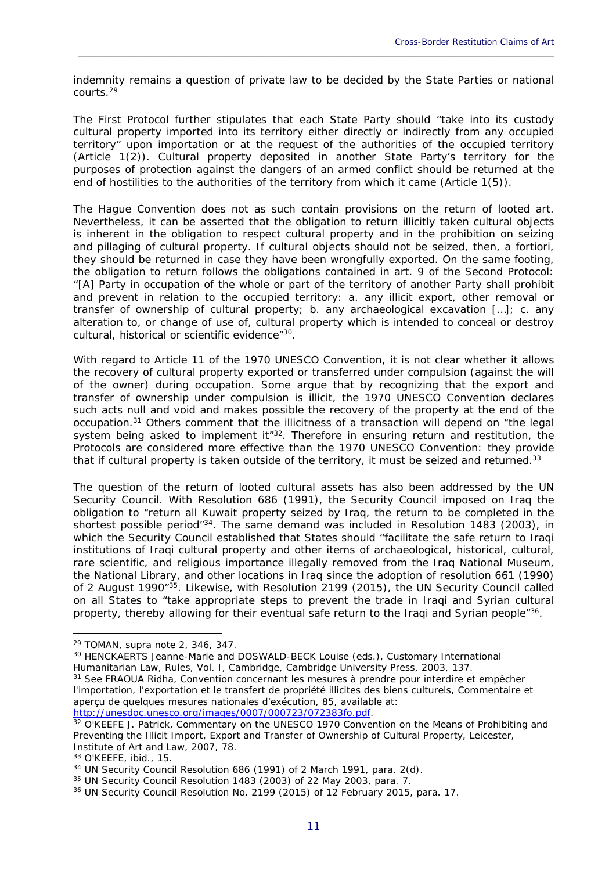indemnity remains a question of private law to be decided by the State Parties or national courts.29

\_\_\_\_\_\_\_\_\_\_\_\_\_\_\_\_\_\_\_\_\_\_\_\_\_\_\_\_\_\_\_\_\_\_\_\_\_\_\_\_\_\_\_\_\_\_\_\_\_\_\_\_\_\_\_\_\_\_\_\_\_\_\_\_\_\_\_\_\_\_\_\_\_\_\_\_\_\_\_\_\_\_\_\_\_\_\_\_\_\_\_\_

The First Protocol further stipulates that each State Party should "take into its custody cultural property imported into its territory either directly or indirectly from any occupied territory" upon importation or at the request of the authorities of the occupied territory (Article 1(2)). Cultural property deposited in another State Party's territory for the purposes of protection against the dangers of an armed conflict should be returned at the end of hostilities to the authorities of the territory from which it came (Article 1(5)).

The Hague Convention does not as such contain provisions on the return of looted art. Nevertheless, it can be asserted that the obligation to return illicitly taken cultural objects is inherent in the obligation to respect cultural property and in the prohibition on seizing and pillaging of cultural property. If cultural objects should not be seized, then, *a fortiori*, they should be returned in case they have been wrongfully exported. On the same footing, the obligation to return follows the obligations contained in art. 9 of the Second Protocol: "[A] Party in occupation of the whole or part of the territory of another Party shall prohibit and prevent in relation to the occupied territory: a. any illicit export, other removal or transfer of ownership of cultural property; b. any archaeological excavation […]; c. any alteration to, or change of use of, cultural property which is intended to conceal or destroy cultural, historical or scientific evidence"30.

With regard to Article 11 of the 1970 UNESCO Convention, it is not clear whether it allows the recovery of cultural property exported or transferred under compulsion (against the will of the owner) during occupation. Some argue that by recognizing that the export and transfer of ownership under compulsion is illicit, the 1970 UNESCO Convention declares such acts null and void and makes possible the recovery of the property at the end of the occupation.31 Others comment that the illicitness of a transaction will depend on "the legal system being asked to implement it" $32$ . Therefore in ensuring return and restitution, the Protocols are considered more effective than the 1970 UNESCO Convention: they provide that if cultural property is taken outside of the territory, it must be seized and returned.<sup>33</sup>

The question of the return of looted cultural assets has also been addressed by the UN Security Council. With Resolution 686 (1991), the Security Council imposed on Iraq the obligation to "return all Kuwait property seized by Iraq, the return to be completed in the shortest possible period<sup>"34</sup>. The same demand was included in Resolution 1483 (2003), in which the Security Council established that States should "facilitate the safe return to Iraqi institutions of Iraqi cultural property and other items of archaeological, historical, cultural, rare scientific, and religious importance illegally removed from the Iraq National Museum, the National Library, and other locations in Iraq since the adoption of resolution 661 (1990) of 2 August 1990"<sup>35</sup>. Likewise, with Resolution 2199 (2015), the UN Security Council called on all States to "take appropriate steps to prevent the trade in Iraqi and Syrian cultural property, thereby allowing for their eventual safe return to the Iraqi and Syrian people<sup>"36</sup>.

<sup>29</sup> TOMAN, supra note 2, 346, 347.

<sup>30</sup> HENCKAERTS Jeanne-Marie and DOSWALD-BECK Louise (eds.), *Customary International Humanitarian Law, Rules*, Vol. I, Cambridge, Cambridge University Press, 2003, 137.<br><sup>31</sup> See FRAOUA Ridha, *Convention concernant les mesures à prendre pour interdire et empêcher* 

*l'importation, l'exportation et le transfert de propriété illicites des biens culturels, Commentaire et aperçu de quelques mesures nationales d'exécution*, 85, available at:

http://unesdoc.unesco.org/images/0007/000723/072383fo.pdf. 32 O'KEEFE J. Patrick, *Commentary on the UNESCO 1970 Convention on the Means of Prohibiting and Preventing the Illicit Import, Export and Transfer of Ownership of Cultural Property*, Leicester, Institute of Art and Law, 2007, 78.

<sup>33</sup> O'KEEFE, ibid., 15.

<sup>34</sup> UN Security Council Resolution 686 (1991) of 2 March 1991, para. 2(d).

<sup>35</sup> UN Security Council Resolution 1483 (2003) of 22 May 2003, para. 7.

<sup>&</sup>lt;sup>36</sup> UN Security Council Resolution No. 2199 (2015) of 12 February 2015, para. 17.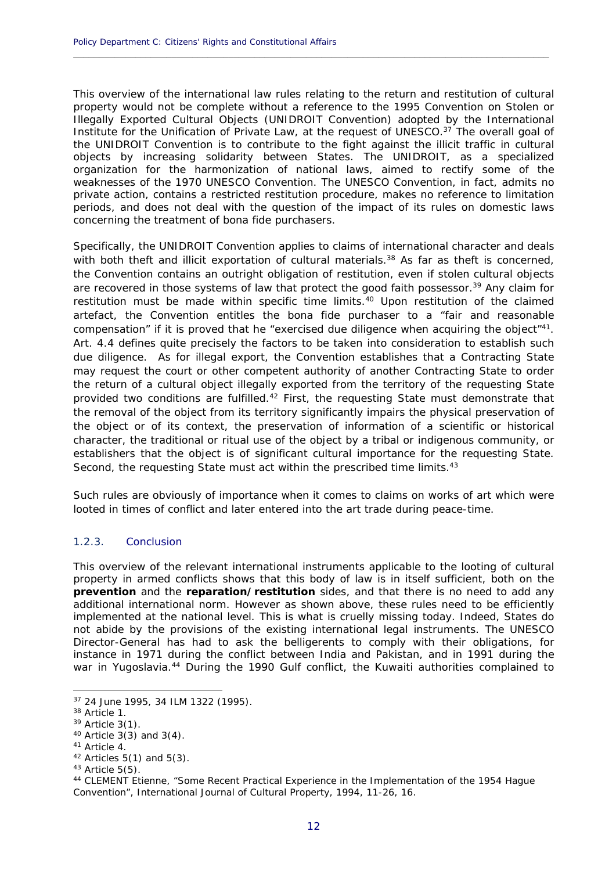This overview of the international law rules relating to the return and restitution of cultural property would not be complete without a reference to the 1995 Convention on Stolen or Illegally Exported Cultural Objects (UNIDROIT Convention) adopted by the International Institute for the Unification of Private Law, at the request of UNESCO.37 The overall goal of the UNIDROIT Convention is to contribute to the fight against the illicit traffic in cultural objects by increasing solidarity between States. The UNIDROIT, as a specialized organization for the harmonization of national laws, aimed to rectify some of the weaknesses of the 1970 UNESCO Convention. The UNESCO Convention, in fact, admits no private action, contains a restricted restitution procedure, makes no reference to limitation periods, and does not deal with the question of the impact of its rules on domestic laws concerning the treatment of bona fide purchasers.

**\_\_\_\_\_\_\_\_\_\_\_\_\_\_\_\_\_\_\_\_\_\_\_\_\_\_\_\_\_\_\_\_\_\_\_\_\_\_\_\_\_\_\_\_\_\_\_\_\_\_\_\_\_\_\_\_\_\_\_\_\_\_\_\_\_\_\_\_\_\_\_\_\_\_\_\_\_\_\_\_\_\_\_\_\_\_\_\_\_\_\_\_**

Specifically, the UNIDROIT Convention applies to claims of international character and deals with both theft and illicit exportation of cultural materials.<sup>38</sup> As far as theft is concerned, the Convention contains an outright obligation of restitution, even if stolen cultural objects are recovered in those systems of law that protect the good faith possessor.<sup>39</sup> Any claim for restitution must be made within specific time limits.<sup>40</sup> Upon restitution of the claimed artefact, the Convention entitles the bona fide purchaser to a "fair and reasonable compensation" if it is proved that he "exercised due diligence when acquiring the object"41. Art. 4.4 defines quite precisely the factors to be taken into consideration to establish such due diligence. As for illegal export, the Convention establishes that a Contracting State may request the court or other competent authority of another Contracting State to order the return of a cultural object illegally exported from the territory of the requesting State provided two conditions are fulfilled.<sup>42</sup> First, the requesting State must demonstrate that the removal of the object from its territory significantly impairs the physical preservation of the object or of its context, the preservation of information of a scientific or historical character, the traditional or ritual use of the object by a tribal or indigenous community, or establishers that the object is of significant cultural importance for the requesting State. Second, the requesting State must act within the prescribed time limits.<sup>43</sup>

Such rules are obviously of importance when it comes to claims on works of art which were looted in times of conflict and later entered into the art trade during peace-time.

#### 1.2.3. Conclusion

This overview of the relevant international instruments applicable to the looting of cultural property in armed conflicts shows that this body of law is in itself sufficient, both on the **prevention** and the **reparation/restitution** sides, and that there is no need to add any additional international norm. However as shown above, these rules need to be efficiently implemented at the national level. This is what is cruelly missing today. Indeed, States do not abide by the provisions of the existing international legal instruments. The UNESCO Director-General has had to ask the belligerents to comply with their obligations, for instance in 1971 during the conflict between India and Pakistan, and in 1991 during the war in Yugoslavia.<sup>44</sup> During the 1990 Gulf conflict, the Kuwaiti authorities complained to

<sup>37 24</sup> June 1995, 34 ILM 1322 (1995).

<sup>38</sup> Article 1.

<sup>39</sup> Article 3(1).

<sup>40</sup> Article 3(3) and 3(4).

<sup>41</sup> Article 4.

<sup>42</sup> Articles 5(1) and 5(3).

 $43$  Article 5(5).

<sup>44</sup> CLEMENT Etienne, "Some Recent Practical Experience in the Implementation of the 1954 Hague Convention", International Journal of Cultural Property, 1994, 11-26, 16.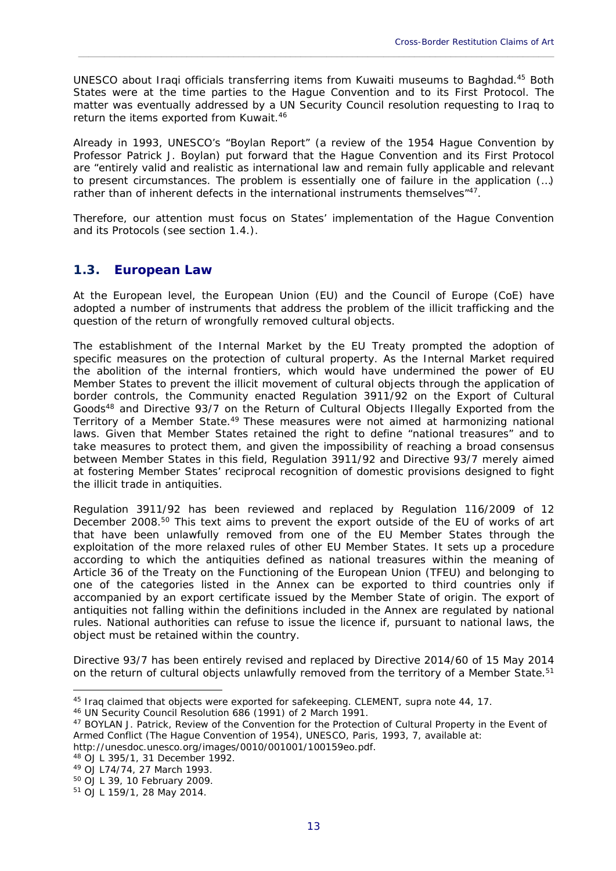UNESCO about Iraqi officials transferring items from Kuwaiti museums to Baghdad.45 Both States were at the time parties to the Hague Convention and to its First Protocol. The matter was eventually addressed by a UN Security Council resolution requesting to Iraq to return the items exported from Kuwait.<sup>46</sup>

\_\_\_\_\_\_\_\_\_\_\_\_\_\_\_\_\_\_\_\_\_\_\_\_\_\_\_\_\_\_\_\_\_\_\_\_\_\_\_\_\_\_\_\_\_\_\_\_\_\_\_\_\_\_\_\_\_\_\_\_\_\_\_\_\_\_\_\_\_\_\_\_\_\_\_\_\_\_\_\_\_\_\_\_\_\_\_\_\_\_\_\_

Already in 1993, UNESCO's "Boylan Report" (a review of the 1954 Hague Convention by Professor Patrick J. Boylan) put forward that the Hague Convention and its First Protocol are "entirely valid and realistic as international law and remain fully applicable and relevant to present circumstances. The problem is essentially one of failure in the application (…) rather than of inherent defects in the international instruments themselves"<sup>47</sup>.

Therefore, our attention must focus on States' implementation of the Hague Convention and its Protocols (see section 1.4.).

### **1.3. European Law**

At the European level, the European Union (EU) and the Council of Europe (CoE) have adopted a number of instruments that address the problem of the illicit trafficking and the question of the return of wrongfully removed cultural objects.

The establishment of the Internal Market by the EU Treaty prompted the adoption of specific measures on the protection of cultural property. As the Internal Market required the abolition of the internal frontiers, which would have undermined the power of EU Member States to prevent the illicit movement of cultural objects through the application of border controls, the Community enacted Regulation 3911/92 on the Export of Cultural Goods48 and Directive 93/7 on the Return of Cultural Objects Illegally Exported from the Territory of a Member State.49 These measures were not aimed at harmonizing national laws. Given that Member States retained the right to define "national treasures" and to take measures to protect them, and given the impossibility of reaching a broad consensus between Member States in this field, Regulation 3911/92 and Directive 93/7 merely aimed at fostering Member States' reciprocal recognition of domestic provisions designed to fight the illicit trade in antiquities.

Regulation 3911/92 has been reviewed and replaced by Regulation 116/2009 of 12 December 2008.50 This text aims to prevent the export outside of the EU of works of art that have been unlawfully removed from one of the EU Member States through the exploitation of the more relaxed rules of other EU Member States. It sets up a procedure according to which the antiquities defined as national treasures within the meaning of Article 36 of the Treaty on the Functioning of the European Union (TFEU) and belonging to one of the categories listed in the Annex can be exported to third countries only if accompanied by an export certificate issued by the Member State of origin. The export of antiquities not falling within the definitions included in the Annex are regulated by national rules. National authorities can refuse to issue the licence if, pursuant to national laws, the object must be retained within the country.

Directive 93/7 has been entirely revised and replaced by Directive 2014/60 of 15 May 2014 on the return of cultural objects unlawfully removed from the territory of a Member State.<sup>51</sup>

48 OJ L 395/1, 31 December 1992.

<sup>&</sup>lt;sup>45</sup> Iraq claimed that objects were exported for safekeeping. CLEMENT, supra note 44, 17.<br><sup>46</sup> UN Security Council Resolution 686 (1991) of 2 March 1991.

<sup>47</sup> BOYLAN J. Patrick, *Review of the Convention for the Protection of Cultural Property in the Event of Armed Conflict (The Hague Convention of 1954)*, UNESCO, Paris, 1993, 7, available at: http://unesdoc.unesco.org/images/0010/001001/100159eo.pdf.

<sup>49</sup> OJ L74/74, 27 March 1993.

<sup>50</sup> OJ L 39, 10 February 2009.

<sup>51</sup> OJ L 159/1, 28 May 2014.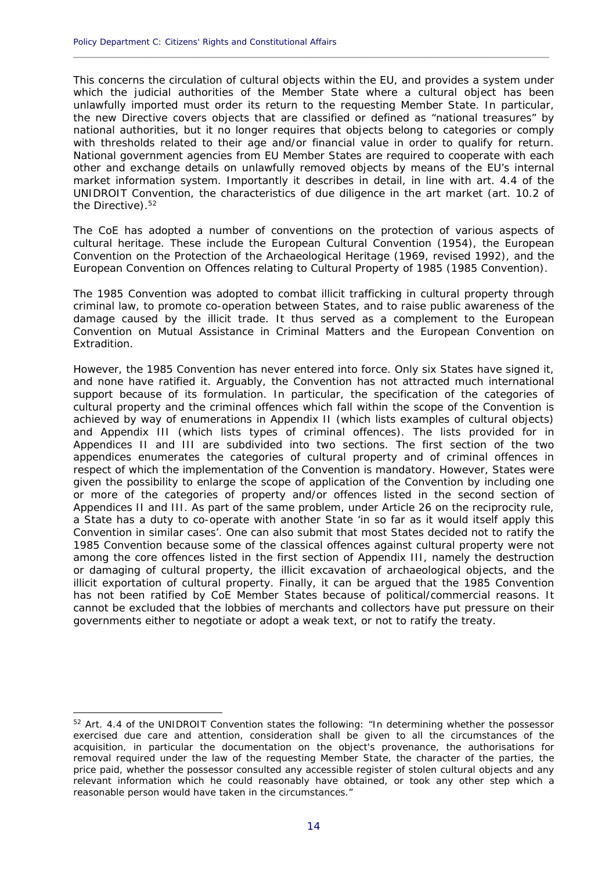This concerns the circulation of cultural objects within the EU, and provides a system under which the judicial authorities of the Member State where a cultural object has been unlawfully imported must order its return to the requesting Member State. In particular, the new Directive covers objects that are classified or defined as "national treasures" by national authorities, but it no longer requires that objects belong to categories or comply with thresholds related to their age and/or financial value in order to qualify for return. National government agencies from EU Member States are required to cooperate with each other and exchange details on unlawfully removed objects by means of the EU's internal market information system. Importantly it describes in detail, in line with art. 4.4 of the UNIDROIT Convention, the characteristics of due diligence in the art market (art. 10.2 of the Directive).<sup>52</sup>

**\_\_\_\_\_\_\_\_\_\_\_\_\_\_\_\_\_\_\_\_\_\_\_\_\_\_\_\_\_\_\_\_\_\_\_\_\_\_\_\_\_\_\_\_\_\_\_\_\_\_\_\_\_\_\_\_\_\_\_\_\_\_\_\_\_\_\_\_\_\_\_\_\_\_\_\_\_\_\_\_\_\_\_\_\_\_\_\_\_\_\_\_**

The CoE has adopted a number of conventions on the protection of various aspects of cultural heritage. These include the European Cultural Convention (1954), the European Convention on the Protection of the Archaeological Heritage (1969, revised 1992), and the European Convention on Offences relating to Cultural Property of 1985 (1985 Convention).

The 1985 Convention was adopted to combat illicit trafficking in cultural property through criminal law, to promote co-operation between States, and to raise public awareness of the damage caused by the illicit trade. It thus served as a complement to the European Convention on Mutual Assistance in Criminal Matters and the European Convention on Extradition.

However, the 1985 Convention has never entered into force. Only six States have signed it, and none have ratified it. Arguably, the Convention has not attracted much international support because of its formulation. In particular, the specification of the categories of cultural property and the criminal offences which fall within the scope of the Convention is achieved by way of enumerations in Appendix II (which lists examples of cultural objects) and Appendix III (which lists types of criminal offences). The lists provided for in Appendices II and III are subdivided into two sections. The first section of the two appendices enumerates the categories of cultural property and of criminal offences in respect of which the implementation of the Convention is mandatory. However, States were given the possibility to enlarge the scope of application of the Convention by including one or more of the categories of property and/or offences listed in the second section of Appendices II and III. As part of the same problem, under Article 26 on the reciprocity rule, a State has a duty to co-operate with another State 'in so far as it would itself apply this Convention in similar cases'. One can also submit that most States decided not to ratify the 1985 Convention because some of the classical offences against cultural property were not among the core offences listed in the first section of Appendix III, namely the destruction or damaging of cultural property, the illicit excavation of archaeological objects, and the illicit exportation of cultural property. Finally, it can be argued that the 1985 Convention has not been ratified by CoE Member States because of political/commercial reasons. It cannot be excluded that the lobbies of merchants and collectors have put pressure on their governments either to negotiate or adopt a weak text, or not to ratify the treaty.

<u>.</u>

<sup>&</sup>lt;sup>52</sup> Art. 4.4 of the UNIDROIT Convention states the following: "In determining whether the possessor exercised due care and attention, consideration shall be given to all the circumstances of the acquisition, in particular the documentation on the object's provenance, the authorisations for removal required under the law of the requesting Member State, the character of the parties, the price paid, whether the possessor consulted any accessible register of stolen cultural objects and any relevant information which he could reasonably have obtained, or took any other step which a reasonable person would have taken in the circumstances."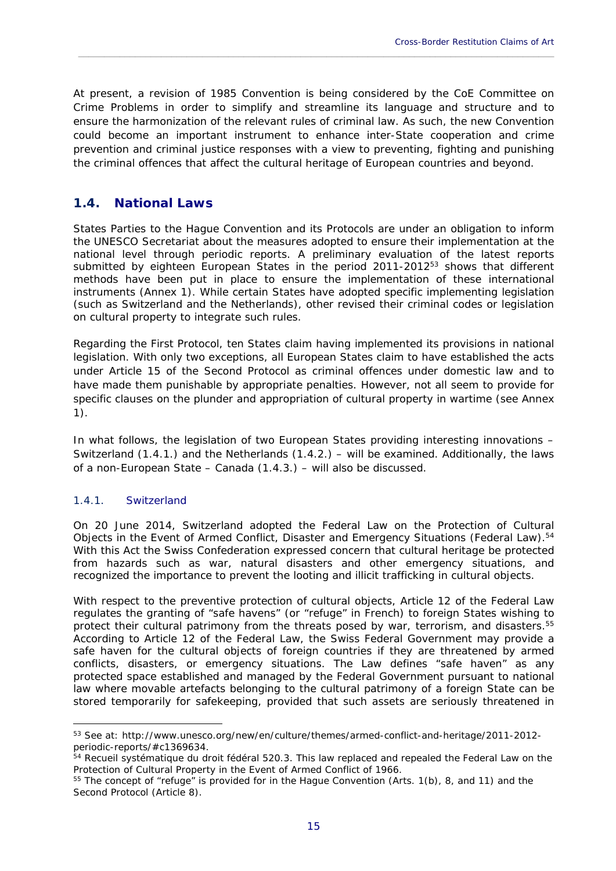At present, a revision of 1985 Convention is being considered by the CoE Committee on Crime Problems in order to simplify and streamline its language and structure and to ensure the harmonization of the relevant rules of criminal law. As such, the new Convention could become an important instrument to enhance inter-State cooperation and crime prevention and criminal justice responses with a view to preventing, fighting and punishing the criminal offences that affect the cultural heritage of European countries and beyond.

\_\_\_\_\_\_\_\_\_\_\_\_\_\_\_\_\_\_\_\_\_\_\_\_\_\_\_\_\_\_\_\_\_\_\_\_\_\_\_\_\_\_\_\_\_\_\_\_\_\_\_\_\_\_\_\_\_\_\_\_\_\_\_\_\_\_\_\_\_\_\_\_\_\_\_\_\_\_\_\_\_\_\_\_\_\_\_\_\_\_\_\_

### **1.4. National Laws**

States Parties to the Hague Convention and its Protocols are under an obligation to inform the UNESCO Secretariat about the measures adopted to ensure their implementation at the national level through periodic reports. A preliminary evaluation of the latest reports submitted by eighteen European States in the period 2011-2012 $53$  shows that different methods have been put in place to ensure the implementation of these international instruments (Annex 1). While certain States have adopted specific implementing legislation (such as Switzerland and the Netherlands), other revised their criminal codes or legislation on cultural property to integrate such rules.

Regarding the First Protocol, ten States claim having implemented its provisions in national legislation. With only two exceptions, all European States claim to have established the acts under Article 15 of the Second Protocol as criminal offences under domestic law and to have made them punishable by appropriate penalties. However, not all seem to provide for specific clauses on the plunder and appropriation of cultural property in wartime (see Annex 1).

In what follows, the legislation of two European States providing interesting innovations – Switzerland (1.4.1.) and the Netherlands (1.4.2.) – will be examined. Additionally, the laws of a non-European State – Canada (1.4.3.) – will also be discussed.

#### 1.4.1. Switzerland

<u>.</u>

On 20 June 2014, Switzerland adopted the Federal Law on the Protection of Cultural Objects in the Event of Armed Conflict, Disaster and Emergency Situations (Federal Law).<sup>54</sup> With this Act the Swiss Confederation expressed concern that cultural heritage be protected from hazards such as war, natural disasters and other emergency situations, and recognized the importance to prevent the looting and illicit trafficking in cultural objects.

With respect to the preventive protection of cultural objects, Article 12 of the Federal Law regulates the granting of "safe havens" (or "refuge" in French) to foreign States wishing to protect their cultural patrimony from the threats posed by war, terrorism, and disasters.55 According to Article 12 of the Federal Law, the Swiss Federal Government may provide a safe haven for the cultural objects of foreign countries if they are threatened by armed conflicts, disasters, or emergency situations. The Law defines "safe haven" as any protected space established and managed by the Federal Government pursuant to national law where movable artefacts belonging to the cultural patrimony of a foreign State can be stored temporarily for safekeeping, provided that such assets are seriously threatened in

<sup>53</sup> See at: http://www.unesco.org/new/en/culture/themes/armed-conflict-and-heritage/2011-2012 periodic-reports/#c1369634.

<sup>54</sup> Recueil systématique du droit fédéral 520.3. This law replaced and repealed the *Federal Law on the Protection of Cultural Property in the Event of Armed Conflict* of 1966.<br><sup>55</sup> The concept of "refuge" is provided for in the Hague Convention (Arts. 1(b), 8, and 11) and the

Second Protocol (Article 8).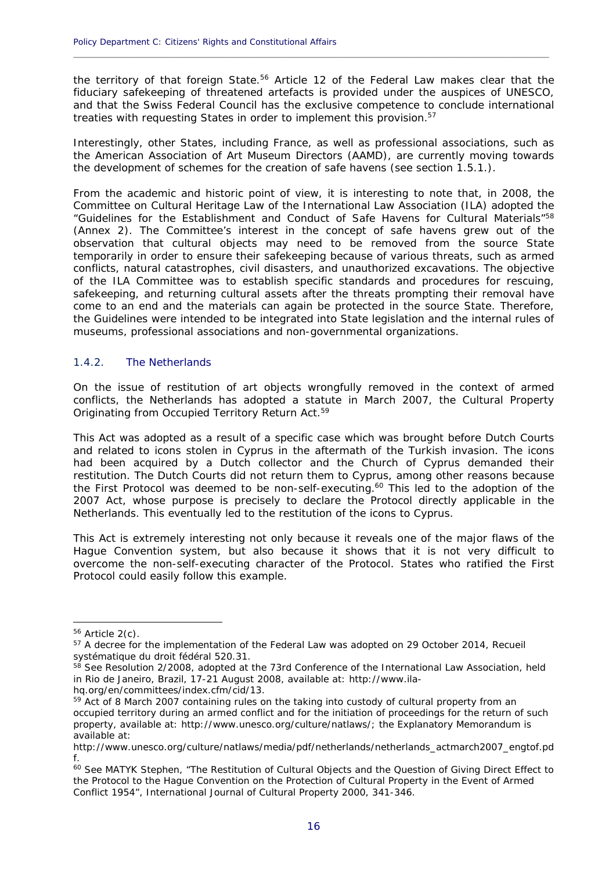the territory of that foreign State.<sup>56</sup> Article 12 of the Federal Law makes clear that the fiduciary safekeeping of threatened artefacts is provided under the auspices of UNESCO, and that the Swiss Federal Council has the exclusive competence to conclude international treaties with requesting States in order to implement this provision.<sup>57</sup>

**\_\_\_\_\_\_\_\_\_\_\_\_\_\_\_\_\_\_\_\_\_\_\_\_\_\_\_\_\_\_\_\_\_\_\_\_\_\_\_\_\_\_\_\_\_\_\_\_\_\_\_\_\_\_\_\_\_\_\_\_\_\_\_\_\_\_\_\_\_\_\_\_\_\_\_\_\_\_\_\_\_\_\_\_\_\_\_\_\_\_\_\_**

Interestingly, other States, including France, as well as professional associations, such as the American Association of Art Museum Directors (AAMD), are currently moving towards the development of schemes for the creation of safe havens (see section 1.5.1.).

From the academic and historic point of view, it is interesting to note that, in 2008, the Committee on Cultural Heritage Law of the International Law Association (ILA) adopted the "Guidelines for the Establishment and Conduct of Safe Havens for Cultural Materials"<sup>58</sup> (Annex 2). The Committee's interest in the concept of safe havens grew out of the observation that cultural objects may need to be removed from the source State temporarily in order to ensure their safekeeping because of various threats, such as armed conflicts, natural catastrophes, civil disasters, and unauthorized excavations. The objective of the ILA Committee was to establish specific standards and procedures for rescuing, safekeeping, and returning cultural assets after the threats prompting their removal have come to an end and the materials can again be protected in the source State. Therefore, the Guidelines were intended to be integrated into State legislation and the internal rules of museums, professional associations and non-governmental organizations.

#### 1.4.2. The Netherlands

On the issue of restitution of art objects wrongfully removed in the context of armed conflicts, the Netherlands has adopted a statute in March 2007, the Cultural Property Originating from Occupied Territory Return Act.59

This Act was adopted as a result of a specific case which was brought before Dutch Courts and related to icons stolen in Cyprus in the aftermath of the Turkish invasion. The icons had been acquired by a Dutch collector and the Church of Cyprus demanded their restitution. The Dutch Courts did not return them to Cyprus, among other reasons because the First Protocol was deemed to be non-self-executing.<sup>60</sup> This led to the adoption of the 2007 Act, whose purpose is precisely to declare the Protocol directly applicable in the Netherlands. This eventually led to the restitution of the icons to Cyprus.

This Act is extremely interesting not only because it reveals one of the major flaws of the Hague Convention system, but also because it shows that it is not very difficult to overcome the non-self-executing character of the Protocol. States who ratified the First Protocol could easily follow this example.

 $56$  Article 2(c).

<sup>&</sup>lt;sup>57</sup> A decree for the implementation of the Federal Law was adopted on 29 October 2014, Recueil systématique du droit fédéral 520.31.

<sup>&</sup>lt;sup>58</sup> See Resolution 2/2008, adopted at the 73rd Conference of the International Law Association, held in Rio de Janeiro, Brazil, 17-21 August 2008, available at: http://www.ila-

hq.org/en/committees/index.cfm/cid/13.

<sup>&</sup>lt;sup>59</sup> Act of 8 March 2007 containing rules on the taking into custody of cultural property from an occupied territory during an armed conflict and for the initiation of proceedings for the return of such property, available at: http://www.unesco.org/culture/natlaws/; the Explanatory Memorandum is available at:

http://www.unesco.org/culture/natlaws/media/pdf/netherlands/netherlands\_actmarch2007\_engtof.pd f.

<sup>60</sup> See MATYK Stephen, "The Restitution of Cultural Objects and the Question of Giving Direct Effect to the Protocol to the Hague Convention on the Protection of Cultural Property in the Event of Armed Conflict 1954", International Journal of Cultural Property 2000, 341-346.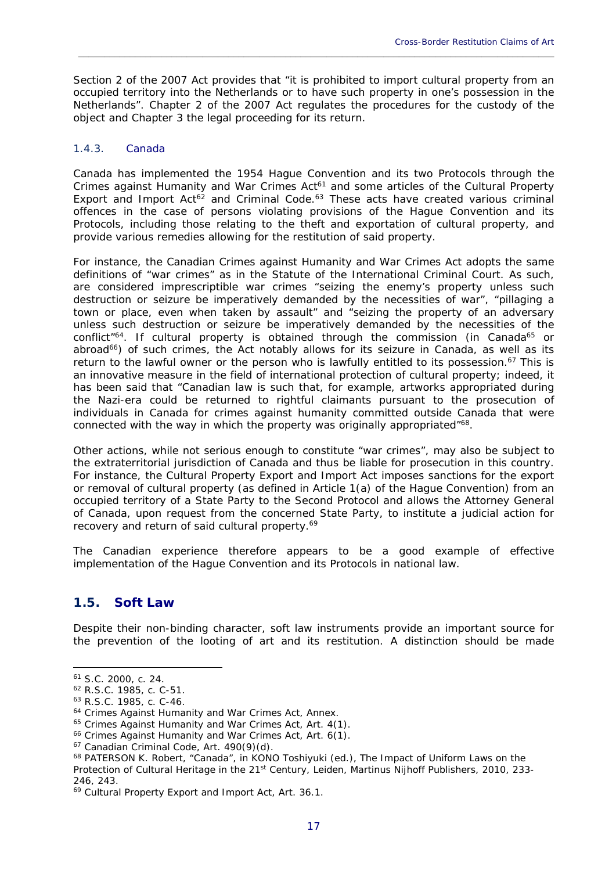Section 2 of the 2007 Act provides that "it is prohibited to import cultural property from an occupied territory into the Netherlands or to have such property in one's possession in the Netherlands". Chapter 2 of the 2007 Act regulates the procedures for the custody of the object and Chapter 3 the legal proceeding for its return.

\_\_\_\_\_\_\_\_\_\_\_\_\_\_\_\_\_\_\_\_\_\_\_\_\_\_\_\_\_\_\_\_\_\_\_\_\_\_\_\_\_\_\_\_\_\_\_\_\_\_\_\_\_\_\_\_\_\_\_\_\_\_\_\_\_\_\_\_\_\_\_\_\_\_\_\_\_\_\_\_\_\_\_\_\_\_\_\_\_\_\_\_

#### 1.4.3. Canada

Canada has implemented the 1954 Hague Convention and its two Protocols through the *Crimes against Humanity and War Crimes Act*<sup>61</sup> and some articles of the *Cultural Property Export and Import Act*<sup>62</sup> and *Criminal Code*.<sup>63</sup> These acts have created various criminal offences in the case of persons violating provisions of the Hague Convention and its Protocols, including those relating to the theft and exportation of cultural property, and provide various remedies allowing for the restitution of said property.

For instance, the Canadian *Crimes against Humanity and War Crimes Act* adopts the same definitions of "war crimes" as in the Statute of the International Criminal Court. As such, are considered imprescriptible war crimes "seizing the enemy's property unless such destruction or seizure be imperatively demanded by the necessities of war", "pillaging a town or place, even when taken by assault" and "seizing the property of an adversary unless such destruction or seizure be imperatively demanded by the necessities of the conflict<sup>"64</sup>. If cultural property is obtained through the commission (in Canada<sup>65</sup> or abroad<sup>66</sup>) of such crimes, the Act notably allows for its seizure in Canada, as well as its return to the lawful owner or the person who is lawfully entitled to its possession.<sup>67</sup> This is an innovative measure in the field of international protection of cultural property; indeed, it has been said that "Canadian law is such that, for example, artworks appropriated during the Nazi-era could be returned to rightful claimants pursuant to the prosecution of individuals in Canada for crimes against humanity committed outside Canada that were connected with the way in which the property was originally appropriated"<sup>68</sup>.

Other actions, while not serious enough to constitute "war crimes", may also be subject to the extraterritorial jurisdiction of Canada and thus be liable for prosecution in this country. For instance, the *Cultural Property Export and Import Act* imposes sanctions for the export or removal of cultural property (as defined in Article 1(a) of the Hague Convention) from an occupied territory of a State Party to the Second Protocol and allows the Attorney General of Canada, upon request from the concerned State Party, to institute a judicial action for recovery and return of said cultural property.<sup>69</sup>

The Canadian experience therefore appears to be a good example of effective implementation of the Hague Convention and its Protocols in national law.

# **1.5. Soft Law**

Despite their non-binding character, soft law instruments provide an important source for the prevention of the looting of art and its restitution. A distinction should be made

<sup>61</sup> S.C. 2000, c. 24.

<sup>62</sup> R.S.C. 1985, c. C-51.

<sup>63</sup> R.S.C. 1985, c. C-46.

<sup>&</sup>lt;sup>64</sup> Crimes Against Humanity and War Crimes Act, Annex.<br><sup>65</sup> Crimes Against Humanity and War Crimes Act, Art. 4(1).<br><sup>66</sup> Crimes Against Humanity and War Crimes Act, Art. 6(1).<br><sup>67</sup> Canadian Criminal Code, Art. 490(9)(d).

<sup>68</sup> PATERSON K. Robert, "Canada", in KONO Toshiyuki (ed.), *The Impact of Uniform Laws on the Protection of Cultural Heritage in the 21st Century*, Leiden, Martinus Nijhoff Publishers, 2010, 233- 246, 243.

<sup>69</sup> *Cultural Property Export and Import Act*, Art. 36.1.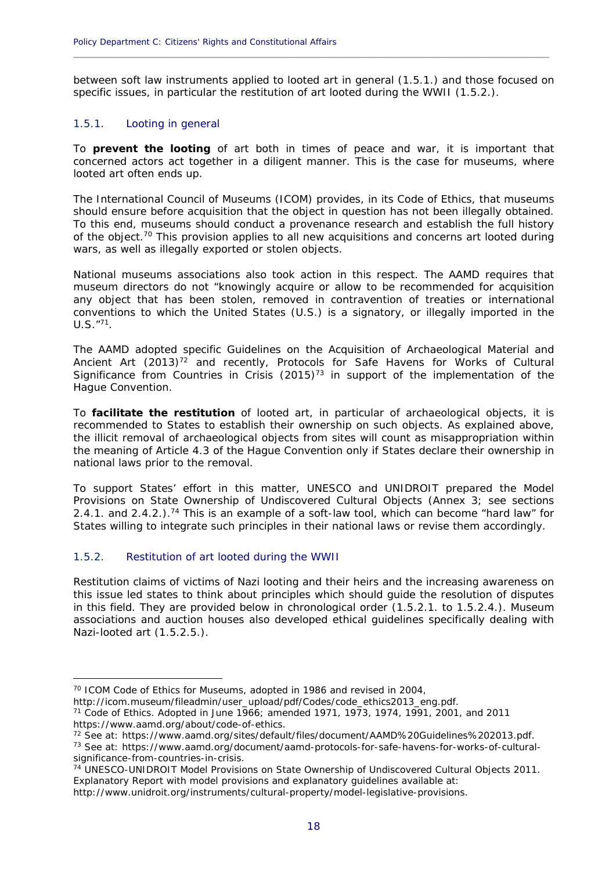between soft law instruments applied to looted art in general (1.5.1.) and those focused on specific issues, in particular the restitution of art looted during the WWII (1.5.2.).

**\_\_\_\_\_\_\_\_\_\_\_\_\_\_\_\_\_\_\_\_\_\_\_\_\_\_\_\_\_\_\_\_\_\_\_\_\_\_\_\_\_\_\_\_\_\_\_\_\_\_\_\_\_\_\_\_\_\_\_\_\_\_\_\_\_\_\_\_\_\_\_\_\_\_\_\_\_\_\_\_\_\_\_\_\_\_\_\_\_\_\_\_**

#### 1.5.1. Looting in general

To **prevent the looting** of art both in times of peace and war, it is important that concerned actors act together in a diligent manner. This is the case for museums, where looted art often ends up.

The International Council of Museums (ICOM) provides, in its Code of Ethics, that museums should ensure before acquisition that the object in question has not been illegally obtained. To this end, museums should conduct a provenance research and establish the full history of the object.<sup>70</sup> This provision applies to all new acquisitions and concerns art looted during wars, as well as illegally exported or stolen objects.

National museums associations also took action in this respect. The AAMD requires that museum directors do not "knowingly acquire or allow to be recommended for acquisition any object that has been stolen, removed in contravention of treaties or international conventions to which the United States (U.S.) is a signatory, or illegally imported in the  $U.S.$   $''^{71}$ .

The AAMD adopted specific Guidelines on the Acquisition of Archaeological Material and Ancient Art (2013)<sup>72</sup> and recently, Protocols for Safe Havens for Works of Cultural Significance from Countries in Crisis  $(2015)^{73}$  in support of the implementation of the Hague Convention.

To **facilitate the restitution** of looted art, in particular of archaeological objects, it is recommended to States to establish their ownership on such objects. As explained above, the illicit removal of archaeological objects from sites will count as misappropriation within the meaning of Article 4.3 of the Hague Convention only if States declare their ownership in national laws prior to the removal.

To support States' effort in this matter, UNESCO and UNIDROIT prepared the Model Provisions on State Ownership of Undiscovered Cultural Objects (Annex 3; see sections 2.4.1. and 2.4.2.).<sup>74</sup> This is an example of a soft-law tool, which can become "hard law" for States willing to integrate such principles in their national laws or revise them accordingly.

#### 1.5.2. Restitution of art looted during the WWII

1

Restitution claims of victims of Nazi looting and their heirs and the increasing awareness on this issue led states to think about principles which should guide the resolution of disputes in this field. They are provided below in chronological order (1.5.2.1. to 1.5.2.4.). Museum associations and auction houses also developed ethical guidelines specifically dealing with Nazi-looted art (1.5.2.5.).

http://www.unidroit.org/instruments/cultural-property/model-legislative-provisions.

<sup>&</sup>lt;sup>70</sup> ICOM Code of Ethics for Museums, adopted in 1986 and revised in 2004,<br>http://icom.museum/fileadmin/user\_upload/pdf/Codes/code\_ethics2013\_eng.pdf.

 $171$  Code of Ethics. Adopted in June 1966; amended 1971, 1973, 1974, 1991, 2001, and 2011 https://www.aamd.org/about/code-of-ethics.<br><sup>72</sup> See at: https://www.aamd.org/sites/default/files/document/AAMD%20Guidelines%202013.pdf.<br><sup>73</sup> See at: https://www.aamd.org/document/aamd-protocols-for-safe-havens-for-works-of

significance-from-countries-in-crisis.

<sup>74</sup> UNESCO-UNIDROIT Model Provisions on State Ownership of Undiscovered Cultural Objects 2011. Explanatory Report with model provisions and explanatory guidelines available at: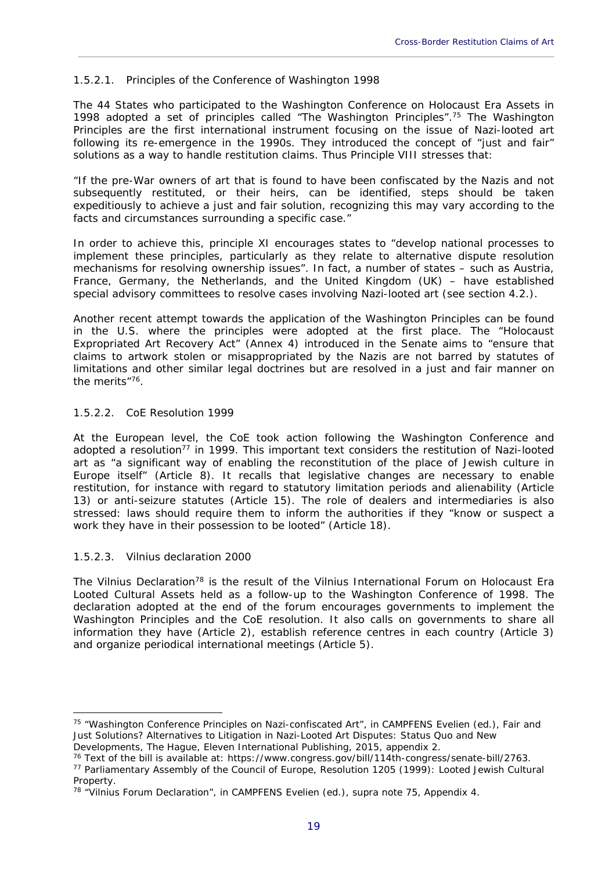#### 1.5.2.1. Principles of the Conference of Washington 1998

The 44 States who participated to the Washington Conference on Holocaust Era Assets in 1998 adopted a set of principles called "The Washington Principles".75 The Washington Principles are the first international instrument focusing on the issue of Nazi-looted art following its re-emergence in the 1990s. They introduced the concept of "just and fair" solutions as a way to handle restitution claims. Thus Principle VIII stresses that:

\_\_\_\_\_\_\_\_\_\_\_\_\_\_\_\_\_\_\_\_\_\_\_\_\_\_\_\_\_\_\_\_\_\_\_\_\_\_\_\_\_\_\_\_\_\_\_\_\_\_\_\_\_\_\_\_\_\_\_\_\_\_\_\_\_\_\_\_\_\_\_\_\_\_\_\_\_\_\_\_\_\_\_\_\_\_\_\_\_\_\_\_

"If the pre-War owners of art that is found to have been confiscated by the Nazis and not subsequently restituted, or their heirs, can be identified, steps should be taken expeditiously to achieve *a just and fair solution, recognizing this may vary according to the facts and circumstances surrounding a specific case*."

In order to achieve this, principle XI encourages states to "develop national processes to implement these principles, particularly as they relate to alternative dispute resolution mechanisms for resolving ownership issues". In fact, a number of states – such as Austria, France, Germany, the Netherlands, and the United Kingdom (UK) – have established special advisory committees to resolve cases involving Nazi-looted art (see section 4.2.).

Another recent attempt towards the application of the Washington Principles can be found in the U.S. where the principles were adopted at the first place. The "Holocaust Expropriated Art Recovery Act" (Annex 4) introduced in the Senate aims to "ensure that claims to artwork stolen or misappropriated by the Nazis are not barred by statutes of limitations and other similar legal doctrines but are resolved in a just and fair manner on the merits"76.

#### 1.5.2.2. CoE Resolution 1999

At the European level, the CoE took action following the Washington Conference and adopted a resolution<sup>77</sup> in 1999. This important text considers the restitution of Nazi-looted art as "a significant way of enabling the reconstitution of the place of Jewish culture in Europe itself" (Article 8). It recalls that legislative changes are necessary to enable restitution, for instance with regard to statutory limitation periods and alienability (Article 13) or anti-seizure statutes (Article 15). The role of dealers and intermediaries is also stressed: laws should require them to inform the authorities if they "know or suspect a work they have in their possession to be looted" (Article 18).

#### 1.5.2.3. Vilnius declaration 2000

<u>.</u>

The Vilnius Declaration<sup>78</sup> is the result of the Vilnius International Forum on Holocaust Era Looted Cultural Assets held as a follow-up to the Washington Conference of 1998. The declaration adopted at the end of the forum encourages governments to implement the Washington Principles and the CoE resolution. It also calls on governments to share all information they have (Article 2), establish reference centres in each country (Article 3) and organize periodical international meetings (Article 5).

<sup>75 &</sup>quot;Washington Conference Principles on Nazi-confiscated Art", in CAMPFENS Evelien (ed.), *Fair and Just Solutions? Alternatives to Litigation in Nazi-Looted Art Disputes: Status Quo and New* 

Developments, The Hague, Eleven International Publishing, 2015, appendix 2.<br><sup>76</sup> Text of the bill is available at: https://www.congress.gov/bill/114th-congress/senate-bill/2763.<br><sup>77</sup> Parliamentary Assembly of the Council o

**Property** 

<sup>&</sup>lt;sup>78</sup> "Vilnius Forum Declaration", in CAMPFENS Evelien (ed.), supra note 75, Appendix 4.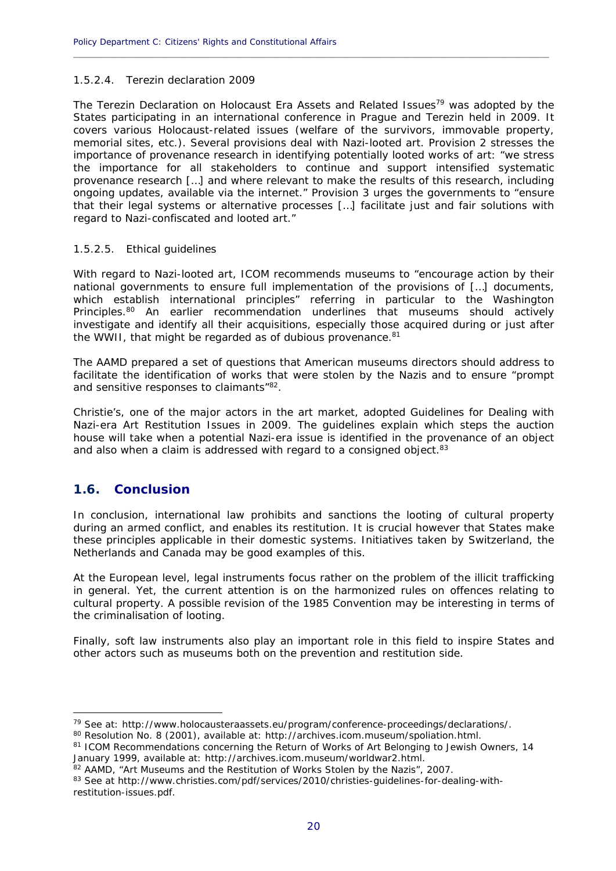#### 1.5.2.4. Terezin declaration 2009

The Terezin Declaration on Holocaust Era Assets and Related Issues<sup>79</sup> was adopted by the States participating in an international conference in Prague and Terezin held in 2009. It covers various Holocaust-related issues (welfare of the survivors, immovable property, memorial sites, etc.). Several provisions deal with Nazi-looted art. Provision 2 stresses the importance of provenance research in identifying potentially looted works of art: "we stress the importance for all stakeholders to continue and support intensified systematic provenance research […] and where relevant to make the results of this research, including ongoing updates, available via the internet." Provision 3 urges the governments to "ensure that their legal systems or alternative processes […] facilitate just and fair solutions with regard to Nazi-confiscated and looted art."

**\_\_\_\_\_\_\_\_\_\_\_\_\_\_\_\_\_\_\_\_\_\_\_\_\_\_\_\_\_\_\_\_\_\_\_\_\_\_\_\_\_\_\_\_\_\_\_\_\_\_\_\_\_\_\_\_\_\_\_\_\_\_\_\_\_\_\_\_\_\_\_\_\_\_\_\_\_\_\_\_\_\_\_\_\_\_\_\_\_\_\_\_**

#### 1.5.2.5. Ethical guidelines

With regard to Nazi-looted art, ICOM recommends museums to "encourage action by their national governments to ensure full implementation of the provisions of […] documents, which establish international principles" referring in particular to the Washington Principles.<sup>80</sup> An earlier recommendation underlines that museums should actively investigate and identify all their acquisitions, especially those acquired during or just after the WWII, that might be regarded as of dubious provenance.<sup>81</sup>

The AAMD prepared a set of questions that American museums directors should address to facilitate the identification of works that were stolen by the Nazis and to ensure "prompt and sensitive responses to claimants<sup>"82</sup>.

Christie's, one of the major actors in the art market, adopted Guidelines for Dealing with Nazi-era Art Restitution Issues in 2009. The guidelines explain which steps the auction house will take when a potential Nazi-era issue is identified in the provenance of an object and also when a claim is addressed with regard to a consigned object.<sup>83</sup>

# **1.6. Conclusion**

<u>.</u>

In conclusion, international law prohibits and sanctions the looting of cultural property during an armed conflict, and enables its restitution. It is crucial however that States make these principles applicable in their domestic systems. Initiatives taken by Switzerland, the Netherlands and Canada may be good examples of this.

At the European level, legal instruments focus rather on the problem of the illicit trafficking in general. Yet, the current attention is on the harmonized rules on offences relating to cultural property. A possible revision of the 1985 Convention may be interesting in terms of the criminalisation of looting.

Finally, soft law instruments also play an important role in this field to inspire States and other actors such as museums both on the prevention and restitution side.

<sup>&</sup>lt;sup>79</sup> See at: http://www.holocausteraassets.eu/program/conference-proceedings/declarations/.<br><sup>80</sup> Resolution No. 8 (2001), available at: http://archives.icom.museum/spoliation.html.

<sup>81</sup> ICOM Recommendations concerning the Return of Works of Art Belonging to Jewish Owners, 14 January 1999, available at: http://archives.icom.museum/worldwar2.html.

<sup>82</sup> AAMD, "Art Museums and the Restitution of Works Stolen by the Nazis", 2007.

<sup>83</sup> See at http://www.christies.com/pdf/services/2010/christies-guidelines-for-dealing-withrestitution-issues.pdf.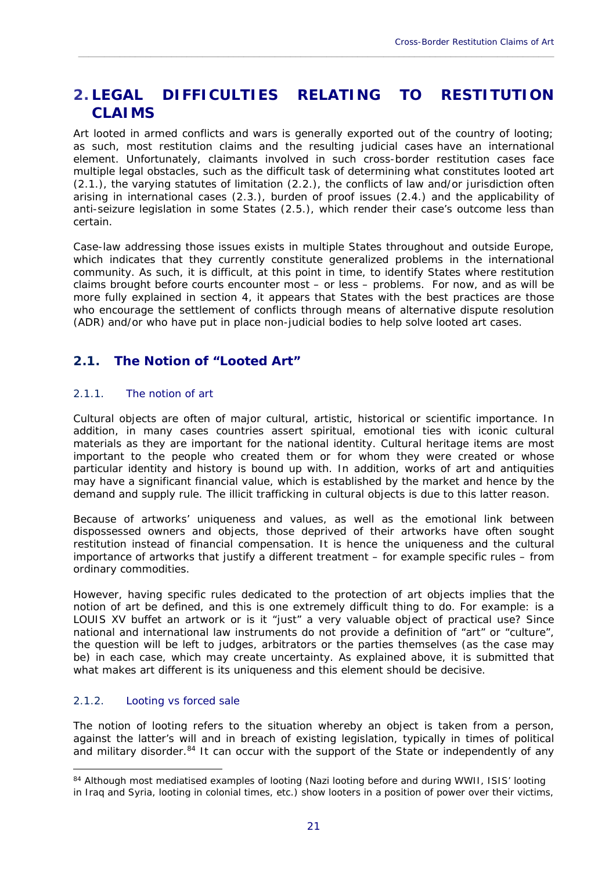# **2. LEGAL DIFFICULTIES RELATING TO RESTITUTION CLAIMS**

\_\_\_\_\_\_\_\_\_\_\_\_\_\_\_\_\_\_\_\_\_\_\_\_\_\_\_\_\_\_\_\_\_\_\_\_\_\_\_\_\_\_\_\_\_\_\_\_\_\_\_\_\_\_\_\_\_\_\_\_\_\_\_\_\_\_\_\_\_\_\_\_\_\_\_\_\_\_\_\_\_\_\_\_\_\_\_\_\_\_\_\_

Art looted in armed conflicts and wars is generally exported out of the country of looting; as such, most restitution claims and the resulting judicial cases have an international element. Unfortunately, claimants involved in such cross-border restitution cases face multiple legal obstacles, such as the difficult task of determining what constitutes looted art (2.1.), the varying statutes of limitation (2.2.), the conflicts of law and/or jurisdiction often arising in international cases (2.3.), burden of proof issues (2.4.) and the applicability of anti-seizure legislation in some States (2.5.), which render their case's outcome less than certain.

Case-law addressing those issues exists in multiple States throughout and outside Europe, which indicates that they currently constitute generalized problems in the international community. As such, it is difficult, at this point in time, to identify States where restitution claims brought before courts encounter most – or less – problems. For now, and as will be more fully explained in section 4, it appears that States with the best practices are those who encourage the settlement of conflicts through means of alternative dispute resolution (ADR) and/or who have put in place non-judicial bodies to help solve looted art cases.

# **2.1. The Notion of "Looted Art"**

#### 2.1.1. The notion of art

Cultural objects are often of major cultural, artistic, historical or scientific importance. In addition, in many cases countries assert spiritual, emotional ties with iconic cultural materials as they are important for the national identity. Cultural heritage items are most important to the people who created them or for whom they were created or whose particular identity and history is bound up with. In addition, works of art and antiquities may have a significant financial value, which is established by the market and hence by the demand and supply rule. The illicit trafficking in cultural objects is due to this latter reason.

Because of artworks' uniqueness and values, as well as the emotional link between dispossessed owners and objects, those deprived of their artworks have often sought restitution instead of financial compensation. It is hence the uniqueness and the cultural importance of artworks that justify a different treatment – for example specific rules – from ordinary commodities.

However, having specific rules dedicated to the protection of art objects implies that the notion of art be defined, and this is one extremely difficult thing to do. For example: is a LOUIS XV buffet an artwork or is it "just" a very valuable object of practical use? Since national and international law instruments do not provide a definition of "art" or "culture", the question will be left to judges, arbitrators or the parties themselves (as the case may be) in each case, which may create uncertainty. As explained above, it is submitted that what makes art different is its uniqueness and this element should be decisive.

#### 2.1.2. Looting vs forced sale

<u>.</u>

The notion of looting refers to the situation whereby an object is taken from a person, against the latter's will and in breach of existing legislation, typically in times of political and military disorder.<sup>84</sup> It can occur with the support of the State or independently of any

<sup>84</sup> Although most mediatised examples of looting (Nazi looting before and during WWII, ISIS' looting

in Iraq and Syria, looting in colonial times, etc.) show looters in a position of power over their victims,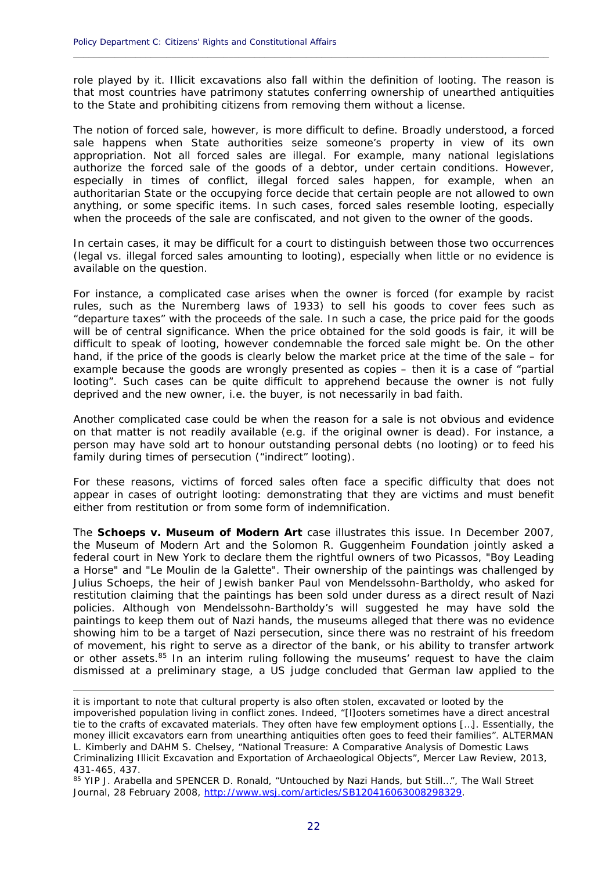role played by it. Illicit excavations also fall within the definition of looting. The reason is that most countries have patrimony statutes conferring ownership of unearthed antiquities to the State and prohibiting citizens from removing them without a license.

**\_\_\_\_\_\_\_\_\_\_\_\_\_\_\_\_\_\_\_\_\_\_\_\_\_\_\_\_\_\_\_\_\_\_\_\_\_\_\_\_\_\_\_\_\_\_\_\_\_\_\_\_\_\_\_\_\_\_\_\_\_\_\_\_\_\_\_\_\_\_\_\_\_\_\_\_\_\_\_\_\_\_\_\_\_\_\_\_\_\_\_\_**

The notion of forced sale, however, is more difficult to define. Broadly understood, a forced sale happens when State authorities seize someone's property in view of its own appropriation. Not all forced sales are illegal. For example, many national legislations authorize the forced sale of the goods of a debtor, under certain conditions. However, especially in times of conflict, illegal forced sales happen, for example, when an authoritarian State or the occupying force decide that certain people are not allowed to own anything, or some specific items. In such cases, forced sales resemble looting, especially when the proceeds of the sale are confiscated, and not given to the owner of the goods.

In certain cases, it may be difficult for a court to distinguish between those two occurrences (legal vs. illegal forced sales amounting to looting), especially when little or no evidence is available on the question.

For instance, a complicated case arises when the owner is forced (for example by racist rules, such as the Nuremberg laws of 1933) to sell his goods to cover fees such as "departure taxes" with the proceeds of the sale. In such a case, the price paid for the goods will be of central significance. When the price obtained for the sold goods is fair, it will be difficult to speak of looting, however condemnable the forced sale might be. On the other hand, if the price of the goods is clearly below the market price at the time of the sale – for example because the goods are wrongly presented as copies – then it is a case of "partial looting". Such cases can be quite difficult to apprehend because the owner is not fully deprived and the new owner, *i.e.* the buyer, is not necessarily in bad faith.

Another complicated case could be when the reason for a sale is not obvious and evidence on that matter is not readily available (e.g. if the original owner is dead). For instance, a person may have sold art to honour outstanding personal debts (no looting) or to feed his family during times of persecution ("indirect" looting).

For these reasons, victims of forced sales often face a specific difficulty that does not appear in cases of outright looting: demonstrating that they are victims and must benefit either from restitution or from some form of indemnification.

The *Schoeps v. Museum of Modern Art* case illustrates this issue. In December 2007, the Museum of Modern Art and the Solomon R. Guggenheim Foundation jointly asked a federal court in New York to declare them the rightful owners of two Picassos, "Boy Leading a Horse" and "Le Moulin de la Galette". Their ownership of the paintings was challenged by Julius Schoeps, the heir of Jewish banker Paul von Mendelssohn-Bartholdy, who asked for restitution claiming that the paintings has been sold under duress as a direct result of Nazi policies. Although von Mendelssohn-Bartholdy's will suggested he may have sold the paintings to keep them out of Nazi hands, the museums alleged that there was no evidence showing him to be a target of Nazi persecution, since there was no restraint of his freedom of movement, his right to serve as a director of the bank, or his ability to transfer artwork or other assets.<sup>85</sup> In an interim ruling following the museums' request to have the claim dismissed at a preliminary stage, a US judge concluded that German law applied to the

it is important to note that cultural property is also often stolen, excavated or looted by the impoverished population living in conflict zones. Indeed, "[l]ooters sometimes have a direct ancestral tie to the crafts of excavated materials. They often have few employment options […]. Essentially, the money illicit excavators earn from unearthing antiquities often goes to feed their families". ALTERMAN L. Kimberly and DAHM S. Chelsey, "National Treasure: A Comparative Analysis of Domestic Laws Criminalizing Illicit Excavation and Exportation of Archaeological Objects", Mercer Law Review, 2013, 431-465, 437.

<sup>85</sup> YIP J. Arabella and SPENCER D. Ronald, "Untouched by Nazi Hands, but Still...", The Wall Street Journal, 28 February 2008, http://www.wsj.com/articles/SB120416063008298329.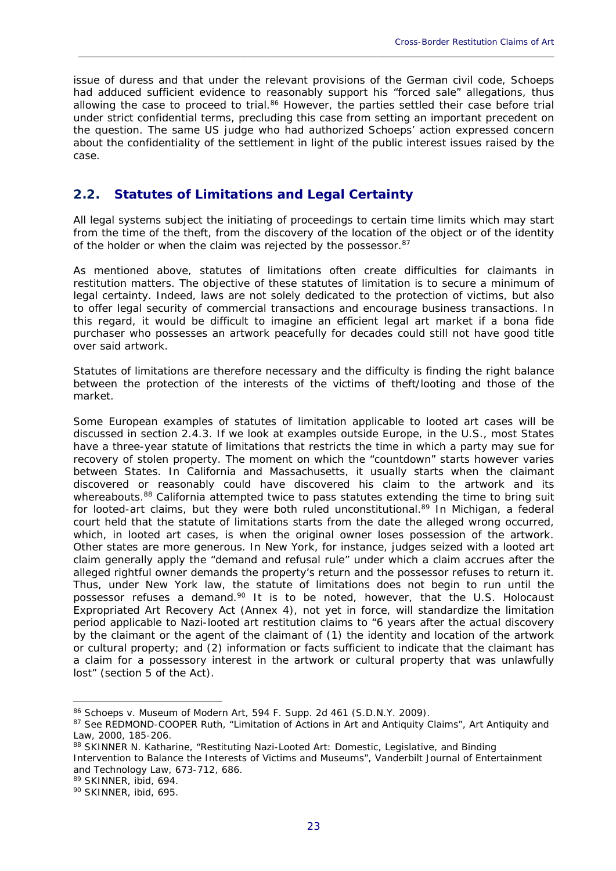issue of duress and that under the relevant provisions of the German civil code, Schoeps had adduced sufficient evidence to reasonably support his "forced sale" allegations, thus allowing the case to proceed to trial.<sup>86</sup> However, the parties settled their case before trial under strict confidential terms, precluding this case from setting an important precedent on the question. The same US judge who had authorized Schoeps' action expressed concern about the confidentiality of the settlement in light of the public interest issues raised by the case.

\_\_\_\_\_\_\_\_\_\_\_\_\_\_\_\_\_\_\_\_\_\_\_\_\_\_\_\_\_\_\_\_\_\_\_\_\_\_\_\_\_\_\_\_\_\_\_\_\_\_\_\_\_\_\_\_\_\_\_\_\_\_\_\_\_\_\_\_\_\_\_\_\_\_\_\_\_\_\_\_\_\_\_\_\_\_\_\_\_\_\_\_

# **2.2. Statutes of Limitations and Legal Certainty**

All legal systems subject the initiating of proceedings to certain time limits which may start from the time of the theft, from the discovery of the location of the object or of the identity of the holder or when the claim was rejected by the possessor.<sup>87</sup>

As mentioned above, statutes of limitations often create difficulties for claimants in restitution matters. The objective of these statutes of limitation is to secure a minimum of legal certainty. Indeed, laws are not solely dedicated to the protection of victims, but also to offer legal security of commercial transactions and encourage business transactions. In this regard, it would be difficult to imagine an efficient legal art market if a *bona fide* purchaser who possesses an artwork peacefully for decades could still not have good title over said artwork.

Statutes of limitations are therefore necessary and the difficulty is finding the right balance between the protection of the interests of the victims of theft/looting and those of the market.

Some European examples of statutes of limitation applicable to looted art cases will be discussed in section 2.4.3. If we look at examples outside Europe, in the U.S., most States have a three-year statute of limitations that restricts the time in which a party may sue for recovery of stolen property. The moment on which the "countdown" starts however varies between States. In California and Massachusetts, it usually starts when the claimant discovered or reasonably could have discovered his claim to the artwork and its whereabouts.<sup>88</sup> California attempted twice to pass statutes extending the time to bring suit for looted-art claims, but they were both ruled unconstitutional. $89$  In Michigan, a federal court held that the statute of limitations starts from the date the alleged wrong occurred, which, in looted art cases, is when the original owner loses possession of the artwork. Other states are more generous. In New York, for instance, judges seized with a looted art claim generally apply the "demand and refusal rule" under which a claim accrues after the alleged rightful owner demands the property's return and the possessor refuses to return it. Thus, under New York law, the statute of limitations does not begin to run until the possessor refuses a demand.90 It is to be noted, however, that the U.S. *Holocaust Expropriated Art Recovery Act* (Annex 4), not yet in force, will standardize the limitation period applicable to Nazi-looted art restitution claims to "6 years after the actual discovery by the claimant or the agent of the claimant of (1) the identity and location of the artwork or cultural property; and (2) information or facts sufficient to indicate that the claimant has a claim for a possessory interest in the artwork or cultural property that was unlawfully lost" (section 5 of the Act).

<sup>86</sup> *Schoeps v. Museum of Modern Art*, 594 F. Supp. 2d 461 (S.D.N.Y. 2009).<br>87 See REDMOND-COOPER Ruth, "Limitation of Actions in Art and Antiquity Claims", Art Antiquity and Law, 2000, 185-206.

<sup>88</sup> SKINNER N. Katharine, "Restituting Nazi-Looted Art: Domestic, Legislative, and Binding Intervention to Balance the Interests of Victims and Museums", Vanderbilt Journal of Entertainment and Technology Law, 673-712, 686.

<sup>89</sup> SKINNER, ibid, 694.

<sup>90</sup> SKINNER, ibid, 695.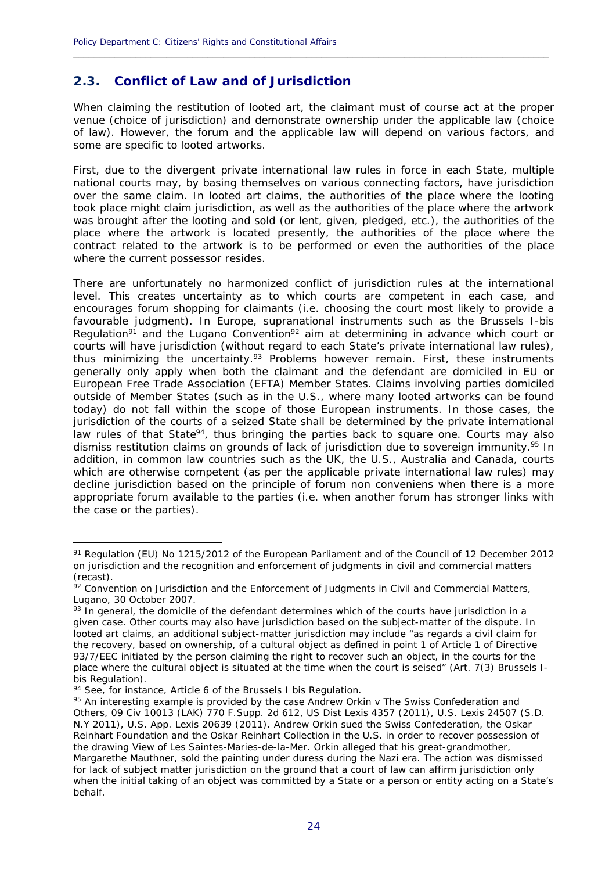# **2.3. Conflict of Law and of Jurisdiction**

When claiming the restitution of looted art, the claimant must of course act at the proper venue (choice of jurisdiction) and demonstrate ownership under the applicable law (choice of law). However, the forum and the applicable law will depend on various factors, and some are specific to looted artworks.

**\_\_\_\_\_\_\_\_\_\_\_\_\_\_\_\_\_\_\_\_\_\_\_\_\_\_\_\_\_\_\_\_\_\_\_\_\_\_\_\_\_\_\_\_\_\_\_\_\_\_\_\_\_\_\_\_\_\_\_\_\_\_\_\_\_\_\_\_\_\_\_\_\_\_\_\_\_\_\_\_\_\_\_\_\_\_\_\_\_\_\_\_**

First, due to the divergent private international law rules in force in each State, multiple national courts may, by basing themselves on various connecting factors, have jurisdiction over the same claim. In looted art claims, the authorities of the place where the looting took place might claim jurisdiction, as well as the authorities of the place where the artwork was brought after the looting and sold (or lent, given, pledged, etc.), the authorities of the place where the artwork is located presently, the authorities of the place where the contract related to the artwork is to be performed or even the authorities of the place where the current possessor resides.

There are unfortunately no harmonized conflict of jurisdiction rules at the international level. This creates uncertainty as to which courts are competent in each case, and encourages forum shopping for claimants (i.e. choosing the court most likely to provide a favourable judgment). In Europe, supranational instruments such as the Brussels I-bis Regulation<sup>91</sup> and the Lugano Convention<sup>92</sup> aim at determining in advance which court or courts will have jurisdiction (without regard to each State's private international law rules), thus minimizing the uncertainty.<sup>93</sup> Problems however remain. First, these instruments generally only apply when both the claimant and the defendant are domiciled in EU or European Free Trade Association (EFTA) Member States. Claims involving parties domiciled outside of Member States (such as in the U.S., where many looted artworks can be found today) do not fall within the scope of those European instruments. In those cases, the jurisdiction of the courts of a seized State shall be determined by the private international law rules of that State<sup>94</sup>, thus bringing the parties back to square one. Courts may also dismiss restitution claims on grounds of lack of jurisdiction due to sovereign immunity.<sup>95</sup> In addition, in common law countries such as the UK, the U.S., Australia and Canada, courts which are otherwise competent (as per the applicable private international law rules) may decline jurisdiction based on the principle of *forum non conveniens* when there is a more appropriate forum available to the parties (i.e. when another forum has stronger links with the case or the parties).

<sup>91</sup> Regulation (EU) No 1215/2012 of the European Parliament and of the Council of 12 December 2012 on jurisdiction and the recognition and enforcement of judgments in civil and commercial matters (recast).

 $\frac{92}{2}$  Convention on Jurisdiction and the Enforcement of Judgments in Civil and Commercial Matters, Lugano, 30 October 2007.

 $93$  In general, the domicile of the defendant determines which of the courts have jurisdiction in a given case. Other courts may also have jurisdiction based on the subject-matter of the dispute. In looted art claims, an additional subject-matter jurisdiction may include "as regards a civil claim for the recovery, based on ownership, of a cultural object as defined in point 1 of Article 1 of Directive 93/7/EEC initiated by the person claiming the right to recover such an object, in the courts for the place where the cultural object is situated at the time when the court is seised" (Art. 7(3) Brussels Ibis Regulation).

<sup>94</sup> See, for instance, Article 6 of the Brussels I bis Regulation.

<sup>95</sup> An interesting example is provided by the case *Andrew Orkin v The Swiss Confederation and Others*, 09 Civ 10013 (LAK) 770 F.Supp. 2d 612, US Dist Lexis 4357 (2011), U.S. Lexis 24507 (S.D. N.Y 2011), U.S. App. Lexis 20639 (2011). Andrew Orkin sued the Swiss Confederation, the Oskar Reinhart Foundation and the Oskar Reinhart Collection in the U.S. in order to recover possession of the drawing View of Les Saintes-Maries-de-la-Mer. Orkin alleged that his great-grandmother, Margarethe Mauthner, sold the painting under duress during the Nazi era. The action was dismissed for lack of subject matter jurisdiction on the ground that a court of law can affirm jurisdiction only when the initial taking of an object was committed by a State or a person or entity acting on a State's behalf.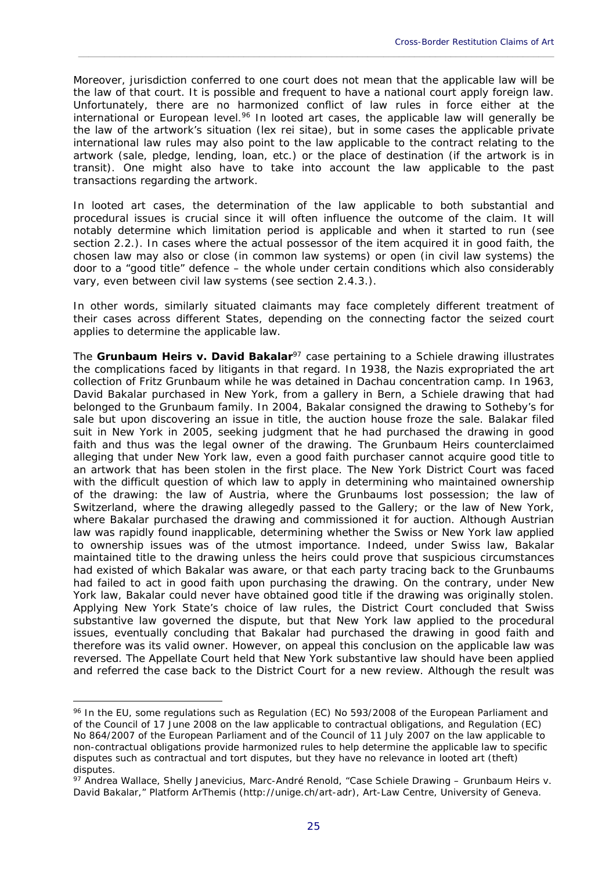Moreover, jurisdiction conferred to one court does not mean that the applicable law will be the law of that court. It is possible and frequent to have a national court apply foreign law. Unfortunately, there are no harmonized conflict of law rules in force either at the international or European level.<sup>96</sup> In looted art cases, the applicable law will generally be the law of the artwork's situation (*lex rei sitae*), but in some cases the applicable private international law rules may also point to the law applicable to the contract relating to the artwork (sale, pledge, lending, loan, etc.) or the place of destination (if the artwork is in transit). One might also have to take into account the law applicable to the past transactions regarding the artwork.

\_\_\_\_\_\_\_\_\_\_\_\_\_\_\_\_\_\_\_\_\_\_\_\_\_\_\_\_\_\_\_\_\_\_\_\_\_\_\_\_\_\_\_\_\_\_\_\_\_\_\_\_\_\_\_\_\_\_\_\_\_\_\_\_\_\_\_\_\_\_\_\_\_\_\_\_\_\_\_\_\_\_\_\_\_\_\_\_\_\_\_\_

In looted art cases, the determination of the law applicable to both substantial and procedural issues is crucial since it will often influence the outcome of the claim. It will notably determine which limitation period is applicable and when it started to run (see section 2.2.). In cases where the actual possessor of the item acquired it in good faith, the chosen law may also or close (in common law systems) or open (in civil law systems) the door to a "good title" defence – the whole under certain conditions which also considerably vary, even between civil law systems (see section 2.4.3.).

In other words, similarly situated claimants may face completely different treatment of their cases across different States, depending on the connecting factor the seized court applies to determine the applicable law.

The *Grunbaum Heirs* v. *David Bakalar<sup>97</sup>* case pertaining to a Schiele drawing illustrates the complications faced by litigants in that regard. In 1938, the Nazis expropriated the art collection of Fritz Grunbaum while he was detained in Dachau concentration camp. In 1963, David Bakalar purchased in New York, from a gallery in Bern, a Schiele drawing that had belonged to the Grunbaum family. In 2004, Bakalar consigned the drawing to Sotheby's for sale but upon discovering an issue in title, the auction house froze the sale. Balakar filed suit in New York in 2005, seeking judgment that he had purchased the drawing in good faith and thus was the legal owner of the drawing. The Grunbaum Heirs counterclaimed alleging that under New York law, even a good faith purchaser cannot acquire good title to an artwork that has been stolen in the first place. The New York District Court was faced with the difficult question of which law to apply in determining who maintained ownership of the drawing: the law of Austria, where the Grunbaums lost possession; the law of Switzerland, where the drawing allegedly passed to the Gallery; or the law of New York, where Bakalar purchased the drawing and commissioned it for auction. Although Austrian law was rapidly found inapplicable, determining whether the Swiss or New York law applied to ownership issues was of the utmost importance. Indeed, under Swiss law, Bakalar maintained title to the drawing unless the heirs could prove that suspicious circumstances had existed of which Bakalar was aware, or that each party tracing back to the Grunbaums had failed to act in good faith upon purchasing the drawing. On the contrary, under New York law, Bakalar could never have obtained good title if the drawing was originally stolen. Applying New York State's choice of law rules, the District Court concluded that Swiss substantive law governed the dispute, but that New York law applied to the procedural issues, eventually concluding that Bakalar had purchased the drawing in good faith and therefore was its valid owner. However, on appeal this conclusion on the applicable law was reversed. The Appellate Court held that New York substantive law should have been applied and referred the case back to the District Court for a new review. Although the result was

<sup>96</sup> In the EU, some regulations such as Regulation (EC) No 593/2008 of the European Parliament and of the Council of 17 June 2008 on the law applicable to contractual obligations, and Regulation (EC) No 864/2007 of the European Parliament and of the Council of 11 July 2007 on the law applicable to non-contractual obligations provide harmonized rules to help determine the applicable law to specific disputes such as contractual and tort disputes, but they have no relevance in looted art (theft) disputes.

<sup>97</sup> Andrea Wallace, Shelly Janevicius, Marc-André Renold, "Case Schiele Drawing – Grunbaum Heirs v. David Bakalar," Platform ArThemis (http://unige.ch/art-adr), Art-Law Centre, University of Geneva.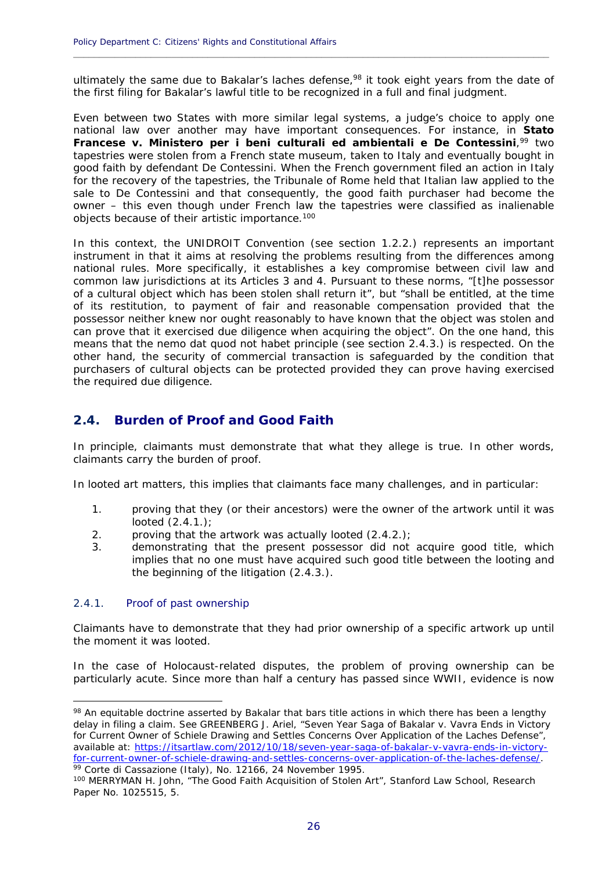ultimately the same due to Bakalar's laches defense,<sup>98</sup> it took eight years from the date of the first filing for Bakalar's lawful title to be recognized in a full and final judgment.

**\_\_\_\_\_\_\_\_\_\_\_\_\_\_\_\_\_\_\_\_\_\_\_\_\_\_\_\_\_\_\_\_\_\_\_\_\_\_\_\_\_\_\_\_\_\_\_\_\_\_\_\_\_\_\_\_\_\_\_\_\_\_\_\_\_\_\_\_\_\_\_\_\_\_\_\_\_\_\_\_\_\_\_\_\_\_\_\_\_\_\_\_**

Even between two States with more similar legal systems, a judge's choice to apply one national law over another may have important consequences. For instance, in *Stato*  **Francese v. Ministero per i beni culturali ed ambientali e De Contessini**,<sup>99</sup> two tapestries were stolen from a French state museum, taken to Italy and eventually bought in good faith by defendant De Contessini. When the French government filed an action in Italy for the recovery of the tapestries, the *Tribunale* of Rome held that Italian law applied to the sale to De Contessini and that consequently, the good faith purchaser had become the owner – this even though under French law the tapestries were classified as inalienable objects because of their artistic importance.100

In this context, the UNIDROIT Convention (see section 1.2.2.) represents an important instrument in that it aims at resolving the problems resulting from the differences among national rules. More specifically, it establishes a key compromise between civil law and common law jurisdictions at its Articles 3 and 4. Pursuant to these norms, "[t]he possessor of a cultural object which has been stolen shall return it", but "shall be entitled, at the time of its restitution, to payment of fair and reasonable compensation provided that the possessor neither knew nor ought reasonably to have known that the object was stolen and can prove that it exercised due diligence when acquiring the object". On the one hand, this means that the *nemo dat quod not habet* principle (see section 2.4.3.) is respected. On the other hand, the security of commercial transaction is safeguarded by the condition that purchasers of cultural objects can be protected provided they can prove having exercised the required due diligence.

### **2.4. Burden of Proof and Good Faith**

In principle, claimants must demonstrate that what they allege is true. In other words, claimants carry the burden of proof.

In looted art matters, this implies that claimants face many challenges, and in particular:

- 1. proving that they (or their ancestors) were the owner of the artwork until it was looted (2.4.1.);
- 2. proving that the artwork was actually looted  $(2.4.2.)$ ;
- 3. demonstrating that the present possessor did not acquire good title, which implies that no one must have acquired such good title between the looting and the beginning of the litigation (2.4.3.).

#### 2.4.1. Proof of past ownership

1

Claimants have to demonstrate that they had prior ownership of a specific artwork up until the moment it was looted.

In the case of Holocaust-related disputes, the problem of proving ownership can be particularly acute. Since more than half a century has passed since WWII, evidence is now

98 An equitable doctrine asserted by Bakalar that bars title actions in which there has been a lengthy delay in filing a claim. See GREENBERG J. Ariel, "Seven Year Saga of Bakalar v. Vavra Ends in Victory for Current Owner of Schiele Drawing and Settles Concerns Over Application of the Laches Defense", available at: https://itsartlaw.com/2012/10/18/seven-year-saga-of-bakalar-v-vavra-ends-in-victoryfor-current-owner-of-schiele-drawing-and-settles-concerns-over-application-of-the-laches-defense.<br><sup>99</sup> Corte di Cassazione (Italy), No. 12166, 24 November 1995.<br><sup>100</sup> MERRYMAN H. John, "The Good Faith Acquisition of Stolen

Paper No. 1025515, 5.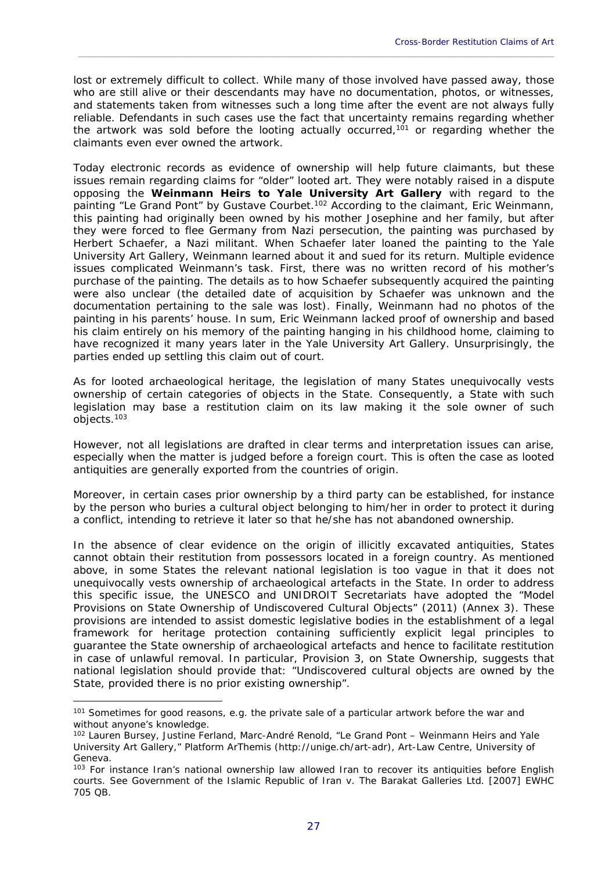lost or extremely difficult to collect. While many of those involved have passed away, those who are still alive or their descendants may have no documentation, photos, or witnesses, and statements taken from witnesses such a long time after the event are not always fully reliable. Defendants in such cases use the fact that uncertainty remains regarding whether the artwork was sold before the looting actually occurred,<sup>101</sup> or regarding whether the claimants even ever owned the artwork.

\_\_\_\_\_\_\_\_\_\_\_\_\_\_\_\_\_\_\_\_\_\_\_\_\_\_\_\_\_\_\_\_\_\_\_\_\_\_\_\_\_\_\_\_\_\_\_\_\_\_\_\_\_\_\_\_\_\_\_\_\_\_\_\_\_\_\_\_\_\_\_\_\_\_\_\_\_\_\_\_\_\_\_\_\_\_\_\_\_\_\_\_

Today electronic records as evidence of ownership will help future claimants, but these issues remain regarding claims for "older" looted art. They were notably raised in a dispute opposing the **Weinmann Heirs to Yale University Art Gallery** with regard to the painting "Le Grand Pont" by Gustave Courbet.102 According to the claimant, Eric Weinmann, this painting had originally been owned by his mother Josephine and her family, but after they were forced to flee Germany from Nazi persecution, the painting was purchased by Herbert Schaefer, a Nazi militant. When Schaefer later loaned the painting to the Yale University Art Gallery, Weinmann learned about it and sued for its return. Multiple evidence issues complicated Weinmann's task. First, there was no written record of his mother's purchase of the painting. The details as to how Schaefer subsequently acquired the painting were also unclear (the detailed date of acquisition by Schaefer was unknown and the documentation pertaining to the sale was lost). Finally, Weinmann had no photos of the painting in his parents' house. In sum, Eric Weinmann lacked proof of ownership and based his claim entirely on his memory of the painting hanging in his childhood home, claiming to have recognized it many years later in the Yale University Art Gallery. Unsurprisingly, the parties ended up settling this claim out of court.

As for looted archaeological heritage, the legislation of many States unequivocally vests ownership of certain categories of objects in the State. Consequently, a State with such legislation may base a restitution claim on its law making it the sole owner of such objects.103

However, not all legislations are drafted in clear terms and interpretation issues can arise, especially when the matter is judged before a foreign court. This is often the case as looted antiquities are generally exported from the countries of origin.

Moreover, in certain cases prior ownership by a third party can be established, for instance by the person who buries a cultural object belonging to him/her in order to protect it during a conflict, intending to retrieve it later so that he/she has not abandoned ownership.

In the absence of clear evidence on the origin of illicitly excavated antiquities, States cannot obtain their restitution from possessors located in a foreign country. As mentioned above, in some States the relevant national legislation is too vague in that it does not unequivocally vests ownership of archaeological artefacts in the State. In order to address this specific issue, the UNESCO and UNIDROIT Secretariats have adopted the "Model Provisions on State Ownership of Undiscovered Cultural Objects" (2011) (Annex 3). These provisions are intended to assist domestic legislative bodies in the establishment of a legal framework for heritage protection containing sufficiently explicit legal principles to guarantee the State ownership of archaeological artefacts and hence to facilitate restitution in case of unlawful removal. In particular, Provision 3, on State Ownership, suggests that national legislation should provide that: "Undiscovered cultural objects are owned by the State, provided there is no prior existing ownership".

<sup>&</sup>lt;sup>101</sup> Sometimes for good reasons, e.g. the private sale of a particular artwork before the war and without anyone's knowledge.

<sup>102</sup> Lauren Bursey, Justine Ferland, Marc-André Renold, "Le Grand Pont – Weinmann Heirs and Yale University Art Gallery," Platform ArThemis (http://unige.ch/art-adr), Art-Law Centre, University of Geneva.

<sup>&</sup>lt;sup>103</sup> For instance Iran's national ownership law allowed Iran to recover its antiquities before English courts. See *Government of the Islamic Republic of Iran v. The Barakat Galleries Ltd*. [2007] EWHC 705 QB.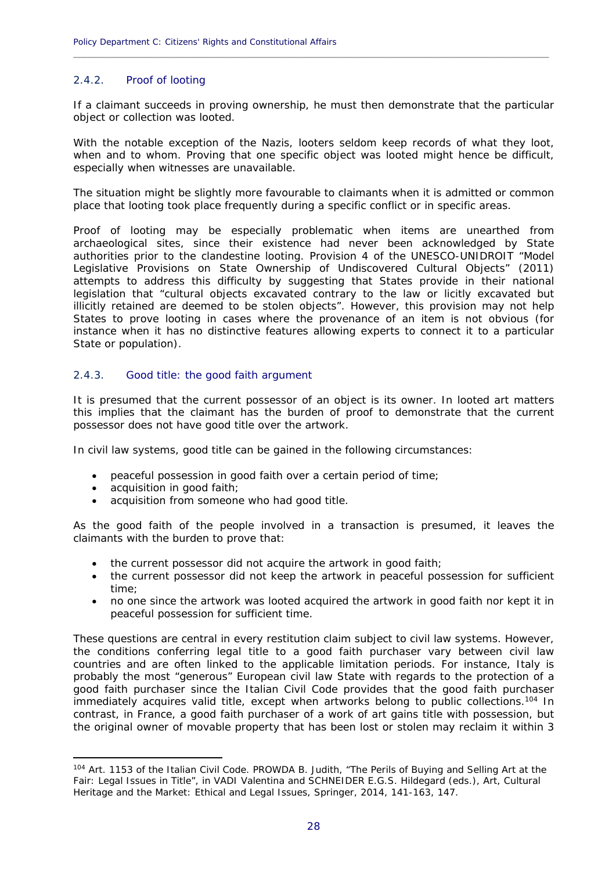#### 2.4.2. Proof of looting

If a claimant succeeds in proving ownership, he must then demonstrate that the particular object or collection was looted.

**\_\_\_\_\_\_\_\_\_\_\_\_\_\_\_\_\_\_\_\_\_\_\_\_\_\_\_\_\_\_\_\_\_\_\_\_\_\_\_\_\_\_\_\_\_\_\_\_\_\_\_\_\_\_\_\_\_\_\_\_\_\_\_\_\_\_\_\_\_\_\_\_\_\_\_\_\_\_\_\_\_\_\_\_\_\_\_\_\_\_\_\_**

With the notable exception of the Nazis, looters seldom keep records of what they loot, when and to whom. Proving that one specific object was looted might hence be difficult, especially when witnesses are unavailable.

The situation might be slightly more favourable to claimants when it is admitted or common place that looting took place frequently during a specific conflict or in specific areas.

Proof of looting may be especially problematic when items are unearthed from archaeological sites, since their existence had never been acknowledged by State authorities prior to the clandestine looting. Provision 4 of the UNESCO-UNIDROIT "Model Legislative Provisions on State Ownership of Undiscovered Cultural Objects" (2011) attempts to address this difficulty by suggesting that States provide in their national legislation that "cultural objects excavated contrary to the law or licitly excavated but illicitly retained are deemed to be stolen objects". However, this provision may not help States to prove looting in cases where the provenance of an item is not obvious (for instance when it has no distinctive features allowing experts to connect it to a particular State or population).

#### 2.4.3. Good title: the good faith argument

It is presumed that the current possessor of an object is its owner. In looted art matters this implies that the claimant has the burden of proof to demonstrate that the current possessor does not have good title over the artwork.

In civil law systems, good title can be gained in the following circumstances:

- peaceful possession in good faith over a certain period of time;
- acquisition in good faith;

1

acquisition from someone who had good title.

As the good faith of the people involved in a transaction is presumed, it leaves the claimants with the burden to prove that:

- the current possessor did not acquire the artwork in good faith;
- the current possessor did not keep the artwork in peaceful possession for sufficient time;
- no one since the artwork was looted acquired the artwork in good faith nor kept it in peaceful possession for sufficient time.

These questions are central in every restitution claim subject to civil law systems. However, the conditions conferring legal title to a good faith purchaser vary between civil law countries and are often linked to the applicable limitation periods. For instance, Italy is probably the most "generous" European civil law State with regards to the protection of a good faith purchaser since the Italian Civil Code provides that the good faith purchaser immediately acquires valid title, except when artworks belong to public collections.<sup>104</sup> In contrast, in France, a good faith purchaser of a work of art gains title with possession, but the original owner of movable property that has been lost or stolen may reclaim it within 3

<sup>104</sup> Art. 1153 of the Italian Civil Code. PROWDA B. Judith, "The Perils of Buying and Selling Art at the Fair: Legal Issues in Title", in VADI Valentina and SCHNEIDER E.G.S. Hildegard (eds.), *Art, Cultural Heritage and the Market: Ethical and Legal Issues*, Springer, 2014, 141-163, 147.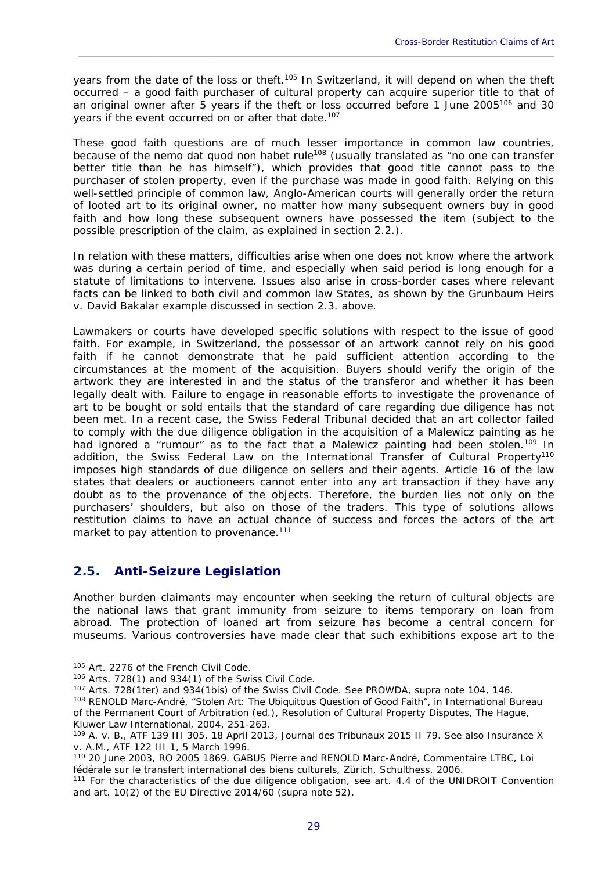years from the date of the loss or theft.<sup>105</sup> In Switzerland, it will depend on when the theft occurred – a good faith purchaser of cultural property can acquire superior title to that of an original owner after 5 years if the theft or loss occurred before 1 June 2005<sup>106</sup> and 30 years if the event occurred on or after that date.<sup>107</sup>

\_\_\_\_\_\_\_\_\_\_\_\_\_\_\_\_\_\_\_\_\_\_\_\_\_\_\_\_\_\_\_\_\_\_\_\_\_\_\_\_\_\_\_\_\_\_\_\_\_\_\_\_\_\_\_\_\_\_\_\_\_\_\_\_\_\_\_\_\_\_\_\_\_\_\_\_\_\_\_\_\_\_\_\_\_\_\_\_\_\_\_\_

These good faith questions are of much lesser importance in common law countries, because of the *nemo dat quod non habet* rule108 (usually translated as "no one can transfer better title than he has himself"), which provides that good title cannot pass to the purchaser of stolen property, even if the purchase was made in good faith. Relying on this well-settled principle of common law, Anglo-American courts will generally order the return of looted art to its original owner, no matter how many subsequent owners buy in good faith and how long these subsequent owners have possessed the item (subject to the possible prescription of the claim, as explained in section 2.2.).

In relation with these matters, difficulties arise when one does not know where the artwork was during a certain period of time, and especially when said period is long enough for a statute of limitations to intervene. Issues also arise in cross-border cases where relevant facts can be linked to both civil and common law States, as shown by the *Grunbaum Heirs v. David Bakalar* example discussed in section 2.3. above.

Lawmakers or courts have developed specific solutions with respect to the issue of good faith. For example, in Switzerland, the possessor of an artwork cannot rely on his good faith if he cannot demonstrate that he paid sufficient attention according to the circumstances at the moment of the acquisition. Buyers should verify the origin of the artwork they are interested in and the status of the transferor and whether it has been legally dealt with. Failure to engage in reasonable efforts to investigate the provenance of art to be bought or sold entails that the standard of care regarding due diligence has not been met. In a recent case, the Swiss Federal Tribunal decided that an art collector failed to comply with the due diligence obligation in the acquisition of a Malewicz painting as he had ignored a "rumour" as to the fact that a Malewicz painting had been stolen.<sup>109</sup> In addition, the Swiss *Federal Law on the International Transfer of Cultural Property*<sup>110</sup> imposes high standards of due diligence on sellers and their agents. Article 16 of the law states that dealers or auctioneers cannot enter into any art transaction if they have any doubt as to the provenance of the objects. Therefore, the burden lies not only on the purchasers' shoulders, but also on those of the traders. This type of solutions allows restitution claims to have an actual chance of success and forces the actors of the art market to pay attention to provenance.<sup>111</sup>

# **2.5. Anti-Seizure Legislation**

Another burden claimants may encounter when seeking the return of cultural objects are the national laws that grant immunity from seizure to items temporary on loan from abroad. The protection of loaned art from seizure has become a central concern for museums. Various controversies have made clear that such exhibitions expose art to the

1

<sup>105</sup> Art. 2276 of the French Civil Code.<br><sup>106</sup> Arts. 728(1) and 934(1) of the Swiss Civil Code.<br><sup>107</sup> Arts. 728(1ter) and 934(1bis) of the Swiss Civil Code. See PROWDA, supra note 104, 146.<br><sup>108</sup> RENOLD Marc-André, "Stole of the Permanent Court of Arbitration (ed.), *Resolution of Cultural Property Disputes*, The Hague, Kluwer Law International, 2004, 251-263.

<sup>109</sup> *A. v. B.*, ATF 139 III 305, 18 April 2013, Journal des Tribunaux 2015 II 79. See also *Insurance X v. A.M.*, ATF 122 III 1, 5 March 1996.<br><sup>110</sup> 20 June 2003, RO 2005 1869. GABUS Pierre and RENOLD Marc-André, *Commentaire LTBC, Loi* 

*fédérale sur le transfert international des biens culturels*, Zürich, Schulthess, 2006.<br><sup>111</sup> For the characteristics of the due diligence obligation, see art. 4.4 of the UNIDROIT Convention

and art. 10(2) of the EU Directive 2014/60 (supra note 52).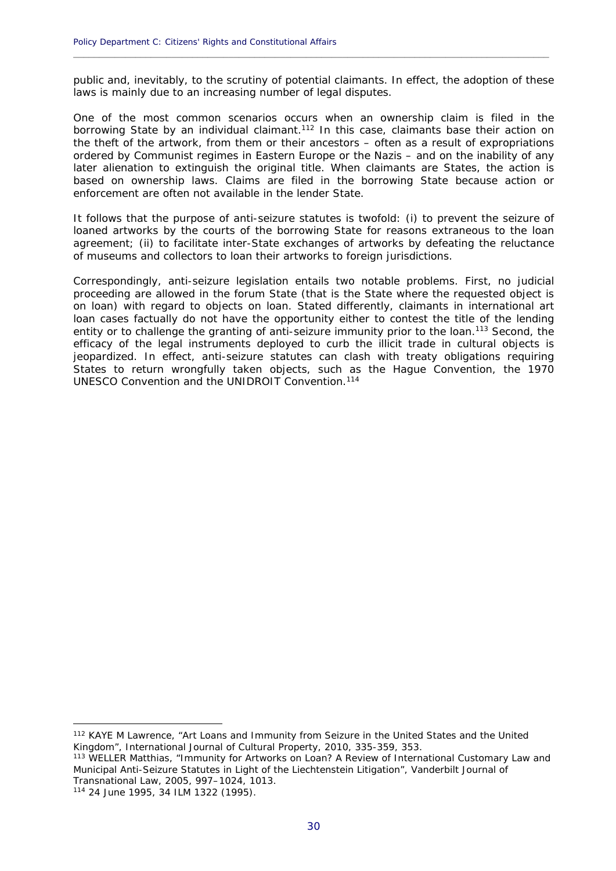public and, inevitably, to the scrutiny of potential claimants. In effect, the adoption of these laws is mainly due to an increasing number of legal disputes.

**\_\_\_\_\_\_\_\_\_\_\_\_\_\_\_\_\_\_\_\_\_\_\_\_\_\_\_\_\_\_\_\_\_\_\_\_\_\_\_\_\_\_\_\_\_\_\_\_\_\_\_\_\_\_\_\_\_\_\_\_\_\_\_\_\_\_\_\_\_\_\_\_\_\_\_\_\_\_\_\_\_\_\_\_\_\_\_\_\_\_\_\_**

One of the most common scenarios occurs when an ownership claim is filed in the borrowing State by an individual claimant.<sup>112</sup> In this case, claimants base their action on the theft of the artwork, from them or their ancestors – often as a result of expropriations ordered by Communist regimes in Eastern Europe or the Nazis – and on the inability of any later alienation to extinguish the original title. When claimants are States, the action is based on ownership laws. Claims are filed in the borrowing State because action or enforcement are often not available in the lender State.

It follows that the purpose of anti-seizure statutes is twofold: (i) to prevent the seizure of loaned artworks by the courts of the borrowing State for reasons extraneous to the loan agreement; (ii) to facilitate inter-State exchanges of artworks by defeating the reluctance of museums and collectors to loan their artworks to foreign jurisdictions.

Correspondingly, anti-seizure legislation entails two notable problems. First, no judicial proceeding are allowed in the forum State (that is the State where the requested object is on loan) with regard to objects on loan. Stated differently, claimants in international art loan cases factually do not have the opportunity either to contest the title of the lending entity or to challenge the granting of anti-seizure immunity prior to the loan.<sup>113</sup> Second, the efficacy of the legal instruments deployed to curb the illicit trade in cultural objects is jeopardized. In effect, anti-seizure statutes can clash with treaty obligations requiring States to return wrongfully taken objects, such as the Hague Convention, the 1970 UNESCO Convention and the UNIDROIT Convention.114

<u>.</u>

<sup>112</sup> KAYE M Lawrence, "Art Loans and Immunity from Seizure in the United States and the United Kingdom", International Journal of Cultural Property, 2010, 335-359, 353.

<sup>113</sup> WELLER Matthias, "Immunity for Artworks on Loan? A Review of International Customary Law and Municipal Anti-Seizure Statutes in Light of the *Liechtenstein* Litigation", Vanderbilt Journal of Transnational Law, 2005, 997–1024, 1013.

<sup>114 24</sup> June 1995, 34 ILM 1322 (1995).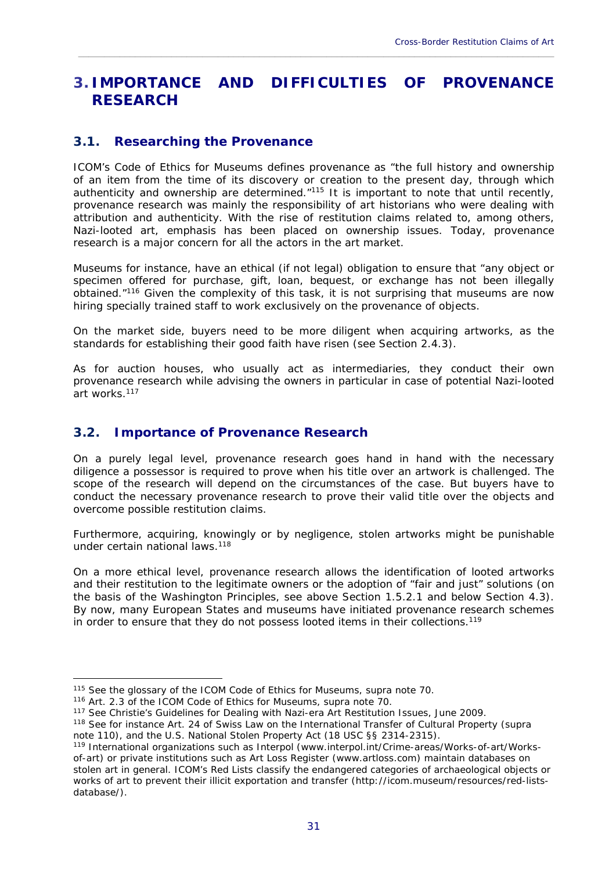# **3. IMPORTANCE AND DIFFICULTIES OF PROVENANCE RESEARCH**

\_\_\_\_\_\_\_\_\_\_\_\_\_\_\_\_\_\_\_\_\_\_\_\_\_\_\_\_\_\_\_\_\_\_\_\_\_\_\_\_\_\_\_\_\_\_\_\_\_\_\_\_\_\_\_\_\_\_\_\_\_\_\_\_\_\_\_\_\_\_\_\_\_\_\_\_\_\_\_\_\_\_\_\_\_\_\_\_\_\_\_\_

### **3.1. Researching the Provenance**

ICOM's Code of Ethics for Museums defines provenance as "the full history and ownership of an item from the time of its discovery or creation to the present day, through which authenticity and ownership are determined.<sup>"115</sup> It is important to note that until recently, provenance research was mainly the responsibility of art historians who were dealing with attribution and authenticity. With the rise of restitution claims related to, among others, Nazi-looted art, emphasis has been placed on ownership issues. Today, provenance research is a major concern for all the actors in the art market.

Museums for instance, have an ethical (if not legal) obligation to ensure that "any object or specimen offered for purchase, gift, loan, bequest, or exchange has not been illegally obtained."116 Given the complexity of this task, it is not surprising that museums are now hiring specially trained staff to work exclusively on the provenance of objects.

On the market side, buyers need to be more diligent when acquiring artworks, as the standards for establishing their good faith have risen (see Section 2.4.3).

As for auction houses, who usually act as intermediaries, they conduct their own provenance research while advising the owners in particular in case of potential Nazi-looted art works.<sup>117</sup>

### **3.2. Importance of Provenance Research**

On a purely legal level, provenance research goes hand in hand with the necessary diligence a possessor is required to prove when his title over an artwork is challenged. The scope of the research will depend on the circumstances of the case. But buyers have to conduct the necessary provenance research to prove their valid title over the objects and overcome possible restitution claims.

Furthermore, acquiring, knowingly or by negligence, stolen artworks might be punishable under certain national laws.<sup>118</sup>

On a more ethical level, provenance research allows the identification of looted artworks and their restitution to the legitimate owners or the adoption of "fair and just" solutions (on the basis of the Washington Principles, see above Section 1.5.2.1 and below Section 4.3). By now, many European States and museums have initiated provenance research schemes in order to ensure that they do not possess looted items in their collections.119

<sup>&</sup>lt;sup>115</sup> See the glossary of the ICOM Code of Ethics for Museums, supra note 70.<br><sup>116</sup> Art. 2.3 of the ICOM Code of Ethics for Museums, supra note 70.<br><sup>117</sup> See Christie's Guidelines for Dealing with Nazi-era Art Restitution note 110), and the U.S. National Stolen Property Act (18 USC §§ 2314-2315).

<sup>119</sup> International organizations such as Interpol (www.interpol.int/Crime-areas/Works-of-art/Worksof-art) or private institutions such as Art Loss Register (www.artloss.com) maintain databases on stolen art in general. ICOM's Red Lists classify the endangered categories of archaeological objects or works of art to prevent their illicit exportation and transfer (http://icom.museum/resources/red-listsdatabase/).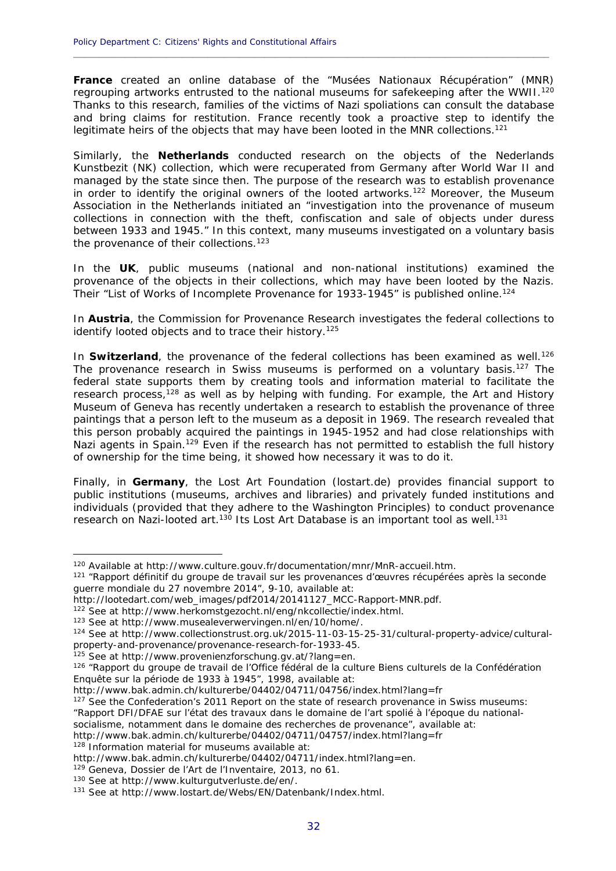**France** created an online database of the "Musées Nationaux Récupération" (MNR) regrouping artworks entrusted to the national museums for safekeeping after the WWII.<sup>120</sup> Thanks to this research, families of the victims of Nazi spoliations can consult the database and bring claims for restitution. France recently took a proactive step to identify the legitimate heirs of the objects that may have been looted in the MNR collections.<sup>121</sup>

**\_\_\_\_\_\_\_\_\_\_\_\_\_\_\_\_\_\_\_\_\_\_\_\_\_\_\_\_\_\_\_\_\_\_\_\_\_\_\_\_\_\_\_\_\_\_\_\_\_\_\_\_\_\_\_\_\_\_\_\_\_\_\_\_\_\_\_\_\_\_\_\_\_\_\_\_\_\_\_\_\_\_\_\_\_\_\_\_\_\_\_\_**

Similarly, the **Netherlands** conducted research on the objects of the Nederlands Kunstbezit (NK) collection, which were recuperated from Germany after World War II and managed by the state since then. The purpose of the research was to establish provenance in order to identify the original owners of the looted artworks.<sup>122</sup> Moreover, the Museum Association in the Netherlands initiated an "investigation into the provenance of museum collections in connection with the theft, confiscation and sale of objects under duress between 1933 and 1945." In this context, many museums investigated on a voluntary basis the provenance of their collections.<sup>123</sup>

In the **UK**, public museums (national and non-national institutions) examined the provenance of the objects in their collections, which may have been looted by the Nazis. Their "List of Works of Incomplete Provenance for 1933-1945" is published online.124

In **Austria**, the Commission for Provenance Research investigates the federal collections to identify looted objects and to trace their history.<sup>125</sup>

In **Switzerland**, the provenance of the federal collections has been examined as well.<sup>126</sup> The provenance research in Swiss museums is performed on a voluntary basis.<sup>127</sup> The federal state supports them by creating tools and information material to facilitate the research process,128 as well as by helping with funding. For example, the Art and History Museum of Geneva has recently undertaken a research to establish the provenance of three paintings that a person left to the museum as a deposit in 1969. The research revealed that this person probably acquired the paintings in 1945-1952 and had close relationships with Nazi agents in Spain.<sup>129</sup> Even if the research has not permitted to establish the full history of ownership for the time being, it showed how necessary it was to do it.

Finally, in **Germany**, the Lost Art Foundation (lostart.de) provides financial support to public institutions (museums, archives and libraries) and privately funded institutions and individuals (provided that they adhere to the Washington Principles) to conduct provenance research on Nazi-looted art.<sup>130</sup> Its Lost Art Database is an important tool as well.<sup>131</sup>

125 See at http://www.provenienzforschung.gv.at/?lang=en.<br>126 "Rapport du groupe de travail de l'Office fédéral de la culture Biens culturels de la Confédération Enquête sur la période de 1933 à 1945", 1998, available at:

"Rapport DFI/DFAE sur l'état des travaux dans le domaine de l'art spolié à l'époque du national-

socialisme, notamment dans le domaine des recherches de provenance", available at:

http://www.bak.admin.ch/kulturerbe/04402/04711/04757/index.html?lang=fr 128 Information material for museums available at:

<sup>&</sup>lt;sup>120</sup> Available at http://www.culture.gouv.fr/documentation/mnr/MnR-accueil.htm.<br><sup>121</sup> "Rapport définitif du groupe de travail sur les provenances d'œuvres récupérées après la seconde guerre mondiale du 27 novembre 2014", 9-10, available at:

http://lootedart.com/web\_images/pdf2014/20141127\_MCC-Rapport-MNR.pdf.

<sup>&</sup>lt;sup>122</sup> See at http://www.herkomstgezocht.nl/eng/nkcollectie/index.html.<br><sup>123</sup> See at http://www.musealeverwervingen.nl/en/10/home/.<br><sup>124</sup> See at http://www.collectionstrust.org.uk/2015-11-03-15-25-31/cultural-property-advic property-and-provenance/provenance-research-for-1933-45.

http://www.bak.admin.ch/kulturerbe/04402/04711/04756/index.html?lang=fr<br><sup>127</sup> See the Confederation's 2011 Report on the state of research provenance in Swiss museums:

http://www.bak.admin.ch/kulturerbe/04402/04711/index.html?lang=en.<br><sup>129</sup> Geneva, Dossier de l'Art de l'Inventaire, 2013, no 61.<br><sup>130</sup> See at http://www.kulturgutverluste.de/en/.<br><sup>131</sup> See at http://www.lostart.de/Webs/EN/D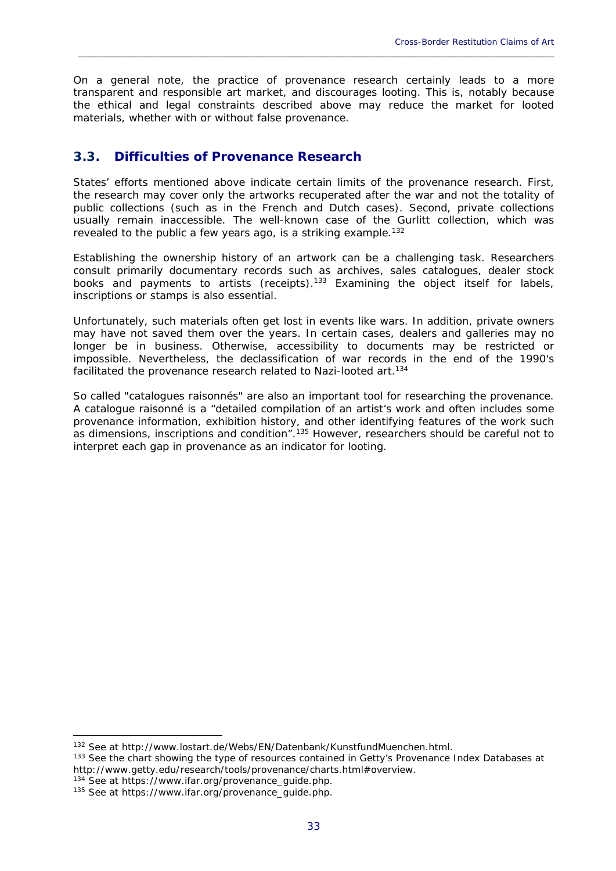On a general note, the practice of provenance research certainly leads to a more transparent and responsible art market, and discourages looting. This is, notably because the ethical and legal constraints described above may reduce the market for looted materials, whether with or without false provenance.

\_\_\_\_\_\_\_\_\_\_\_\_\_\_\_\_\_\_\_\_\_\_\_\_\_\_\_\_\_\_\_\_\_\_\_\_\_\_\_\_\_\_\_\_\_\_\_\_\_\_\_\_\_\_\_\_\_\_\_\_\_\_\_\_\_\_\_\_\_\_\_\_\_\_\_\_\_\_\_\_\_\_\_\_\_\_\_\_\_\_\_\_

# **3.3. Difficulties of Provenance Research**

States' efforts mentioned above indicate certain limits of the provenance research. First, the research may cover only the artworks recuperated after the war and not the totality of public collections (such as in the French and Dutch cases). Second, private collections usually remain inaccessible. The well-known case of the Gurlitt collection, which was revealed to the public a few years ago, is a striking example.<sup>132</sup>

Establishing the ownership history of an artwork can be a challenging task. Researchers consult primarily documentary records such as archives, sales catalogues, dealer stock books and payments to artists (receipts).<sup>133</sup> Examining the object itself for labels, inscriptions or stamps is also essential.

Unfortunately, such materials often get lost in events like wars. In addition, private owners may have not saved them over the years. In certain cases, dealers and galleries may no longer be in business. Otherwise, accessibility to documents may be restricted or impossible. Nevertheless, the declassification of war records in the end of the 1990's facilitated the provenance research related to Nazi-looted art.<sup>134</sup>

So called "catalogues raisonnés" are also an important tool for researching the provenance. A catalogue raisonné is a "detailed compilation of an artist's work and often includes some provenance information, exhibition history, and other identifying features of the work such as dimensions, inscriptions and condition".<sup>135</sup> However, researchers should be careful not to interpret each gap in provenance as an indicator for looting.

<sup>&</sup>lt;sup>132</sup> See at http://www.lostart.de/Webs/EN/Datenbank/KunstfundMuenchen.html.<br><sup>133</sup> See the chart showing the type of resources contained in Getty's Provenance Index Databases at http://www.getty.edu/research/tools/provenance/charts.html#overview.<br><sup>134</sup> See at https://www.ifar.org/provenance\_guide.php.<br><sup>135</sup> See at https://www.ifar.org/provenance\_guide.php.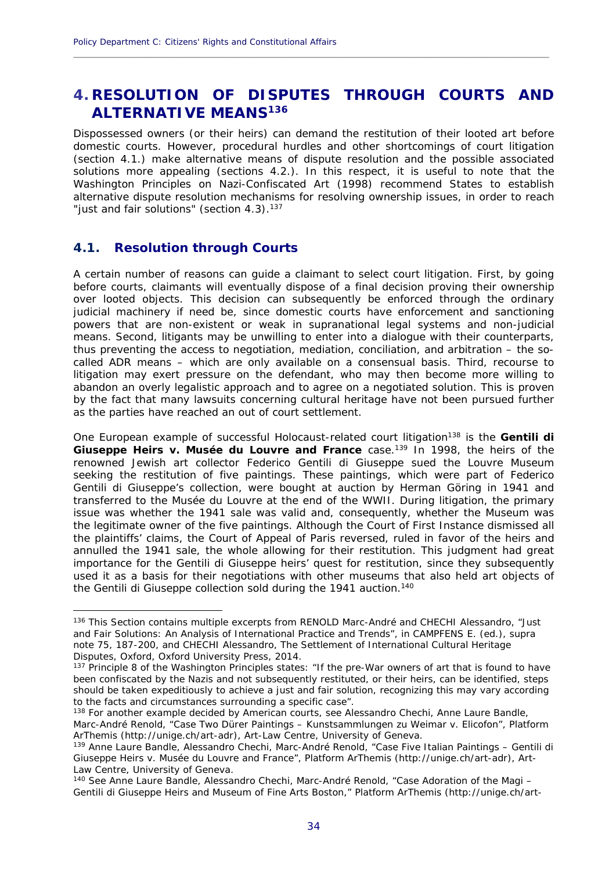# **4. RESOLUTION OF DISPUTES THROUGH COURTS AND ALTERNATIVE MEANS136**

**\_\_\_\_\_\_\_\_\_\_\_\_\_\_\_\_\_\_\_\_\_\_\_\_\_\_\_\_\_\_\_\_\_\_\_\_\_\_\_\_\_\_\_\_\_\_\_\_\_\_\_\_\_\_\_\_\_\_\_\_\_\_\_\_\_\_\_\_\_\_\_\_\_\_\_\_\_\_\_\_\_\_\_\_\_\_\_\_\_\_\_\_**

Dispossessed owners (or their heirs) can demand the restitution of their looted art before domestic courts. However, procedural hurdles and other shortcomings of court litigation (section 4.1.) make alternative means of dispute resolution and the possible associated solutions more appealing (sections 4.2.). In this respect, it is useful to note that the Washington Principles on Nazi-Confiscated Art (1998) recommend States to establish alternative dispute resolution mechanisms for resolving ownership issues, in order to reach "just and fair solutions" (section 4.3).<sup>137</sup>

### **4.1. Resolution through Courts**

1

A certain number of reasons can guide a claimant to select court litigation. First, by going before courts, claimants will eventually dispose of a final decision proving their ownership over looted objects. This decision can subsequently be enforced through the ordinary judicial machinery if need be, since domestic courts have enforcement and sanctioning powers that are non-existent or weak in supranational legal systems and non-judicial means. Second, litigants may be unwilling to enter into a dialogue with their counterparts, thus preventing the access to negotiation, mediation, conciliation, and arbitration – the socalled ADR means – which are only available on a consensual basis. Third, recourse to litigation may exert pressure on the defendant, who may then become more willing to abandon an overly legalistic approach and to agree on a negotiated solution. This is proven by the fact that many lawsuits concerning cultural heritage have not been pursued further as the parties have reached an out of court settlement.

One European example of successful Holocaust-related court litigation<sup>138</sup> is the *Gentili di Giuseppe Heirs v. Musée du Louvre and France* case.139 In 1998, the heirs of the renowned Jewish art collector Federico Gentili di Giuseppe sued the Louvre Museum seeking the restitution of five paintings. These paintings, which were part of Federico Gentili di Giuseppe's collection, were bought at auction by Herman Göring in 1941 and transferred to the Musée du Louvre at the end of the WWII. During litigation, the primary issue was whether the 1941 sale was valid and, consequently, whether the Museum was the legitimate owner of the five paintings. Although the Court of First Instance dismissed all the plaintiffs' claims, the Court of Appeal of Paris reversed, ruled in favor of the heirs and annulled the 1941 sale, the whole allowing for their restitution. This judgment had great importance for the Gentili di Giuseppe heirs' quest for restitution, since they subsequently used it as a basis for their negotiations with other museums that also held art objects of the Gentili di Giuseppe collection sold during the 1941 auction.<sup>140</sup>

<sup>136</sup> This Section contains multiple excerpts from RENOLD Marc-André and CHECHI Alessandro, "Just and Fair Solutions: An Analysis of International Practice and Trends", in CAMPFENS E. (ed.), supra note 75, 187-200, and CHECHI Alessandro, *The Settlement of International Cultural Heritage Disputes*, Oxford, Oxford University Press, 2014.<br><sup>137</sup> Principle 8 of the Washington Principles states: "If the pre-War owners of art that is found to have

been confiscated by the Nazis and not subsequently restituted, or their heirs, can be identified, steps should be taken expeditiously to achieve a just and fair solution, recognizing this may vary according to the facts and circumstances surrounding a specific case".

<sup>&</sup>lt;sup>138</sup> For another example decided by American courts, see Alessandro Chechi, Anne Laure Bandle, Marc-André Renold, "Case Two Dürer Paintings – Kunstsammlungen zu Weimar v. Elicofon", Platform ArThemis (http://unige.ch/art-adr), Art-Law Centre, University of Geneva.<br><sup>139</sup> Anne Laure Bandle, Alessandro Chechi, Marc-André Renold, "Case Five Italian Paintings – Gentili di

Giuseppe Heirs v. Musée du Louvre and France", Platform ArThemis (http://unige.ch/art-adr), Art-Law Centre, University of Geneva.

<sup>140</sup> See Anne Laure Bandle, Alessandro Chechi, Marc-André Renold, "Case Adoration of the Magi – Gentili di Giuseppe Heirs and Museum of Fine Arts Boston," Platform ArThemis (http://unige.ch/art-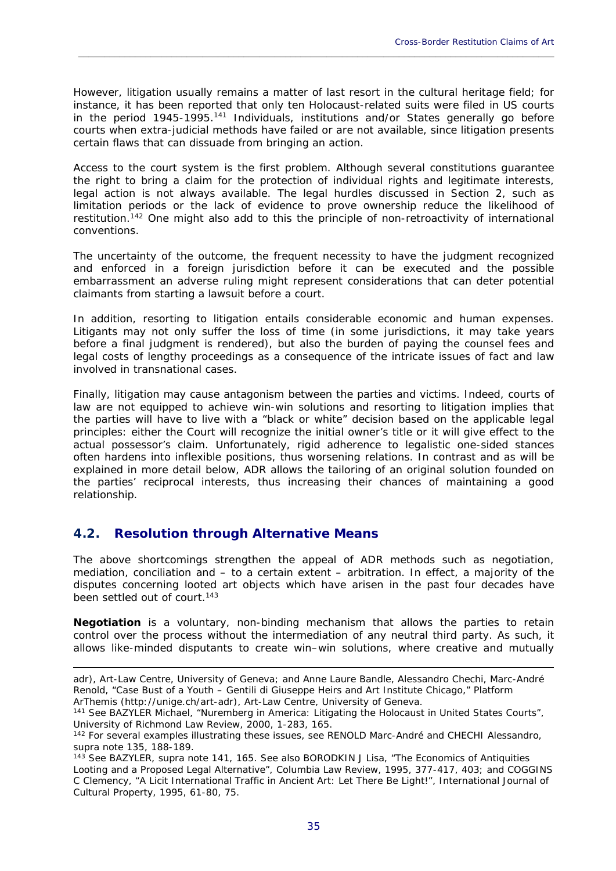However, litigation usually remains a matter of last resort in the cultural heritage field; for instance, it has been reported that only ten Holocaust-related suits were filed in US courts in the period 1945-1995.<sup>141</sup> Individuals, institutions and/or States generally go before courts when extra-judicial methods have failed or are not available, since litigation presents certain flaws that can dissuade from bringing an action.

\_\_\_\_\_\_\_\_\_\_\_\_\_\_\_\_\_\_\_\_\_\_\_\_\_\_\_\_\_\_\_\_\_\_\_\_\_\_\_\_\_\_\_\_\_\_\_\_\_\_\_\_\_\_\_\_\_\_\_\_\_\_\_\_\_\_\_\_\_\_\_\_\_\_\_\_\_\_\_\_\_\_\_\_\_\_\_\_\_\_\_\_

Access to the court system is the first problem. Although several constitutions guarantee the right to bring a claim for the protection of individual rights and legitimate interests, legal action is not always available. The legal hurdles discussed in Section 2, such as limitation periods or the lack of evidence to prove ownership reduce the likelihood of restitution.<sup>142</sup> One might also add to this the principle of non-retroactivity of international conventions.

The uncertainty of the outcome, the frequent necessity to have the judgment recognized and enforced in a foreign jurisdiction before it can be executed and the possible embarrassment an adverse ruling might represent considerations that can deter potential claimants from starting a lawsuit before a court.

In addition, resorting to litigation entails considerable economic and human expenses. Litigants may not only suffer the loss of time (in some jurisdictions, it may take years before a final judgment is rendered), but also the burden of paying the counsel fees and legal costs of lengthy proceedings as a consequence of the intricate issues of fact and law involved in transnational cases.

Finally, litigation may cause antagonism between the parties and victims. Indeed, courts of law are not equipped to achieve win-win solutions and resorting to litigation implies that the parties will have to live with a "black or white" decision based on the applicable legal principles: either the Court will recognize the initial owner's title or it will give effect to the actual possessor's claim. Unfortunately, rigid adherence to legalistic one-sided stances often hardens into inflexible positions, thus worsening relations. In contrast and as will be explained in more detail below, ADR allows the tailoring of an original solution founded on the parties' reciprocal interests, thus increasing their chances of maintaining a good relationship.

# **4.2. Resolution through Alternative Means**

1

The above shortcomings strengthen the appeal of ADR methods such as negotiation, mediation, conciliation and – to a certain extent – arbitration. In effect, a majority of the disputes concerning looted art objects which have arisen in the past four decades have been settled out of court.<sup>143</sup>

**Negotiation** is a voluntary, non-binding mechanism that allows the parties to retain control over the process without the intermediation of any neutral third party. As such, it allows like-minded disputants to create win–win solutions, where creative and mutually

adr), Art-Law Centre, University of Geneva; and Anne Laure Bandle, Alessandro Chechi, Marc-André Renold, "Case Bust of a Youth – Gentili di Giuseppe Heirs and Art Institute Chicago," Platform

ArThemis (http://unige.ch/art-adr), Art-Law Centre, University of Geneva.<br><sup>141</sup> See BAZYLER Michael, "Nuremberg in America: Litigating the Holocaust in United States Courts", University of Richmond Law Review, 2000, 1-283, 165.

<sup>142</sup> For several examples illustrating these issues, see RENOLD Marc-André and CHECHI Alessandro, supra note 135, 188-189.

<sup>143</sup> See BAZYLER, supra note 141, 165. See also BORODKIN J Lisa, "The Economics of Antiquities Looting and a Proposed Legal Alternative", Columbia Law Review, 1995, 377-417, 403; and COGGINS C Clemency, "A Licit International Traffic in Ancient Art: Let There Be Light!", International Journal of Cultural Property, 1995, 61-80, 75.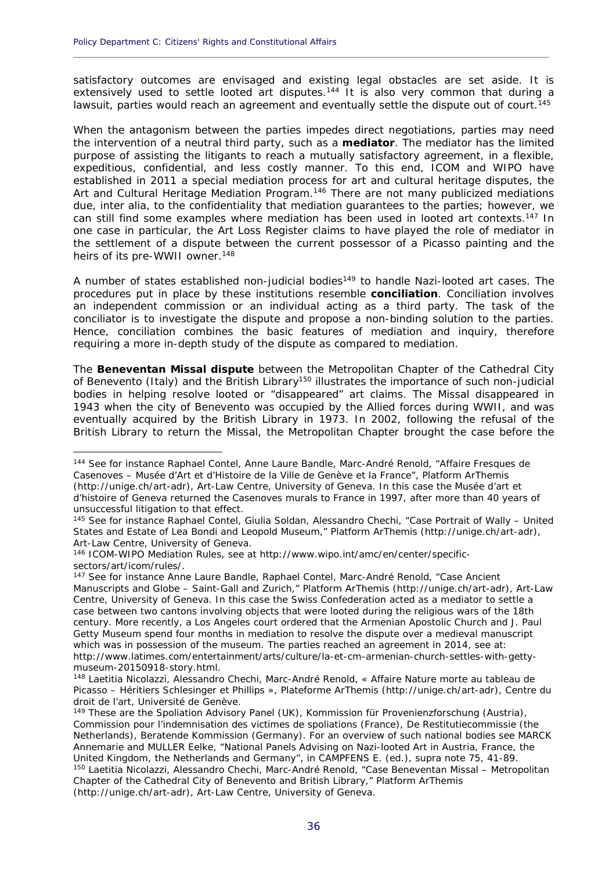<u>.</u>

satisfactory outcomes are envisaged and existing legal obstacles are set aside. It is extensively used to settle looted art disputes.<sup>144</sup> It is also very common that during a lawsuit, parties would reach an agreement and eventually settle the dispute out of court.<sup>145</sup>

**\_\_\_\_\_\_\_\_\_\_\_\_\_\_\_\_\_\_\_\_\_\_\_\_\_\_\_\_\_\_\_\_\_\_\_\_\_\_\_\_\_\_\_\_\_\_\_\_\_\_\_\_\_\_\_\_\_\_\_\_\_\_\_\_\_\_\_\_\_\_\_\_\_\_\_\_\_\_\_\_\_\_\_\_\_\_\_\_\_\_\_\_**

When the antagonism between the parties impedes direct negotiations, parties may need the intervention of a neutral third party, such as a **mediator**. The mediator has the limited purpose of assisting the litigants to reach a mutually satisfactory agreement, in a flexible, expeditious, confidential, and less costly manner. To this end, ICOM and WIPO have established in 2011 a special mediation process for art and cultural heritage disputes, the Art and Cultural Heritage Mediation Program.<sup>146</sup> There are not many publicized mediations due, *inter alia*, to the confidentiality that mediation guarantees to the parties; however, we can still find some examples where mediation has been used in looted art contexts.147 In one case in particular, the Art Loss Register claims to have played the role of mediator in the settlement of a dispute between the current possessor of a Picasso painting and the heirs of its pre-WWII owner.<sup>148</sup>

A number of states established non-judicial bodies<sup>149</sup> to handle Nazi-looted art cases. The procedures put in place by these institutions resemble **conciliation**. Conciliation involves an independent commission or an individual acting as a third party. The task of the conciliator is to investigate the dispute and propose a non-binding solution to the parties. Hence, conciliation combines the basic features of mediation and inquiry, therefore requiring a more in-depth study of the dispute as compared to mediation.

The **Beneventan Missal dispute** between the Metropolitan Chapter of the Cathedral City of Benevento (Italy) and the British Library<sup>150</sup> illustrates the importance of such non-judicial bodies in helping resolve looted or "disappeared" art claims. The Missal disappeared in 1943 when the city of Benevento was occupied by the Allied forces during WWII, and was eventually acquired by the British Library in 1973. In 2002, following the refusal of the British Library to return the Missal, the Metropolitan Chapter brought the case before the

<sup>144</sup> See for instance Raphael Contel, Anne Laure Bandle, Marc-André Renold, "Affaire Fresques de Casenoves – Musée d'Art et d'Histoire de la Ville de Genève et la France", Platform ArThemis (http://unige.ch/art-adr), Art-Law Centre, University of Geneva. In this case the *Musée d'art et d'histoire* of Geneva returned the Casenoves murals to France in 1997, after more than 40 years of unsuccessful litigation to that effect.

<sup>145</sup> See for instance Raphael Contel, Giulia Soldan, Alessandro Chechi, "Case Portrait of Wally – United States and Estate of Lea Bondi and Leopold Museum," Platform ArThemis (http://unige.ch/art-adr), Art-Law Centre, University of Geneva.

<sup>146</sup> ICOM-WIPO Mediation Rules, see at http://www.wipo.int/amc/en/center/specificsectors/art/icom/rules/.

<sup>&</sup>lt;sup>147</sup> See for instance Anne Laure Bandle, Raphael Contel, Marc-André Renold, "Case Ancient Manuscripts and Globe – Saint-Gall and Zurich," Platform ArThemis (http://unige.ch/art-adr), Art-Law Centre, University of Geneva. In this case the Swiss Confederation acted as a mediator to settle a case between two cantons involving objects that were looted during the religious wars of the 18th century. More recently, a Los Angeles court ordered that the Armenian Apostolic Church and J. Paul Getty Museum spend four months in mediation to resolve the dispute over a medieval manuscript which was in possession of the museum. The parties reached an agreement in 2014, see at: http://www.latimes.com/entertainment/arts/culture/la-et-cm-armenian-church-settles-with-gettymuseum-20150918-story.html.

<sup>148</sup> Laetitia Nicolazzi, Alessandro Chechi, Marc-André Renold, « Affaire Nature morte au tableau de Picasso – Héritiers Schlesinger et Phillips », Plateforme ArThemis (http://unige.ch/art-adr), Centre du droit de l'art, Université de Genève.

<sup>&</sup>lt;sup>149</sup> These are the Spoliation Advisory Panel (UK), Kommission für Provenienzforschung (Austria), Commission pour l'indemnisation des victimes de spoliations (France), De Restitutiecommissie (the Netherlands), Beratende Kommission (Germany). For an overview of such national bodies see MARCK Annemarie and MULLER Eelke, "National Panels Advising on Nazi-looted Art in Austria, France, the United Kingdom, the Netherlands and Germany", in CAMPFENS E. (ed.), supra note 75, 41-89.<br><sup>150</sup> Laetitia Nicolazzi, Alessandro Chechi, Marc-André Renold, "Case Beneventan Missal – Metropolitan Chapter of the Cathedral City of Benevento and British Library," Platform ArThemis (http://unige.ch/art-adr), Art-Law Centre, University of Geneva.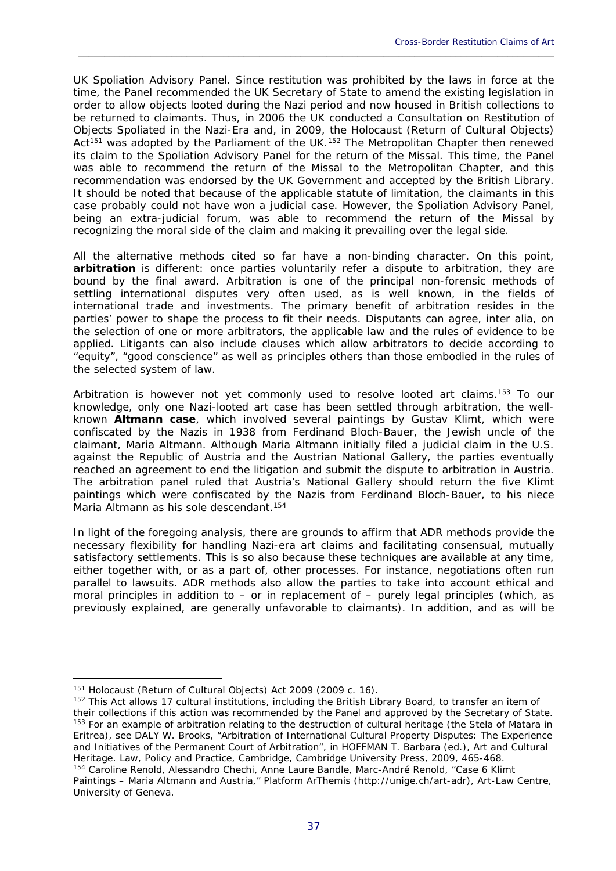UK Spoliation Advisory Panel. Since restitution was prohibited by the laws in force at the time, the Panel recommended the UK Secretary of State to amend the existing legislation in order to allow objects looted during the Nazi period and now housed in British collections to be returned to claimants. Thus, in 2006 the UK conducted a *Consultation on Restitution of Objects Spoliated in the Nazi-Era* and, in 2009, the *Holocaust (Return of Cultural Objects)*  Act<sup>151</sup> was adopted by the Parliament of the UK.<sup>152</sup> The Metropolitan Chapter then renewed its claim to the Spoliation Advisory Panel for the return of the Missal. This time, the Panel was able to recommend the return of the Missal to the Metropolitan Chapter, and this recommendation was endorsed by the UK Government and accepted by the British Library. It should be noted that because of the applicable statute of limitation, the claimants in this case probably could not have won a judicial case. However, the Spoliation Advisory Panel, being an extra-judicial forum, was able to recommend the return of the Missal by recognizing the moral side of the claim and making it prevailing over the legal side.

\_\_\_\_\_\_\_\_\_\_\_\_\_\_\_\_\_\_\_\_\_\_\_\_\_\_\_\_\_\_\_\_\_\_\_\_\_\_\_\_\_\_\_\_\_\_\_\_\_\_\_\_\_\_\_\_\_\_\_\_\_\_\_\_\_\_\_\_\_\_\_\_\_\_\_\_\_\_\_\_\_\_\_\_\_\_\_\_\_\_\_\_

All the alternative methods cited so far have a non-binding character. On this point, **arbitration** is different: once parties voluntarily refer a dispute to arbitration, they are bound by the final award. Arbitration is one of the principal non-forensic methods of settling international disputes very often used, as is well known, in the fields of international trade and investments. The primary benefit of arbitration resides in the parties' power to shape the process to fit their needs. Disputants can agree, *inter alia*, on the selection of one or more arbitrators, the applicable law and the rules of evidence to be applied. Litigants can also include clauses which allow arbitrators to decide according to "equity", "good conscience" as well as principles others than those embodied in the rules of the selected system of law.

Arbitration is however not yet commonly used to resolve looted art claims.153 To our knowledge, only one Nazi-looted art case has been settled through arbitration, the wellknown *Altmann* **case**, which involved several paintings by Gustav Klimt, which were confiscated by the Nazis in 1938 from Ferdinand Bloch-Bauer, the Jewish uncle of the claimant, Maria Altmann. Although Maria Altmann initially filed a judicial claim in the U.S. against the Republic of Austria and the Austrian National Gallery, the parties eventually reached an agreement to end the litigation and submit the dispute to arbitration in Austria. The arbitration panel ruled that Austria's National Gallery should return the five Klimt paintings which were confiscated by the Nazis from Ferdinand Bloch-Bauer, to his niece Maria Altmann as his sole descendant.<sup>154</sup>

In light of the foregoing analysis, there are grounds to affirm that ADR methods provide the necessary flexibility for handling Nazi-era art claims and facilitating consensual, mutually satisfactory settlements. This is so also because these techniques are available at any time, either together with, or as a part of, other processes. For instance, negotiations often run parallel to lawsuits. ADR methods also allow the parties to take into account ethical and moral principles in addition to – or in replacement of – purely legal principles (which, as previously explained, are generally unfavorable to claimants). In addition, and as will be

1

<sup>&</sup>lt;sup>151</sup> Holocaust (Return of Cultural Objects) Act 2009 (2009 c. 16).<br><sup>152</sup> This Act allows 17 cultural institutions, including the British Library Board, to transfer an item of their collections if this action was recommended by the Panel and approved by the Secretary of State. <sup>153</sup> For an example of arbitration relating to the destruction of cultural heritage (the Stela of Matara in Eritrea), see DALY W. Brooks, "Arbitration of International Cultural Property Disputes: The Experience and Initiatives of the Permanent Court of Arbitration", in HOFFMAN T. Barbara (ed.), *Art and Cultural Heritage. Law, Policy and Practice*, Cambridge, Cambridge University Press, 2009, 465-468.<br><sup>154</sup> Caroline Renold, Alessandro Chechi, Anne Laure Bandle, Marc-André Renold, "Case 6 Klimt Paintings – Maria Altmann and Austria," Platform ArThemis (http://unige.ch/art-adr), Art-Law Centre, University of Geneva.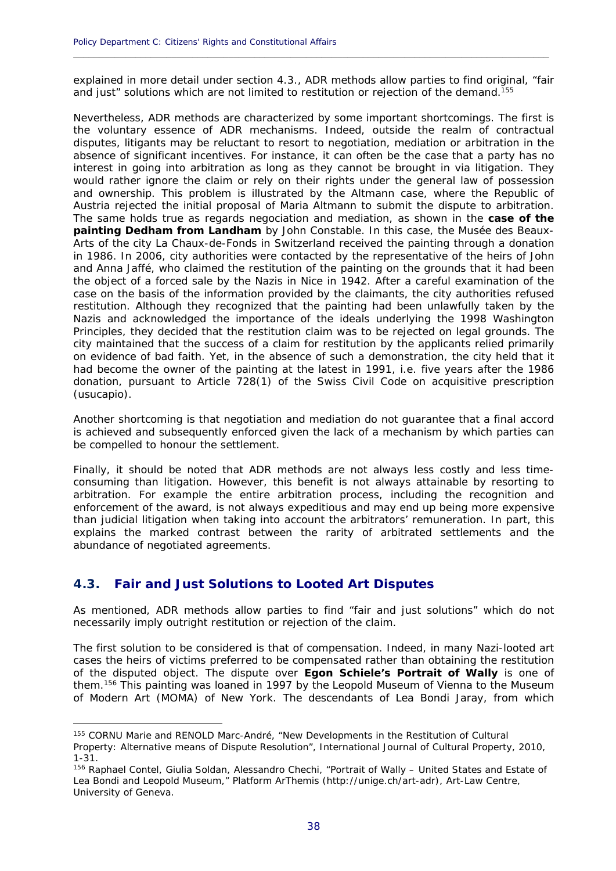explained in more detail under section 4.3., ADR methods allow parties to find original, "fair and just" solutions which are not limited to restitution or rejection of the demand.<sup>155</sup>

**\_\_\_\_\_\_\_\_\_\_\_\_\_\_\_\_\_\_\_\_\_\_\_\_\_\_\_\_\_\_\_\_\_\_\_\_\_\_\_\_\_\_\_\_\_\_\_\_\_\_\_\_\_\_\_\_\_\_\_\_\_\_\_\_\_\_\_\_\_\_\_\_\_\_\_\_\_\_\_\_\_\_\_\_\_\_\_\_\_\_\_\_**

Nevertheless, ADR methods are characterized by some important shortcomings. The first is the voluntary essence of ADR mechanisms. Indeed, outside the realm of contractual disputes, litigants may be reluctant to resort to negotiation, mediation or arbitration in the absence of significant incentives. For instance, it can often be the case that a party has no interest in going into arbitration as long as they cannot be brought in via litigation. They would rather ignore the claim or rely on their rights under the general law of possession and ownership. This problem is illustrated by the *Altmann* case, where the Republic of Austria rejected the initial proposal of Maria Altmann to submit the dispute to arbitration. The same holds true as regards negociation and mediation, as shown in the **case of the painting** *Dedham from Landham* by John Constable. In this case, the Musée des Beaux-Arts of the city La Chaux-de-Fonds in Switzerland received the painting through a donation in 1986. In 2006, city authorities were contacted by the representative of the heirs of John and Anna Jaffé, who claimed the restitution of the painting on the grounds that it had been the object of a forced sale by the Nazis in Nice in 1942. After a careful examination of the case on the basis of the information provided by the claimants, the city authorities refused restitution. Although they recognized that the painting had been unlawfully taken by the Nazis and acknowledged the importance of the ideals underlying the 1998 Washington Principles, they decided that the restitution claim was to be rejected on legal grounds. The city maintained that the success of a claim for restitution by the applicants relied primarily on evidence of bad faith. Yet, in the absence of such a demonstration, the city held that it had become the owner of the painting at the latest in 1991, i.e. five years after the 1986 donation, pursuant to Article 728(1) of the Swiss Civil Code on acquisitive prescription (*usucapio*).

Another shortcoming is that negotiation and mediation do not guarantee that a final accord is achieved and subsequently enforced given the lack of a mechanism by which parties can be compelled to honour the settlement.

Finally, it should be noted that ADR methods are not always less costly and less timeconsuming than litigation. However, this benefit is not always attainable by resorting to arbitration. For example the entire arbitration process, including the recognition and enforcement of the award, is not always expeditious and may end up being more expensive than judicial litigation when taking into account the arbitrators' remuneration. In part, this explains the marked contrast between the rarity of arbitrated settlements and the abundance of negotiated agreements.

# **4.3. Fair and Just Solutions to Looted Art Disputes**

<u>.</u>

As mentioned, ADR methods allow parties to find "fair and just solutions" which do not necessarily imply outright restitution or rejection of the claim.

The first solution to be considered is that of compensation. Indeed, in many Nazi-looted art cases the heirs of victims preferred to be compensated rather than obtaining the restitution of the disputed object. The dispute over **Egon Schiele's** *Portrait of Wally* is one of them.156 This painting was loaned in 1997 by the Leopold Museum of Vienna to the Museum of Modern Art (MOMA) of New York. The descendants of Lea Bondi Jaray, from which

<sup>155</sup> CORNU Marie and RENOLD Marc-André, "New Developments in the Restitution of Cultural Property: Alternative means of Dispute Resolution"*,* International Journal of Cultural Property, 2010, 1-31.

<sup>156</sup> Raphael Contel, Giulia Soldan, Alessandro Chechi, "Portrait of Wally – United States and Estate of Lea Bondi and Leopold Museum," Platform ArThemis (http://unige.ch/art-adr), Art-Law Centre, University of Geneva.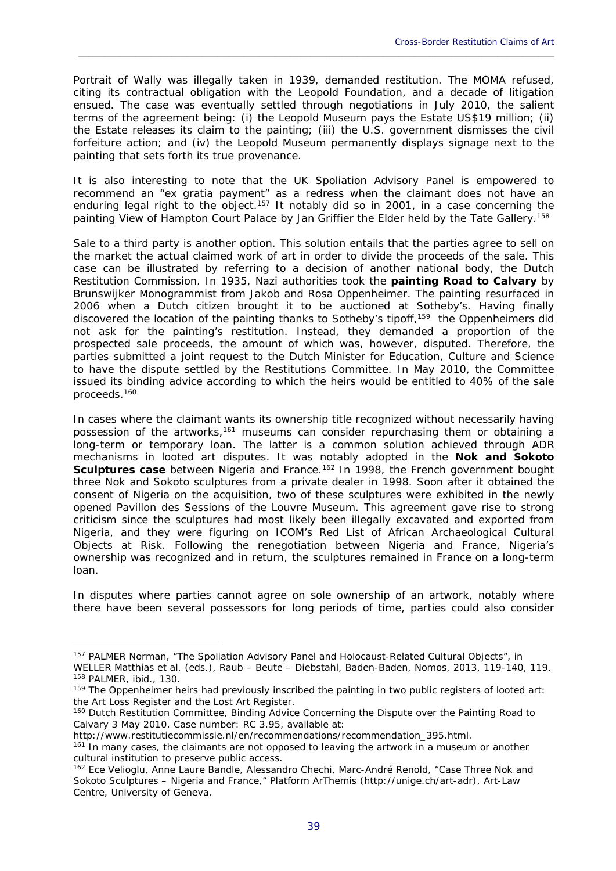Portrait of Wally was illegally taken in 1939, demanded restitution. The MOMA refused, citing its contractual obligation with the Leopold Foundation, and a decade of litigation ensued. The case was eventually settled through negotiations in July 2010, the salient terms of the agreement being: (i) the Leopold Museum pays the Estate US\$19 million; (ii) the Estate releases its claim to the painting; (iii) the U.S. government dismisses the civil forfeiture action; and (iv) the Leopold Museum permanently displays signage next to the painting that sets forth its true provenance.

\_\_\_\_\_\_\_\_\_\_\_\_\_\_\_\_\_\_\_\_\_\_\_\_\_\_\_\_\_\_\_\_\_\_\_\_\_\_\_\_\_\_\_\_\_\_\_\_\_\_\_\_\_\_\_\_\_\_\_\_\_\_\_\_\_\_\_\_\_\_\_\_\_\_\_\_\_\_\_\_\_\_\_\_\_\_\_\_\_\_\_\_

It is also interesting to note that the UK Spoliation Advisory Panel is empowered to recommend an "ex gratia payment" as a redress when the claimant does not have an enduring legal right to the object.<sup>157</sup> It notably did so in 2001, in a case concerning the painting View of Hampton Court Palace by Jan Griffier the Elder held by the Tate Gallery.<sup>158</sup>

Sale to a third party is another option. This solution entails that the parties agree to sell on the market the actual claimed work of art in order to divide the proceeds of the sale. This case can be illustrated by referring to a decision of another national body, the Dutch Restitution Commission. In 1935, Nazi authorities took the **painting Road to Calvary** by Brunswijker Monogrammist from Jakob and Rosa Oppenheimer. The painting resurfaced in 2006 when a Dutch citizen brought it to be auctioned at Sotheby's. Having finally discovered the location of the painting thanks to Sotheby's tipoff,<sup>159</sup> the Oppenheimers did not ask for the painting's restitution. Instead, they demanded a proportion of the prospected sale proceeds, the amount of which was, however, disputed. Therefore, the parties submitted a joint request to the Dutch Minister for Education, Culture and Science to have the dispute settled by the Restitutions Committee. In May 2010, the Committee issued its binding advice according to which the heirs would be entitled to 40% of the sale proceeds.160

In cases where the claimant wants its ownership title recognized without necessarily having possession of the artworks, $161$  museums can consider repurchasing them or obtaining a long-term or temporary loan. The latter is a common solution achieved through ADR mechanisms in looted art disputes. It was notably adopted in the **Nok and Sokoto Sculptures case** between Nigeria and France.<sup>162</sup> In 1998, the French government bought three Nok and Sokoto sculptures from a private dealer in 1998. Soon after it obtained the consent of Nigeria on the acquisition, two of these sculptures were exhibited in the newly opened Pavillon des Sessions of the Louvre Museum. This agreement gave rise to strong criticism since the sculptures had most likely been illegally excavated and exported from Nigeria, and they were figuring on ICOM's Red List of African Archaeological Cultural Objects at Risk. Following the renegotiation between Nigeria and France, Nigeria's ownership was recognized and in return, the sculptures remained in France on a long-term loan.

In disputes where parties cannot agree on sole ownership of an artwork, notably where there have been several possessors for long periods of time, parties could also consider

<u>.</u>

<sup>157</sup> PALMER Norman, "The Spoliation Advisory Panel and Holocaust-Related Cultural Objects", in

WELLER Matthias et al. (eds.), *Raub – Beute – Diebstahl*, Baden-Baden, Nomos, 2013, 119-140, 119.<br><sup>158</sup> PALMER, ibid., 130.<br><sup>159</sup> The Oppenheimer heirs had previously inscribed the painting in two public registers of loot the Art Loss Register and the Lost Art Register.

<sup>160</sup> Dutch Restitution Committee, Binding Advice Concerning the Dispute over the Painting Road to Calvary 3 May 2010, Case number: RC 3.95, available at:

http://www.restitutiecommissie.nl/en/recommendations/recommendation\_395.html.<br><sup>161</sup> In many cases, the claimants are not opposed to leaving the artwork in a museum or another cultural institution to preserve public access.

<sup>162</sup> Ece Velioglu, Anne Laure Bandle, Alessandro Chechi, Marc-André Renold, "Case Three Nok and Sokoto Sculptures – Nigeria and France," Platform ArThemis (http://unige.ch/art-adr), Art-Law Centre, University of Geneva.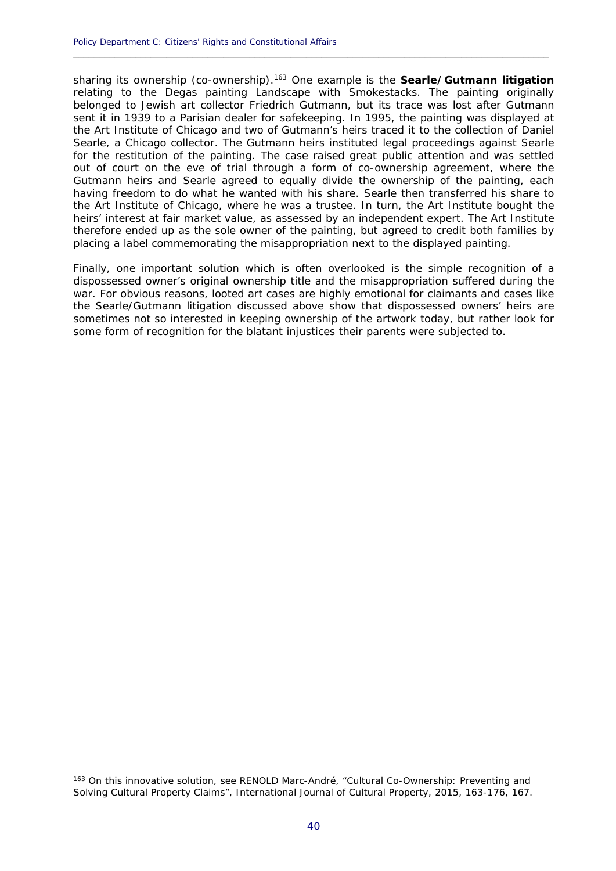sharing its ownership (co-ownership).163 One example is the **Searle/Gutmann litigation** relating to the Degas painting *Landscape with Smokestacks*. The painting originally belonged to Jewish art collector Friedrich Gutmann, but its trace was lost after Gutmann sent it in 1939 to a Parisian dealer for safekeeping. In 1995, the painting was displayed at the Art Institute of Chicago and two of Gutmann's heirs traced it to the collection of Daniel Searle, a Chicago collector. The Gutmann heirs instituted legal proceedings against Searle for the restitution of the painting. The case raised great public attention and was settled out of court on the eve of trial through a form of co-ownership agreement, where the Gutmann heirs and Searle agreed to equally divide the ownership of the painting, each having freedom to do what he wanted with his share. Searle then transferred his share to the Art Institute of Chicago, where he was a trustee. In turn, the Art Institute bought the heirs' interest at fair market value, as assessed by an independent expert. The Art Institute therefore ended up as the sole owner of the painting, but agreed to credit both families by placing a label commemorating the misappropriation next to the displayed painting.

**\_\_\_\_\_\_\_\_\_\_\_\_\_\_\_\_\_\_\_\_\_\_\_\_\_\_\_\_\_\_\_\_\_\_\_\_\_\_\_\_\_\_\_\_\_\_\_\_\_\_\_\_\_\_\_\_\_\_\_\_\_\_\_\_\_\_\_\_\_\_\_\_\_\_\_\_\_\_\_\_\_\_\_\_\_\_\_\_\_\_\_\_**

Finally, one important solution which is often overlooked is the simple recognition of a dispossessed owner's original ownership title and the misappropriation suffered during the war. For obvious reasons, looted art cases are highly emotional for claimants and cases like the Searle/Gutmann litigation discussed above show that dispossessed owners' heirs are sometimes not so interested in keeping ownership of the artwork today, but rather look for some form of recognition for the blatant injustices their parents were subjected to.

<u>.</u>

<sup>&</sup>lt;sup>163</sup> On this innovative solution, see RENOLD Marc-André, "Cultural Co-Ownership: Preventing and Solving Cultural Property Claims", International Journal of Cultural Property, 2015, 163-176, 167.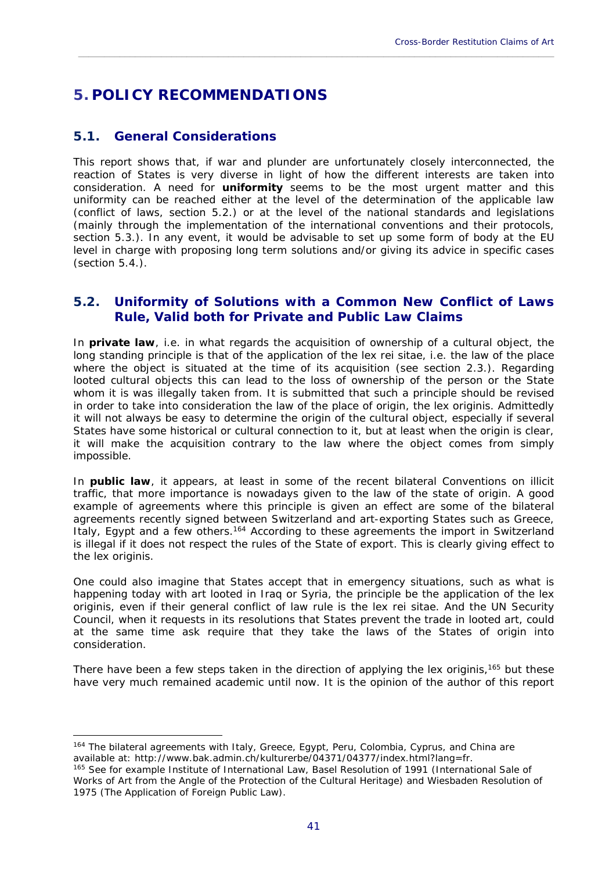# **5. POLICY RECOMMENDATIONS**

# **5.1. General Considerations**

1

This report shows that, if war and plunder are unfortunately closely interconnected, the reaction of States is very diverse in light of how the different interests are taken into consideration. A need for **uniformity** seems to be the most urgent matter and this uniformity can be reached either at the level of the determination of the applicable law (conflict of laws, section 5.2.) or at the level of the national standards and legislations (mainly through the implementation of the international conventions and their protocols, section 5.3.). In any event, it would be advisable to set up some form of body at the EU level in charge with proposing long term solutions and/or giving its advice in specific cases (section 5.4.).

\_\_\_\_\_\_\_\_\_\_\_\_\_\_\_\_\_\_\_\_\_\_\_\_\_\_\_\_\_\_\_\_\_\_\_\_\_\_\_\_\_\_\_\_\_\_\_\_\_\_\_\_\_\_\_\_\_\_\_\_\_\_\_\_\_\_\_\_\_\_\_\_\_\_\_\_\_\_\_\_\_\_\_\_\_\_\_\_\_\_\_\_

# **5.2. Uniformity of Solutions with a Common New Conflict of Laws Rule, Valid both for Private and Public Law Claims**

In **private law**, i.e. in what regards the acquisition of ownership of a cultural object, the long standing principle is that of the application of the *lex rei sitae*, i.e. the law of the place where the object is situated at the time of its acquisition (see section 2.3.). Regarding looted cultural objects this can lead to the loss of ownership of the person or the State whom it is was illegally taken from. It is submitted that such a principle should be revised in order to take into consideration the law of the place of origin, the *lex originis*. Admittedly it will not always be easy to determine the origin of the cultural object, especially if several States have some historical or cultural connection to it, but at least when the origin is clear, it will make the acquisition contrary to the law where the object comes from simply impossible.

In **public law**, it appears, at least in some of the recent bilateral Conventions on illicit traffic, that more importance is nowadays given to the law of the state of origin. A good example of agreements where this principle is given an effect are some of the bilateral agreements recently signed between Switzerland and art-exporting States such as Greece, Italy, Egypt and a few others.<sup>164</sup> According to these agreements the import in Switzerland is illegal if it does not respect the rules of the State of export. This is clearly giving effect to the *lex originis*.

One could also imagine that States accept that in emergency situations, such as what is happening today with art looted in Iraq or Syria, the principle be the application of the *lex originis*, even if their general conflict of law rule is the *lex rei sitae*. And the UN Security Council, when it requests in its resolutions that States prevent the trade in looted art, could at the same time ask require that they take the laws of the States of origin into consideration.

There have been a few steps taken in the direction of applying the *lex originis*,165 but these have very much remained academic until now. It is the opinion of the author of this report

<sup>&</sup>lt;sup>164</sup> The bilateral agreements with Italy, Greece, Egypt, Peru, Colombia, Cyprus, and China are available at: http://www.bak.admin.ch/kulturerbe/04371/04377/index.html?lang=fr.<br><sup>165</sup> See for example Institute of International Law, Basel Resolution of 1991 (International Sale of

Works of Art from the Angle of the Protection of the Cultural Heritage) and Wiesbaden Resolution of 1975 (The Application of Foreign Public Law).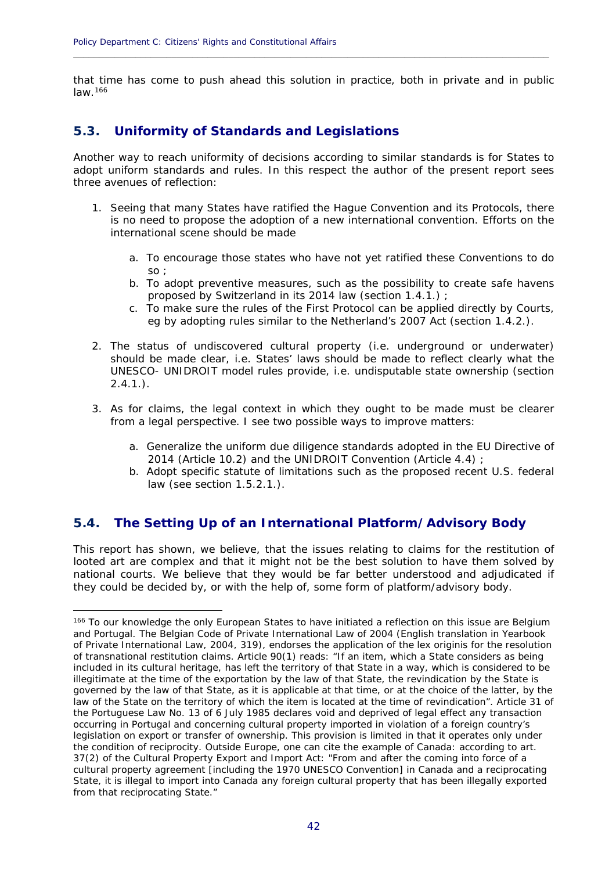that time has come to push ahead this solution in practice, both in private and in public law.166

**\_\_\_\_\_\_\_\_\_\_\_\_\_\_\_\_\_\_\_\_\_\_\_\_\_\_\_\_\_\_\_\_\_\_\_\_\_\_\_\_\_\_\_\_\_\_\_\_\_\_\_\_\_\_\_\_\_\_\_\_\_\_\_\_\_\_\_\_\_\_\_\_\_\_\_\_\_\_\_\_\_\_\_\_\_\_\_\_\_\_\_\_**

# **5.3. Uniformity of Standards and Legislations**

Another way to reach uniformity of decisions according to similar standards is for States to adopt uniform standards and rules. In this respect the author of the present report sees three avenues of reflection:

- 1. Seeing that many States have ratified the Hague Convention and its Protocols, there is no need to propose the adoption of a new international convention. Efforts on the international scene should be made
	- a. To encourage those states who have not yet ratified these Conventions to do  $\overline{\mathcal{S}}$
	- b. To adopt preventive measures, such as the possibility to create safe havens proposed by Switzerland in its 2014 law (section 1.4.1.) ;
	- c. To make sure the rules of the First Protocol can be applied directly by Courts, eg by adopting rules similar to the Netherland's 2007 Act (section 1.4.2.).
- 2. The status of undiscovered cultural property (i.e. underground or underwater) should be made clear, i.e. States' laws should be made to reflect clearly what the UNESCO- UNIDROIT model rules provide, i.e. undisputable state ownership (section  $2.4.1.$ ).
- 3. As for claims, the legal context in which they ought to be made must be clearer from a legal perspective. I see two possible ways to improve matters:
	- a. Generalize the uniform due diligence standards adopted in the EU Directive of 2014 (Article 10.2) and the UNIDROIT Convention (Article 4.4) ;
	- b. Adopt specific statute of limitations such as the proposed recent U.S. federal law (see section 1.5.2.1.).

# **5.4. The Setting Up of an International Platform/Advisory Body**

1

This report has shown, we believe, that the issues relating to claims for the restitution of looted art are complex and that it might not be the best solution to have them solved by national courts. We believe that they would be far better understood and adjudicated if they could be decided by, or with the help of, some form of platform/advisory body.

<sup>166</sup> To our knowledge the only European States to have initiated a reflection on this issue are Belgium and Portugal. The Belgian Code of Private International Law of 2004 (English translation in Yearbook of Private International Law, 2004, 319), endorses the application of the *lex originis* for the resolution of transnational restitution claims. Article 90(1) reads: "If an item, which a State considers as being included in its cultural heritage, has left the territory of that State in a way, which is considered to be illegitimate at the time of the exportation by the law of that State, the revindication by the State is governed by the law of that State, as it is applicable at that time, or at the choice of the latter, by the law of the State on the territory of which the item is located at the time of revindication". Article 31 of the Portuguese Law No. 13 of 6 July 1985 declares void and deprived of legal effect any transaction occurring in Portugal and concerning cultural property imported in violation of a foreign country's legislation on export or transfer of ownership. This provision is limited in that it operates only under the condition of reciprocity. Outside Europe, one can cite the example of Canada: according to art. 37(2) of the *Cultural Property Export and Import Act*: "From and after the coming into force of a cultural property agreement [including the 1970 UNESCO Convention] in Canada and a reciprocating State, it is illegal to import into Canada any foreign cultural property that has been illegally exported from that reciprocating State."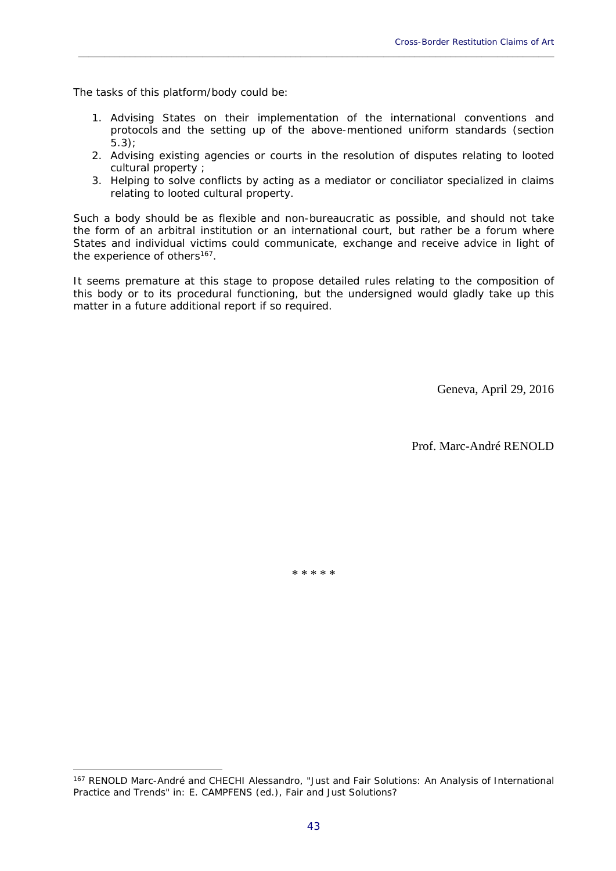The tasks of this platform/body could be:

<u>.</u>

1. Advising States on their implementation of the international conventions and protocols and the setting up of the above-mentioned uniform standards (section 5.3);

\_\_\_\_\_\_\_\_\_\_\_\_\_\_\_\_\_\_\_\_\_\_\_\_\_\_\_\_\_\_\_\_\_\_\_\_\_\_\_\_\_\_\_\_\_\_\_\_\_\_\_\_\_\_\_\_\_\_\_\_\_\_\_\_\_\_\_\_\_\_\_\_\_\_\_\_\_\_\_\_\_\_\_\_\_\_\_\_\_\_\_\_

- 2. Advising existing agencies or courts in the resolution of disputes relating to looted cultural property ;
- 3. Helping to solve conflicts by acting as a mediator or conciliator specialized in claims relating to looted cultural property.

Such a body should be as flexible and non-bureaucratic as possible, and should not take the form of an arbitral institution or an international court, but rather be a forum where States and individual victims could communicate, exchange and receive advice in light of the experience of others<sup>167</sup>.

It seems premature at this stage to propose detailed rules relating to the composition of this body or to its procedural functioning, but the undersigned would gladly take up this matter in a future additional report if so required.

Geneva, April 29, 2016

Prof. Marc-André RENOLD

\* \* \* \* \*

<sup>167</sup> RENOLD Marc-André and CHECHI Alessandro, "Just and Fair Solutions: An Analysis of International Practice and Trends" in: E. CAMPFENS (ed.), Fair and Just Solutions?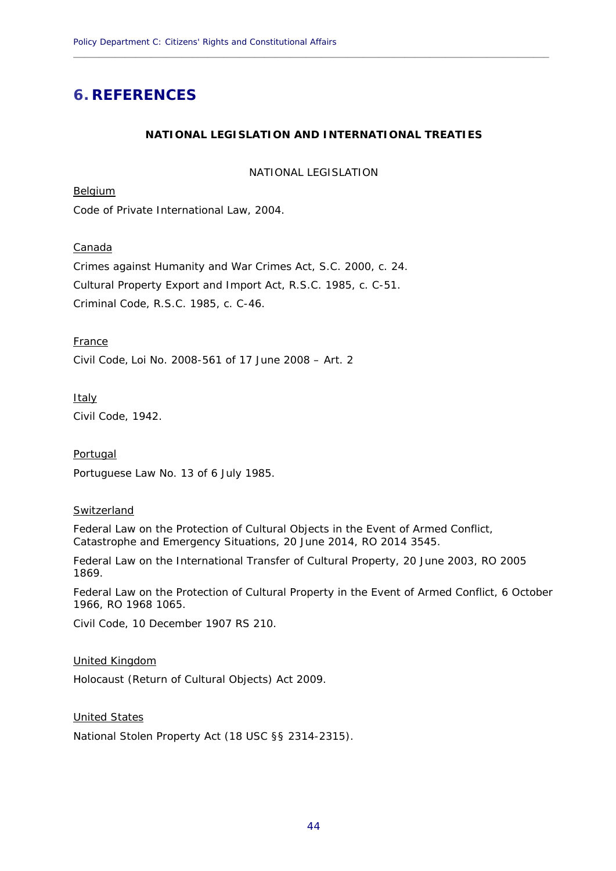# **6. REFERENCES**

# **NATIONAL LEGISLATION AND INTERNATIONAL TREATIES**

**\_\_\_\_\_\_\_\_\_\_\_\_\_\_\_\_\_\_\_\_\_\_\_\_\_\_\_\_\_\_\_\_\_\_\_\_\_\_\_\_\_\_\_\_\_\_\_\_\_\_\_\_\_\_\_\_\_\_\_\_\_\_\_\_\_\_\_\_\_\_\_\_\_\_\_\_\_\_\_\_\_\_\_\_\_\_\_\_\_\_\_\_**

NATIONAL LEGISLATION

Belgium

Code of Private International Law, 2004.

Canada

Crimes against Humanity and War Crimes Act, S.C. 2000, c. 24. Cultural Property Export and Import Act, R.S.C. 1985, c. C-51. Criminal Code, R.S.C. 1985, c. C-46.

France

Civil Code, Loi No. 2008-561 of 17 June 2008 – Art. 2

**Italy** 

Civil Code, 1942.

Portugal

Portuguese Law No. 13 of 6 July 1985.

#### Switzerland

Federal Law on the Protection of Cultural Objects in the Event of Armed Conflict, Catastrophe and Emergency Situations, 20 June 2014, RO 2014 3545.

Federal Law on the International Transfer of Cultural Property, 20 June 2003, RO 2005 1869.

Federal Law on the Protection of Cultural Property in the Event of Armed Conflict*,* 6 October 1966, RO 1968 1065.

Civil Code, 10 December 1907 RS 210.

United Kingdom

Holocaust (Return of Cultural Objects) Act 2009.

United States

National Stolen Property Act (18 USC §§ 2314-2315).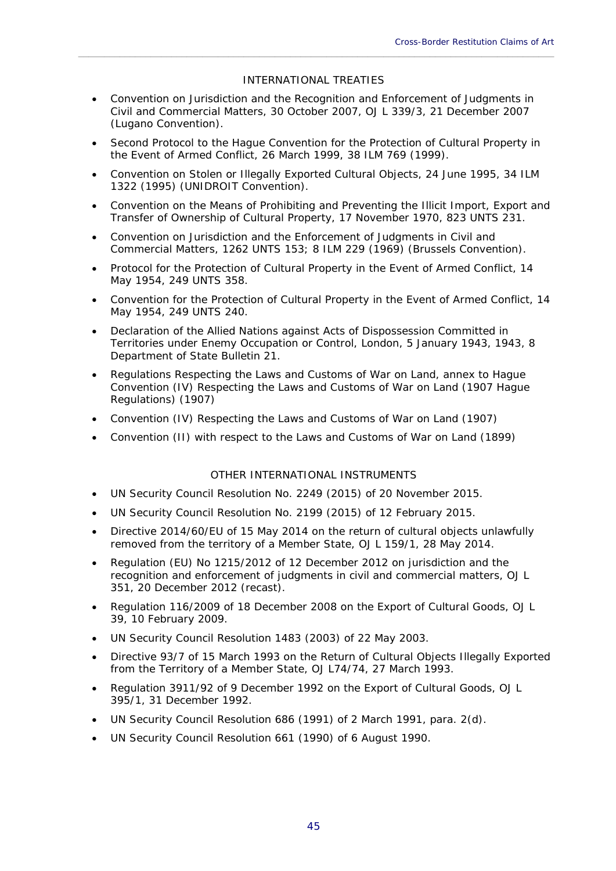# INTERNATIONAL TREATIES

\_\_\_\_\_\_\_\_\_\_\_\_\_\_\_\_\_\_\_\_\_\_\_\_\_\_\_\_\_\_\_\_\_\_\_\_\_\_\_\_\_\_\_\_\_\_\_\_\_\_\_\_\_\_\_\_\_\_\_\_\_\_\_\_\_\_\_\_\_\_\_\_\_\_\_\_\_\_\_\_\_\_\_\_\_\_\_\_\_\_\_\_

- Convention on Jurisdiction and the Recognition and Enforcement of Judgments in Civil and Commercial Matters, 30 October 2007, OJ L 339/3, 21 December 2007 (Lugano Convention).
- Second Protocol to the Hague Convention for the Protection of Cultural Property in the Event of Armed Conflict, 26 March 1999, 38 ILM 769 (1999).
- Convention on Stolen or Illegally Exported Cultural Objects, 24 June 1995, 34 ILM 1322 (1995) (UNIDROIT Convention).
- Convention on the Means of Prohibiting and Preventing the Illicit Import, Export and Transfer of Ownership of Cultural Property, 17 November 1970, 823 UNTS 231.
- Convention on Jurisdiction and the Enforcement of Judgments in Civil and Commercial Matters, 1262 UNTS 153; 8 ILM 229 (1969) (Brussels Convention).
- Protocol for the Protection of Cultural Property in the Event of Armed Conflict, 14 May 1954, 249 UNTS 358.
- Convention for the Protection of Cultural Property in the Event of Armed Conflict, 14 May 1954, 249 UNTS 240.
- Declaration of the Allied Nations against Acts of Dispossession Committed in Territories under Enemy Occupation or Control, London, 5 January 1943, 1943, 8 Department of State Bulletin 21.
- Regulations Respecting the Laws and Customs of War on Land, annex to Hague Convention (IV) Respecting the Laws and Customs of War on Land (1907 Hague Regulations) (1907)
- Convention (IV) Respecting the Laws and Customs of War on Land (1907)
- Convention (II) with respect to the Laws and Customs of War on Land (1899)

# OTHER INTERNATIONAL INSTRUMENTS

- UN Security Council Resolution No. 2249 (2015) of 20 November 2015.
- UN Security Council Resolution No. 2199 (2015) of 12 February 2015.
- Directive 2014/60/EU of 15 May 2014 on the return of cultural objects unlawfully removed from the territory of a Member State, OJ L 159/1, 28 May 2014.
- Regulation (EU) No 1215/2012 of 12 December 2012 on jurisdiction and the recognition and enforcement of judgments in civil and commercial matters, OJ L 351, 20 December 2012 (recast).
- Regulation 116/2009 of 18 December 2008 on the Export of Cultural Goods, OJ L 39, 10 February 2009.
- UN Security Council Resolution 1483 (2003) of 22 May 2003.
- Directive 93/7 of 15 March 1993 on the Return of Cultural Objects Illegally Exported from the Territory of a Member State, OJ L74/74, 27 March 1993.
- Regulation 3911/92 of 9 December 1992 on the Export of Cultural Goods, OJ L 395/1, 31 December 1992.
- UN Security Council Resolution 686 (1991) of 2 March 1991, para. 2(d).
- UN Security Council Resolution 661 (1990) of 6 August 1990.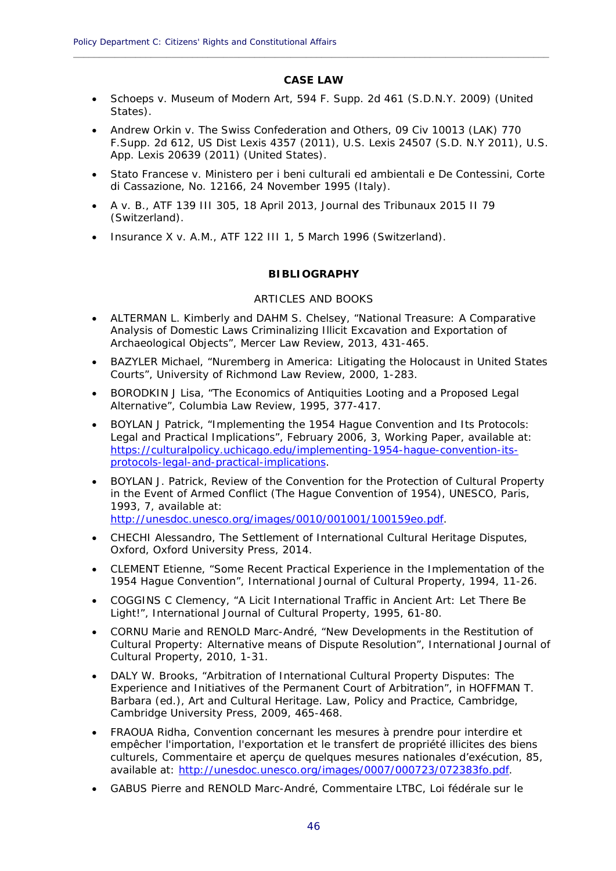# **CASE LAW**

**\_\_\_\_\_\_\_\_\_\_\_\_\_\_\_\_\_\_\_\_\_\_\_\_\_\_\_\_\_\_\_\_\_\_\_\_\_\_\_\_\_\_\_\_\_\_\_\_\_\_\_\_\_\_\_\_\_\_\_\_\_\_\_\_\_\_\_\_\_\_\_\_\_\_\_\_\_\_\_\_\_\_\_\_\_\_\_\_\_\_\_\_**

- *Schoeps v. Museum of Modern Art*, 594 F. Supp. 2d 461 (S.D.N.Y. 2009) (United States).
- *Andrew Orkin v. The Swiss Confederation and Others*, 09 Civ 10013 (LAK) 770 F.Supp. 2d 612, US Dist Lexis 4357 (2011), U.S. Lexis 24507 (S.D. N.Y 2011), U.S. App. Lexis 20639 (2011) (United States).
- *Stato Francese v. Ministero per i beni culturali ed ambientali e De Contessini*, *Corte di Cassazione*, No. 12166, 24 November 1995 (Italy).
- *A v. B.*, ATF 139 III 305, 18 April 2013, Journal des Tribunaux 2015 II 79 (Switzerland).
- *Insurance X v. A.M.*, ATF 122 III 1, 5 March 1996 (Switzerland).

# **BIBLIOGRAPHY**

# ARTICLES AND BOOKS

- ALTERMAN L. Kimberly and DAHM S. Chelsey, "National Treasure: A Comparative Analysis of Domestic Laws Criminalizing Illicit Excavation and Exportation of Archaeological Objects", Mercer Law Review, 2013, 431-465.
- BAZYLER Michael, "Nuremberg in America: Litigating the Holocaust in United States Courts", University of Richmond Law Review, 2000, 1-283.
- BORODKIN J Lisa, "The Economics of Antiquities Looting and a Proposed Legal Alternative", Columbia Law Review, 1995, 377-417.
- BOYLAN J Patrick, "Implementing the 1954 Hague Convention and Its Protocols: Legal and Practical Implications", February 2006, 3, Working Paper, available at: https://culturalpolicy.uchicago.edu/implementing-1954-hague-convention-itsprotocols-legal-and-practical-implications.
- BOYLAN J. Patrick, *Review of the Convention for the Protection of Cultural Property in the Event of Armed Conflict (The Hague Convention of 1954)*, UNESCO, Paris, 1993, 7, available at: http://unesdoc.unesco.org/images/0010/001001/100159eo.pdf.
- CHECHI Alessandro, *The Settlement of International Cultural Heritage Disputes*, Oxford, Oxford University Press, 2014.
- CLEMENT Etienne, "Some Recent Practical Experience in the Implementation of the 1954 Hague Convention", International Journal of Cultural Property, 1994, 11-26.
- COGGINS C Clemency, "A Licit International Traffic in Ancient Art: Let There Be Light!", International Journal of Cultural Property, 1995, 61-80.
- CORNU Marie and RENOLD Marc-André, "New Developments in the Restitution of Cultural Property: Alternative means of Dispute Resolution"*,* International Journal of Cultural Property, 2010, 1-31.
- DALY W. Brooks, "Arbitration of International Cultural Property Disputes: The Experience and Initiatives of the Permanent Court of Arbitration", in HOFFMAN T. Barbara (ed.), *Art and Cultural Heritage. Law, Policy and Practice*, Cambridge, Cambridge University Press, 2009, 465-468.
- FRAOUA Ridha, *Convention concernant les mesures à prendre pour interdire et empêcher l'importation, l'exportation et le transfert de propriété illicites des biens culturels, Commentaire et aperçu de quelques mesures nationales d'exécution*, 85, available at: http://unesdoc.unesco.org/images/0007/000723/072383fo.pdf.
- GABUS Pierre and RENOLD Marc-André, *Commentaire LTBC, Loi fédérale sur le*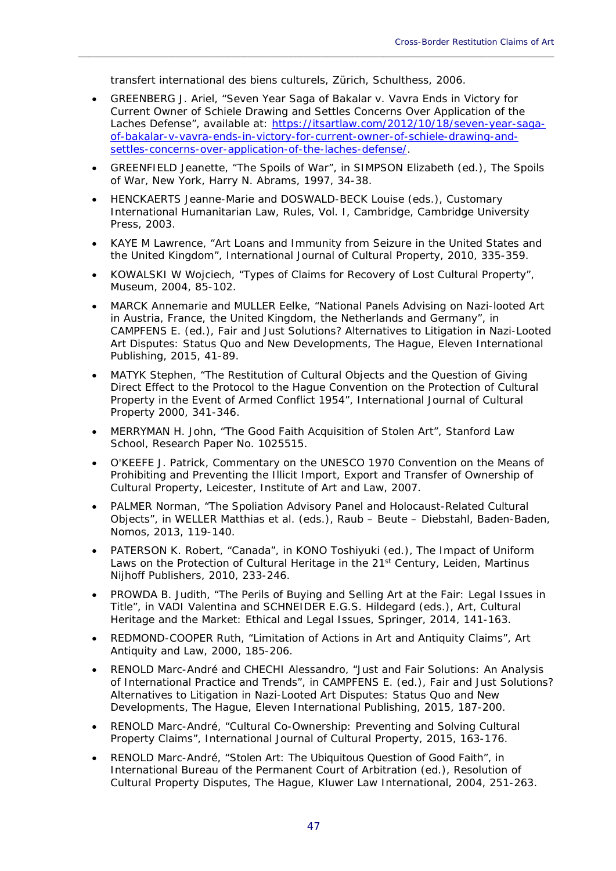*transfert international des biens culturels*, Zürich, Schulthess, 2006.

 GREENBERG J. Ariel, "Seven Year Saga of Bakalar v. Vavra Ends in Victory for Current Owner of Schiele Drawing and Settles Concerns Over Application of the Laches Defense", available at: https://itsartlaw.com/2012/10/18/seven-year-sagaof-bakalar-v-vavra-ends-in-victory-for-current-owner-of-schiele-drawing-andsettles-concerns-over-application-of-the-laches-defense/.

\_\_\_\_\_\_\_\_\_\_\_\_\_\_\_\_\_\_\_\_\_\_\_\_\_\_\_\_\_\_\_\_\_\_\_\_\_\_\_\_\_\_\_\_\_\_\_\_\_\_\_\_\_\_\_\_\_\_\_\_\_\_\_\_\_\_\_\_\_\_\_\_\_\_\_\_\_\_\_\_\_\_\_\_\_\_\_\_\_\_\_\_

- GREENFIELD Jeanette, "The Spoils of War", in SIMPSON Elizabeth (ed.), *The Spoils of War*, New York, Harry N. Abrams, 1997, 34-38.
- HENCKAERTS Jeanne-Marie and DOSWALD-BECK Louise (eds.), *Customary International Humanitarian Law, Rules*, Vol. I, Cambridge, Cambridge University Press, 2003.
- KAYE M Lawrence, "Art Loans and Immunity from Seizure in the United States and the United Kingdom", International Journal of Cultural Property, 2010, 335-359.
- KOWALSKI W Wojciech, "Types of Claims for Recovery of Lost Cultural Property", Museum, 2004, 85-102.
- MARCK Annemarie and MULLER Eelke, "National Panels Advising on Nazi-looted Art in Austria, France, the United Kingdom, the Netherlands and Germany", in CAMPFENS E. (ed.), *Fair and Just Solutions? Alternatives to Litigation in Nazi-Looted Art Disputes: Status Quo and New Developments,* The Hague, Eleven International Publishing, 2015, 41-89.
- MATYK Stephen, "The Restitution of Cultural Objects and the Question of Giving Direct Effect to the Protocol to the Hague Convention on the Protection of Cultural Property in the Event of Armed Conflict 1954", International Journal of Cultural Property 2000, 341-346.
- MERRYMAN H. John, "The Good Faith Acquisition of Stolen Art", Stanford Law School, Research Paper No. 1025515.
- O'KEEFE J. Patrick, *Commentary on the UNESCO 1970 Convention on the Means of Prohibiting and Preventing the Illicit Import, Export and Transfer of Ownership of Cultural Property*, Leicester, Institute of Art and Law, 2007.
- PALMER Norman, "The Spoliation Advisory Panel and Holocaust-Related Cultural Objects", in WELLER Matthias et al. (eds.), *Raub – Beute – Diebstahl*, Baden-Baden, Nomos, 2013, 119-140.
- PATERSON K. Robert, "Canada", in KONO Toshiyuki (ed.), *The Impact of Uniform Laws on the Protection of Cultural Heritage in the 21st Century*, Leiden, Martinus Nijhoff Publishers, 2010, 233-246.
- PROWDA B. Judith, "The Perils of Buying and Selling Art at the Fair: Legal Issues in Title", in VADI Valentina and SCHNEIDER E.G.S. Hildegard (eds.), *Art, Cultural Heritage and the Market: Ethical and Legal Issues*, Springer, 2014, 141-163.
- REDMOND-COOPER Ruth, "Limitation of Actions in Art and Antiquity Claims", Art Antiquity and Law, 2000, 185-206.
- RENOLD Marc-André and CHECHI Alessandro, "Just and Fair Solutions: An Analysis of International Practice and Trends", in CAMPFENS E. (ed.), *Fair and Just Solutions? Alternatives to Litigation in Nazi-Looted Art Disputes: Status Quo and New Developments,* The Hague, Eleven International Publishing, 2015, 187-200.
- RENOLD Marc-André, "Cultural Co-Ownership: Preventing and Solving Cultural Property Claims", International Journal of Cultural Property, 2015, 163-176.
- RENOLD Marc-André, "Stolen Art: The Ubiquitous Question of Good Faith", in International Bureau of the Permanent Court of Arbitration (ed.), *Resolution of Cultural Property Disputes*, The Hague, Kluwer Law International, 2004, 251-263.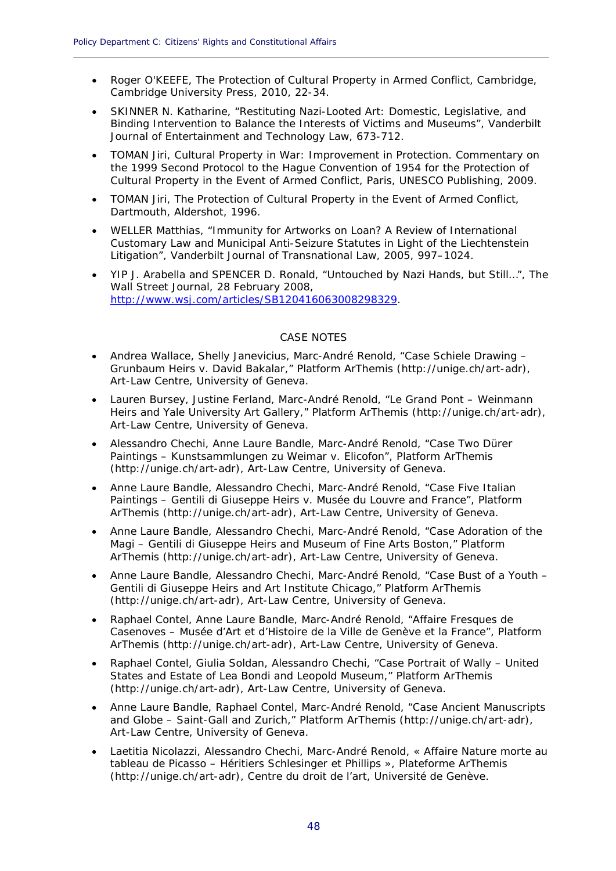Roger O'KEEFE, *The Protection of Cultural Property in Armed Conflict*, Cambridge, Cambridge University Press, 2010, 22-34.

**\_\_\_\_\_\_\_\_\_\_\_\_\_\_\_\_\_\_\_\_\_\_\_\_\_\_\_\_\_\_\_\_\_\_\_\_\_\_\_\_\_\_\_\_\_\_\_\_\_\_\_\_\_\_\_\_\_\_\_\_\_\_\_\_\_\_\_\_\_\_\_\_\_\_\_\_\_\_\_\_\_\_\_\_\_\_\_\_\_\_\_\_**

- SKINNER N. Katharine, "Restituting Nazi-Looted Art: Domestic, Legislative, and Binding Intervention to Balance the Interests of Victims and Museums", Vanderbilt Journal of Entertainment and Technology Law, 673-712.
- TOMAN Jiri, *Cultural Property in War: Improvement in Protection. Commentary on the 1999 Second Protocol to the Hague Convention of 1954 for the Protection of Cultural Property in the Event of Armed Conflict*, Paris, UNESCO Publishing, 2009.
- TOMAN Jiri, *The Protection of Cultural Property in the Event of Armed Conflict*, Dartmouth, Aldershot, 1996.
- WELLER Matthias, "Immunity for Artworks on Loan? A Review of International Customary Law and Municipal Anti-Seizure Statutes in Light of the *Liechtenstein* Litigation", Vanderbilt Journal of Transnational Law, 2005, 997–1024.
- YIP J. Arabella and SPENCER D. Ronald, "Untouched by Nazi Hands, but Still…", The Wall Street Journal, 28 February 2008, http://www.wsj.com/articles/SB120416063008298329.

# CASE NOTES

- Andrea Wallace, Shelly Janevicius, Marc-André Renold, "Case Schiele Drawing Grunbaum Heirs v. David Bakalar," Platform ArThemis (http://unige.ch/art-adr), Art-Law Centre, University of Geneva.
- Lauren Bursey, Justine Ferland, Marc-André Renold, "Le Grand Pont Weinmann Heirs and Yale University Art Gallery," Platform ArThemis (http://unige.ch/art-adr), Art-Law Centre, University of Geneva.
- Alessandro Chechi, Anne Laure Bandle, Marc-André Renold, "Case Two Dürer Paintings – Kunstsammlungen zu Weimar v. Elicofon", Platform ArThemis (http://unige.ch/art-adr), Art-Law Centre, University of Geneva.
- Anne Laure Bandle, Alessandro Chechi, Marc-André Renold, "Case Five Italian Paintings – Gentili di Giuseppe Heirs v. Musée du Louvre and France", Platform ArThemis (http://unige.ch/art-adr), Art-Law Centre, University of Geneva.
- Anne Laure Bandle, Alessandro Chechi, Marc-André Renold, "Case Adoration of the Magi – Gentili di Giuseppe Heirs and Museum of Fine Arts Boston," Platform ArThemis (http://unige.ch/art-adr), Art-Law Centre, University of Geneva.
- Anne Laure Bandle, Alessandro Chechi, Marc-André Renold, "Case Bust of a Youth Gentili di Giuseppe Heirs and Art Institute Chicago," Platform ArThemis (http://unige.ch/art-adr), Art-Law Centre, University of Geneva.
- Raphael Contel, Anne Laure Bandle, Marc-André Renold, "Affaire Fresques de Casenoves – Musée d'Art et d'Histoire de la Ville de Genève et la France", Platform ArThemis (http://unige.ch/art-adr), Art-Law Centre, University of Geneva.
- Raphael Contel, Giulia Soldan, Alessandro Chechi, "Case Portrait of Wally United States and Estate of Lea Bondi and Leopold Museum," Platform ArThemis (http://unige.ch/art-adr), Art-Law Centre, University of Geneva.
- Anne Laure Bandle, Raphael Contel, Marc-André Renold, "Case Ancient Manuscripts and Globe – Saint-Gall and Zurich," Platform ArThemis (http://unige.ch/art-adr), Art-Law Centre, University of Geneva.
- Laetitia Nicolazzi, Alessandro Chechi, Marc-André Renold, « Affaire Nature morte au tableau de Picasso – Héritiers Schlesinger et Phillips », Plateforme ArThemis (http://unige.ch/art-adr), Centre du droit de l'art, Université de Genève.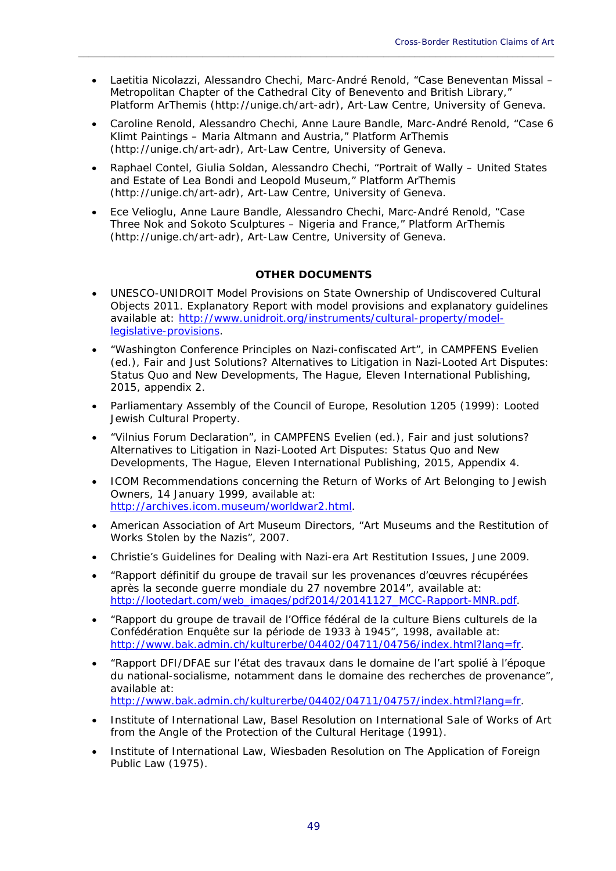Laetitia Nicolazzi, Alessandro Chechi, Marc-André Renold, "Case Beneventan Missal – Metropolitan Chapter of the Cathedral City of Benevento and British Library," Platform ArThemis (http://unige.ch/art-adr), Art-Law Centre, University of Geneva.

\_\_\_\_\_\_\_\_\_\_\_\_\_\_\_\_\_\_\_\_\_\_\_\_\_\_\_\_\_\_\_\_\_\_\_\_\_\_\_\_\_\_\_\_\_\_\_\_\_\_\_\_\_\_\_\_\_\_\_\_\_\_\_\_\_\_\_\_\_\_\_\_\_\_\_\_\_\_\_\_\_\_\_\_\_\_\_\_\_\_\_\_

- Caroline Renold, Alessandro Chechi, Anne Laure Bandle, Marc-André Renold, "Case 6 Klimt Paintings – Maria Altmann and Austria," Platform ArThemis (http://unige.ch/art-adr), Art-Law Centre, University of Geneva.
- Raphael Contel, Giulia Soldan, Alessandro Chechi, "Portrait of Wally United States and Estate of Lea Bondi and Leopold Museum," Platform ArThemis (http://unige.ch/art-adr), Art-Law Centre, University of Geneva.
- Ece Velioglu, Anne Laure Bandle, Alessandro Chechi, Marc-André Renold, "Case Three Nok and Sokoto Sculptures – Nigeria and France," Platform ArThemis (http://unige.ch/art-adr), Art-Law Centre, University of Geneva.

# **OTHER DOCUMENTS**

- UNESCO-UNIDROIT Model Provisions on State Ownership of Undiscovered Cultural Objects 2011. Explanatory Report with model provisions and explanatory guidelines available at: http://www.unidroit.org/instruments/cultural-property/modellegislative-provisions.
- "Washington Conference Principles on Nazi-confiscated Art", in CAMPFENS Evelien (ed.), *Fair and Just Solutions? Alternatives to Litigation in Nazi-Looted Art Disputes: Status Quo and New Developments,* The Hague, Eleven International Publishing, 2015, appendix 2.
- Parliamentary Assembly of the Council of Europe, Resolution 1205 (1999): Looted Jewish Cultural Property.
- "Vilnius Forum Declaration", in CAMPFENS Evelien (ed.), *Fair and just solutions? Alternatives to Litigation in Nazi-Looted Art Disputes: Status Quo and New Developments,* The Hague, Eleven International Publishing, 2015, Appendix 4.
- ICOM Recommendations concerning the Return of Works of Art Belonging to Jewish Owners, 14 January 1999, available at: http://archives.icom.museum/worldwar2.html.
- American Association of Art Museum Directors, "Art Museums and the Restitution of Works Stolen by the Nazis", 2007.
- Christie's Guidelines for Dealing with Nazi-era Art Restitution Issues, June 2009.
- "Rapport définitif du groupe de travail sur les provenances d'œuvres récupérées après la seconde guerre mondiale du 27 novembre 2014", available at: http://lootedart.com/web\_images/pdf2014/20141127\_MCC-Rapport-MNR.pdf.
- "Rapport du groupe de travail de l'Office fédéral de la culture Biens culturels de la Confédération Enquête sur la période de 1933 à 1945", 1998, available at: http://www.bak.admin.ch/kulturerbe/04402/04711/04756/index.html?lang=fr.
- "Rapport DFI/DFAE sur l'état des travaux dans le domaine de l'art spolié à l'époque du national-socialisme, notamment dans le domaine des recherches de provenance", available at: http://www.bak.admin.ch/kulturerbe/04402/04711/04757/index.html?lang=fr.
- Institute of International Law, Basel Resolution on International Sale of Works of Art from the Angle of the Protection of the Cultural Heritage (1991).
- Institute of International Law, Wiesbaden Resolution on The Application of Foreign Public Law (1975).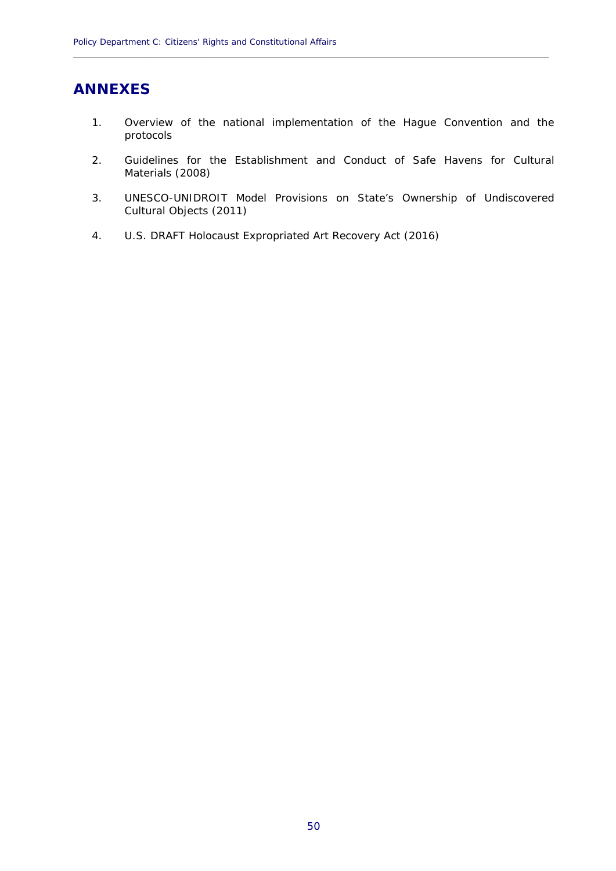# **ANNEXES**

1. Overview of the national implementation of the Hague Convention and the protocols

**\_\_\_\_\_\_\_\_\_\_\_\_\_\_\_\_\_\_\_\_\_\_\_\_\_\_\_\_\_\_\_\_\_\_\_\_\_\_\_\_\_\_\_\_\_\_\_\_\_\_\_\_\_\_\_\_\_\_\_\_\_\_\_\_\_\_\_\_\_\_\_\_\_\_\_\_\_\_\_\_\_\_\_\_\_\_\_\_\_\_\_\_**

- 2. Guidelines for the Establishment and Conduct of Safe Havens for Cultural Materials (2008)
- 3. UNESCO-UNIDROIT Model Provisions on State's Ownership of Undiscovered Cultural Objects (2011)
- 4. U.S. DRAFT Holocaust Expropriated Art Recovery Act (2016)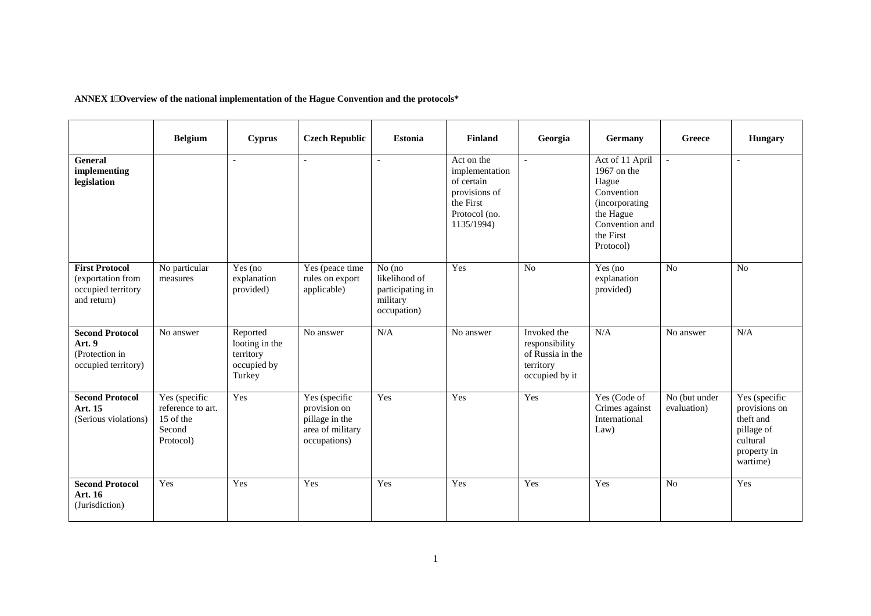**ANNEX 1Overview of the national implementation of the Hague Convention and the protocols\*** 

|                                                                                 | <b>Belgium</b>                                                         | <b>Cyprus</b>                                                    | <b>Czech Republic</b>                                                               | <b>Estonia</b>                                                         | <b>Finland</b>                                                                                          | Georgia                                                                          | Germany                                                                                                                          | <b>Greece</b>                             | <b>Hungary</b>                                                                                   |
|---------------------------------------------------------------------------------|------------------------------------------------------------------------|------------------------------------------------------------------|-------------------------------------------------------------------------------------|------------------------------------------------------------------------|---------------------------------------------------------------------------------------------------------|----------------------------------------------------------------------------------|----------------------------------------------------------------------------------------------------------------------------------|-------------------------------------------|--------------------------------------------------------------------------------------------------|
| <b>General</b><br>implementing<br>legislation                                   |                                                                        | $\overline{a}$                                                   | $\overline{a}$                                                                      | $\sim$                                                                 | Act on the<br>implementation<br>of certain<br>provisions of<br>the First<br>Protocol (no.<br>1135/1994) | $\overline{a}$                                                                   | Act of 11 April<br>1967 on the<br>Hague<br>Convention<br>(incorporating<br>the Hague<br>Convention and<br>the First<br>Protocol) | $\overline{a}$                            | $\overline{a}$                                                                                   |
| <b>First Protocol</b><br>(exportation from<br>occupied territory<br>and return) | No particular<br>measures                                              | Yes (no<br>explanation<br>provided)                              | Yes (peace time<br>rules on export<br>applicable)                                   | No (no<br>likelihood of<br>participating in<br>military<br>occupation) | Yes                                                                                                     | No                                                                               | Yes (no<br>explanation<br>provided)                                                                                              | No                                        | No                                                                                               |
| <b>Second Protocol</b><br>Art. 9<br>(Protection in<br>occupied territory)       | No answer                                                              | Reported<br>looting in the<br>territory<br>occupied by<br>Turkey | No answer                                                                           | N/A                                                                    | No answer                                                                                               | Invoked the<br>responsibility<br>of Russia in the<br>territory<br>occupied by it | N/A                                                                                                                              | No answer                                 | N/A                                                                                              |
| <b>Second Protocol</b><br>Art. 15<br>(Serious violations)                       | Yes (specific<br>reference to art.<br>15 of the<br>Second<br>Protocol) | Yes                                                              | Yes (specific<br>provision on<br>pillage in the<br>area of military<br>occupations) | Yes                                                                    | Yes                                                                                                     | Yes                                                                              | Yes (Code of<br>Crimes against<br>International<br>Law)                                                                          | $\overline{No}$ (but under<br>evaluation) | Yes (specific<br>provisions on<br>theft and<br>pillage of<br>cultural<br>property in<br>wartime) |
| <b>Second Protocol</b><br>Art. 16<br>(Jurisdiction)                             | Yes                                                                    | Yes                                                              | Yes                                                                                 | Yes                                                                    | Yes                                                                                                     | Yes                                                                              | Yes                                                                                                                              | No                                        | Yes                                                                                              |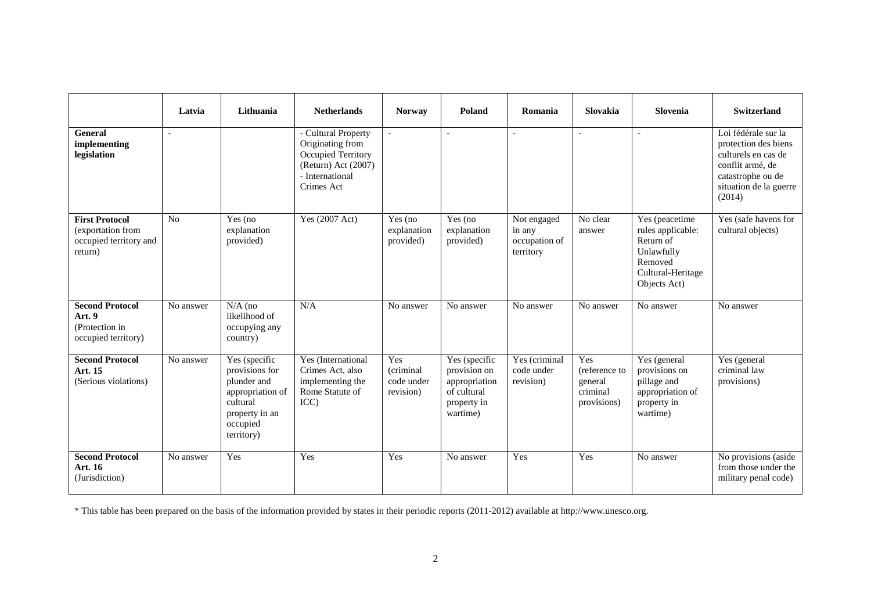|                                                                                 | Latvia         | Lithuania                                                                                                                  | <b>Netherlands</b>                                                                                                    | <b>Norway</b>                               | Poland                                                                                   | Romania                                             | Slovakia                                                   | Slovenia                                                                                                       | <b>Switzerland</b>                                                                                                                              |
|---------------------------------------------------------------------------------|----------------|----------------------------------------------------------------------------------------------------------------------------|-----------------------------------------------------------------------------------------------------------------------|---------------------------------------------|------------------------------------------------------------------------------------------|-----------------------------------------------------|------------------------------------------------------------|----------------------------------------------------------------------------------------------------------------|-------------------------------------------------------------------------------------------------------------------------------------------------|
| General<br>implementing<br>legislation                                          |                |                                                                                                                            | - Cultural Property<br>Originating from<br>Occupied Territory<br>(Return) Act (2007)<br>- International<br>Crimes Act | $\overline{\phantom{a}}$                    | $\sim$                                                                                   |                                                     |                                                            |                                                                                                                | Loi fédérale sur la<br>protection des biens<br>culturels en cas de<br>conflit armé, de<br>catastrophe ou de<br>situation de la guerre<br>(2014) |
| <b>First Protocol</b><br>(exportation from<br>occupied territory and<br>return) | N <sub>o</sub> | Yes (no)<br>explanation<br>provided)                                                                                       | Yes (2007 Act)                                                                                                        | Yes (no)<br>explanation<br>provided)        | Yes (no<br>explanation<br>provided)                                                      | Not engaged<br>in any<br>occupation of<br>territory | No clear<br>answer                                         | Yes (peacetime<br>rules applicable:<br>Return of<br>Unlawfully<br>Removed<br>Cultural-Heritage<br>Objects Act) | Yes (safe havens for<br>cultural objects)                                                                                                       |
| <b>Second Protocol</b><br>Art. 9<br>(Protection in<br>occupied territory)       | No answer      | $N/A$ (no<br>likelihood of<br>occupying any<br>country)                                                                    | N/A                                                                                                                   | No answer                                   | No answer                                                                                | No answer                                           | No answer                                                  | No answer                                                                                                      | No answer                                                                                                                                       |
| <b>Second Protocol</b><br>Art. 15<br>(Serious violations)                       | No answer      | Yes (specific<br>provisions for<br>plunder and<br>appropriation of<br>cultural<br>property in an<br>occupied<br>territory) | Yes (International<br>Crimes Act, also<br>implementing the<br>Rome Statute of<br>ICC                                  | Yes<br>(criminal<br>code under<br>revision) | Yes (specific<br>provision on<br>appropriation<br>of cultural<br>property in<br>wartime) | Yes (criminal<br>code under<br>revision)            | Yes<br>(reference to<br>general<br>criminal<br>provisions) | Yes (general<br>provisions on<br>pillage and<br>appropriation of<br>property in<br>wartime)                    | Yes (general<br>criminal law<br>provisions)                                                                                                     |
| <b>Second Protocol</b><br>Art. 16<br>(Jurisdiction)                             | No answer      | Yes                                                                                                                        | Yes                                                                                                                   | Yes                                         | No answer                                                                                | Yes                                                 | Yes                                                        | No answer                                                                                                      | No provisions (aside<br>from those under the<br>military penal code)                                                                            |

\* This table has been prepared on the basis of the information provided by states in their periodic reports (2011-2012) available at http://www.unesco.org.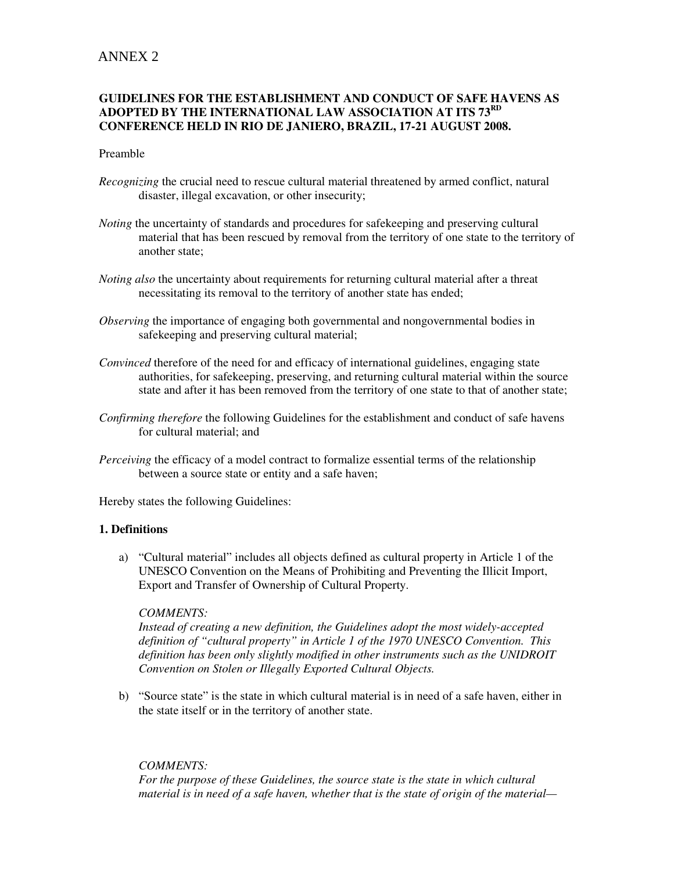# ANNEX 2

# **GUIDELINES FOR THE ESTABLISHMENT AND CONDUCT OF SAFE HAVENS AS ADOPTED BY THE INTERNATIONAL LAW ASSOCIATION AT ITS 73RD CONFERENCE HELD IN RIO DE JANIERO, BRAZIL, 17-21 AUGUST 2008.**

#### Preamble

- *Recognizing* the crucial need to rescue cultural material threatened by armed conflict, natural disaster, illegal excavation, or other insecurity;
- *Noting* the uncertainty of standards and procedures for safekeeping and preserving cultural material that has been rescued by removal from the territory of one state to the territory of another state;
- *Noting also* the uncertainty about requirements for returning cultural material after a threat necessitating its removal to the territory of another state has ended;
- *Observing* the importance of engaging both governmental and nongovernmental bodies in safekeeping and preserving cultural material;
- *Convinced* therefore of the need for and efficacy of international guidelines, engaging state authorities, for safekeeping, preserving, and returning cultural material within the source state and after it has been removed from the territory of one state to that of another state;
- *Confirming therefore* the following Guidelines for the establishment and conduct of safe havens for cultural material; and
- *Perceiving* the efficacy of a model contract to formalize essential terms of the relationship between a source state or entity and a safe haven;

Hereby states the following Guidelines:

# **1. Definitions**

a) "Cultural material" includes all objects defined as cultural property in Article 1 of the UNESCO Convention on the Means of Prohibiting and Preventing the Illicit Import, Export and Transfer of Ownership of Cultural Property.

# *COMMENTS:*

*Instead of creating a new definition, the Guidelines adopt the most widely-accepted definition of "cultural property" in Article 1 of the 1970 UNESCO Convention. This definition has been only slightly modified in other instruments such as the UNIDROIT Convention on Stolen or Illegally Exported Cultural Objects.* 

b) "Source state" is the state in which cultural material is in need of a safe haven, either in the state itself or in the territory of another state.

# *COMMENTS:*

*For the purpose of these Guidelines, the source state is the state in which cultural material is in need of a safe haven, whether that is the state of origin of the material—*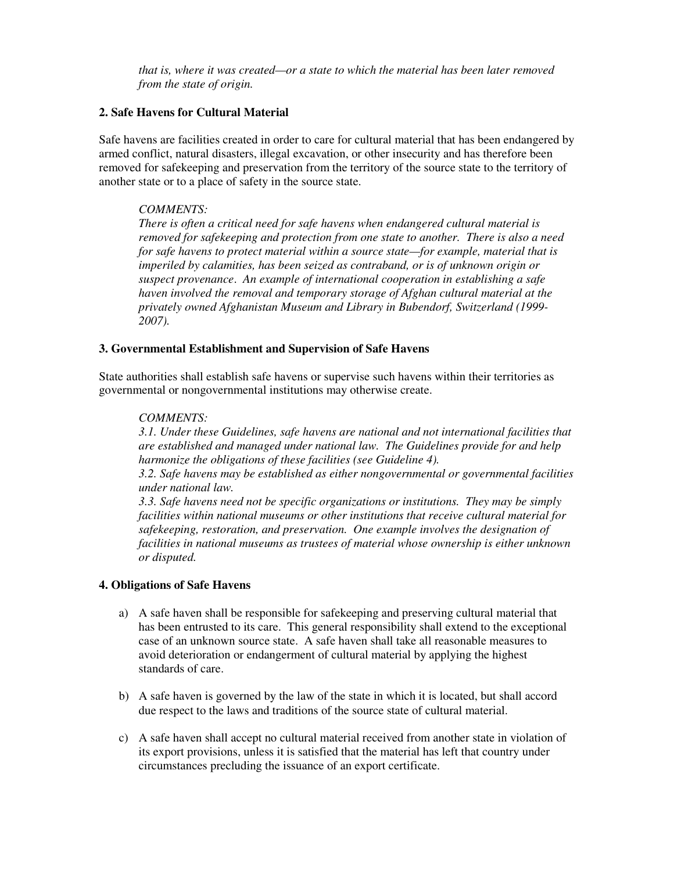*that is, where it was created—or a state to which the material has been later removed from the state of origin.* 

# **2. Safe Havens for Cultural Material**

Safe havens are facilities created in order to care for cultural material that has been endangered by armed conflict, natural disasters, illegal excavation, or other insecurity and has therefore been removed for safekeeping and preservation from the territory of the source state to the territory of another state or to a place of safety in the source state.

# *COMMENTS:*

*There is often a critical need for safe havens when endangered cultural material is removed for safekeeping and protection from one state to another. There is also a need for safe havens to protect material within a source state—for example, material that is imperiled by calamities, has been seized as contraband, or is of unknown origin or suspect provenance*. *An example of international cooperation in establishing a safe haven involved the removal and temporary storage of Afghan cultural material at the privately owned Afghanistan Museum and Library in Bubendorf, Switzerland (1999- 2007).* 

#### **3. Governmental Establishment and Supervision of Safe Havens**

State authorities shall establish safe havens or supervise such havens within their territories as governmental or nongovernmental institutions may otherwise create.

#### *COMMENTS:*

*3.1. Under these Guidelines, safe havens are national and not international facilities that are established and managed under national law. The Guidelines provide for and help harmonize the obligations of these facilities (see Guideline 4).* 

*3.2. Safe havens may be established as either nongovernmental or governmental facilities under national law.* 

*3.3. Safe havens need not be specific organizations or institutions. They may be simply facilities within national museums or other institutions that receive cultural material for safekeeping, restoration, and preservation. One example involves the designation of facilities in national museums as trustees of material whose ownership is either unknown or disputed.* 

#### **4. Obligations of Safe Havens**

- a) A safe haven shall be responsible for safekeeping and preserving cultural material that has been entrusted to its care. This general responsibility shall extend to the exceptional case of an unknown source state. A safe haven shall take all reasonable measures to avoid deterioration or endangerment of cultural material by applying the highest standards of care.
- b) A safe haven is governed by the law of the state in which it is located, but shall accord due respect to the laws and traditions of the source state of cultural material.
- c) A safe haven shall accept no cultural material received from another state in violation of its export provisions, unless it is satisfied that the material has left that country under circumstances precluding the issuance of an export certificate.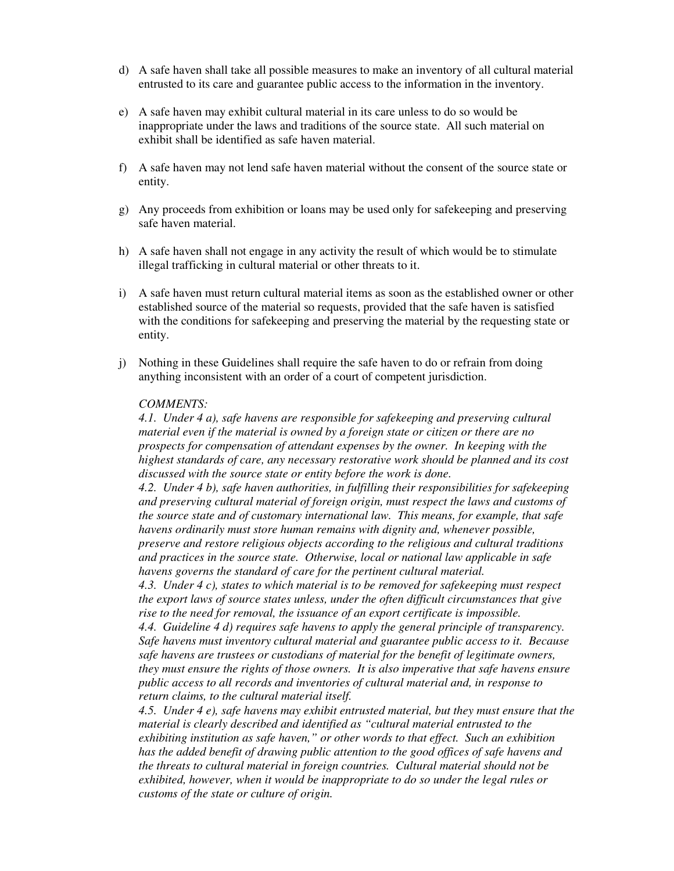- d) A safe haven shall take all possible measures to make an inventory of all cultural material entrusted to its care and guarantee public access to the information in the inventory.
- e) A safe haven may exhibit cultural material in its care unless to do so would be inappropriate under the laws and traditions of the source state. All such material on exhibit shall be identified as safe haven material.
- f) A safe haven may not lend safe haven material without the consent of the source state or entity.
- g) Any proceeds from exhibition or loans may be used only for safekeeping and preserving safe haven material.
- h) A safe haven shall not engage in any activity the result of which would be to stimulate illegal trafficking in cultural material or other threats to it.
- i) A safe haven must return cultural material items as soon as the established owner or other established source of the material so requests, provided that the safe haven is satisfied with the conditions for safekeeping and preserving the material by the requesting state or entity.
- j) Nothing in these Guidelines shall require the safe haven to do or refrain from doing anything inconsistent with an order of a court of competent jurisdiction.

#### *COMMENTS:*

*4.1. Under 4 a), safe havens are responsible for safekeeping and preserving cultural material even if the material is owned by a foreign state or citizen or there are no prospects for compensation of attendant expenses by the owner. In keeping with the highest standards of care, any necessary restorative work should be planned and its cost discussed with the source state or entity before the work is done.* 

*4.2. Under 4 b), safe haven authorities, in fulfilling their responsibilities for safekeeping and preserving cultural material of foreign origin, must respect the laws and customs of the source state and of customary international law. This means, for example, that safe havens ordinarily must store human remains with dignity and, whenever possible, preserve and restore religious objects according to the religious and cultural traditions and practices in the source state. Otherwise, local or national law applicable in safe havens governs the standard of care for the pertinent cultural material.* 

*4.3. Under 4 c), states to which material is to be removed for safekeeping must respect the export laws of source states unless, under the often difficult circumstances that give rise to the need for removal, the issuance of an export certificate is impossible.* 

*4.4. Guideline 4 d) requires safe havens to apply the general principle of transparency. Safe havens must inventory cultural material and guarantee public access to it. Because safe havens are trustees or custodians of material for the benefit of legitimate owners, they must ensure the rights of those owners. It is also imperative that safe havens ensure public access to all records and inventories of cultural material and, in response to return claims, to the cultural material itself.* 

*4.5. Under 4 e), safe havens may exhibit entrusted material, but they must ensure that the material is clearly described and identified as "cultural material entrusted to the exhibiting institution as safe haven," or other words to that effect. Such an exhibition has the added benefit of drawing public attention to the good offices of safe havens and the threats to cultural material in foreign countries. Cultural material should not be exhibited, however, when it would be inappropriate to do so under the legal rules or customs of the state or culture of origin.*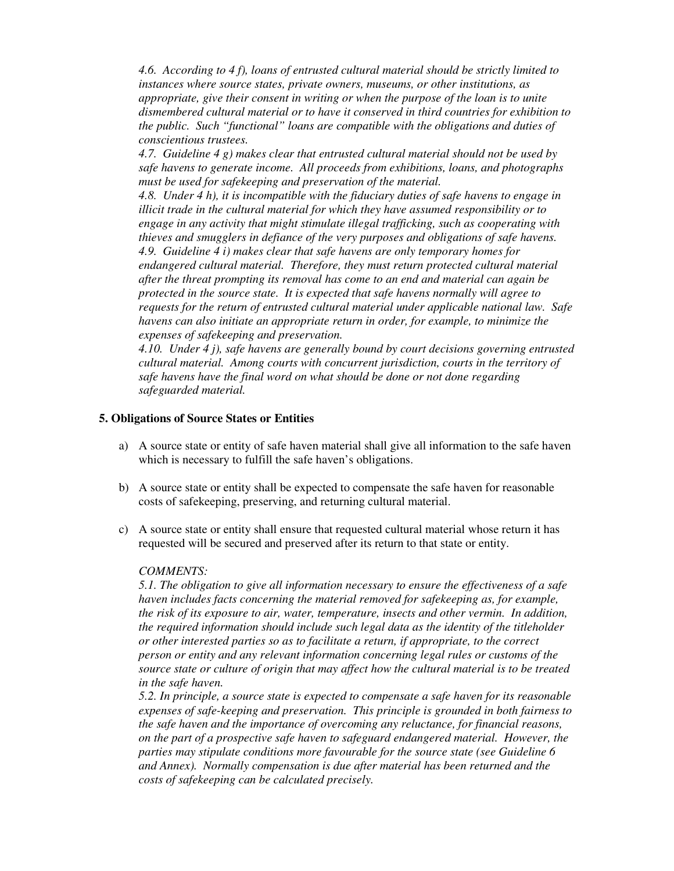*4.6. According to 4 f), loans of entrusted cultural material should be strictly limited to instances where source states, private owners, museums, or other institutions, as appropriate, give their consent in writing or when the purpose of the loan is to unite dismembered cultural material or to have it conserved in third countries for exhibition to the public. Such "functional" loans are compatible with the obligations and duties of conscientious trustees.* 

*4.7. Guideline 4 g) makes clear that entrusted cultural material should not be used by safe havens to generate income. All proceeds from exhibitions, loans, and photographs must be used for safekeeping and preservation of the material.* 

*4.8. Under 4 h), it is incompatible with the fiduciary duties of safe havens to engage in illicit trade in the cultural material for which they have assumed responsibility or to engage in any activity that might stimulate illegal trafficking, such as cooperating with thieves and smugglers in defiance of the very purposes and obligations of safe havens. 4.9. Guideline 4 i) makes clear that safe havens are only temporary homes for endangered cultural material. Therefore, they must return protected cultural material after the threat prompting its removal has come to an end and material can again be protected in the source state. It is expected that safe havens normally will agree to requests for the return of entrusted cultural material under applicable national law. Safe havens can also initiate an appropriate return in order, for example, to minimize the expenses of safekeeping and preservation.* 

*4.10. Under 4 j), safe havens are generally bound by court decisions governing entrusted cultural material. Among courts with concurrent jurisdiction, courts in the territory of safe havens have the final word on what should be done or not done regarding safeguarded material.* 

#### **5. Obligations of Source States or Entities**

- a) A source state or entity of safe haven material shall give all information to the safe haven which is necessary to fulfill the safe haven's obligations.
- b) A source state or entity shall be expected to compensate the safe haven for reasonable costs of safekeeping, preserving, and returning cultural material.
- c) A source state or entity shall ensure that requested cultural material whose return it has requested will be secured and preserved after its return to that state or entity.

#### *COMMENTS:*

*5.1. The obligation to give all information necessary to ensure the effectiveness of a safe haven includes facts concerning the material removed for safekeeping as, for example, the risk of its exposure to air, water, temperature, insects and other vermin. In addition, the required information should include such legal data as the identity of the titleholder or other interested parties so as to facilitate a return, if appropriate, to the correct person or entity and any relevant information concerning legal rules or customs of the source state or culture of origin that may affect how the cultural material is to be treated in the safe haven.* 

*5.2. In principle, a source state is expected to compensate a safe haven for its reasonable expenses of safe-keeping and preservation. This principle is grounded in both fairness to the safe haven and the importance of overcoming any reluctance, for financial reasons, on the part of a prospective safe haven to safeguard endangered material. However, the parties may stipulate conditions more favourable for the source state (see Guideline 6 and Annex). Normally compensation is due after material has been returned and the costs of safekeeping can be calculated precisely.*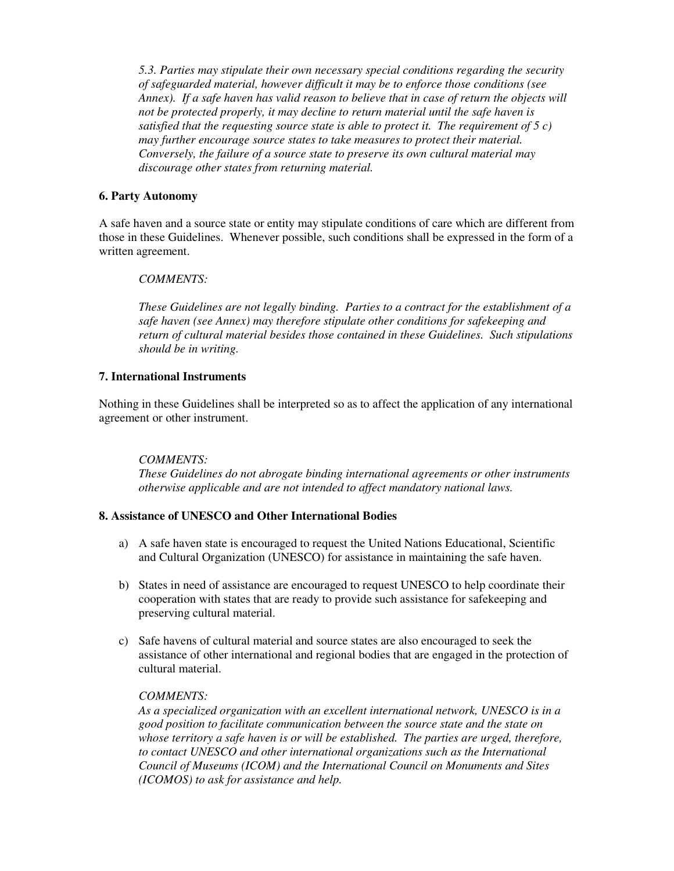*5.3. Parties may stipulate their own necessary special conditions regarding the security of safeguarded material, however difficult it may be to enforce those conditions (see Annex). If a safe haven has valid reason to believe that in case of return the objects will not be protected properly, it may decline to return material until the safe haven is satisfied that the requesting source state is able to protect it. The requirement of 5 c) may further encourage source states to take measures to protect their material. Conversely, the failure of a source state to preserve its own cultural material may discourage other states from returning material.* 

#### **6. Party Autonomy**

A safe haven and a source state or entity may stipulate conditions of care which are different from those in these Guidelines. Whenever possible, such conditions shall be expressed in the form of a written agreement.

#### *COMMENTS:*

*These Guidelines are not legally binding. Parties to a contract for the establishment of a safe haven (see Annex) may therefore stipulate other conditions for safekeeping and return of cultural material besides those contained in these Guidelines. Such stipulations should be in writing.* 

#### **7. International Instruments**

Nothing in these Guidelines shall be interpreted so as to affect the application of any international agreement or other instrument.

#### *COMMENTS:*

*These Guidelines do not abrogate binding international agreements or other instruments otherwise applicable and are not intended to affect mandatory national laws.* 

#### **8. Assistance of UNESCO and Other International Bodies**

- a) A safe haven state is encouraged to request the United Nations Educational, Scientific and Cultural Organization (UNESCO) for assistance in maintaining the safe haven.
- b) States in need of assistance are encouraged to request UNESCO to help coordinate their cooperation with states that are ready to provide such assistance for safekeeping and preserving cultural material.
- c) Safe havens of cultural material and source states are also encouraged to seek the assistance of other international and regional bodies that are engaged in the protection of cultural material.

#### *COMMENTS:*

*As a specialized organization with an excellent international network, UNESCO is in a good position to facilitate communication between the source state and the state on whose territory a safe haven is or will be established. The parties are urged, therefore, to contact UNESCO and other international organizations such as the International Council of Museums (ICOM) and the International Council on Monuments and Sites (ICOMOS) to ask for assistance and help.*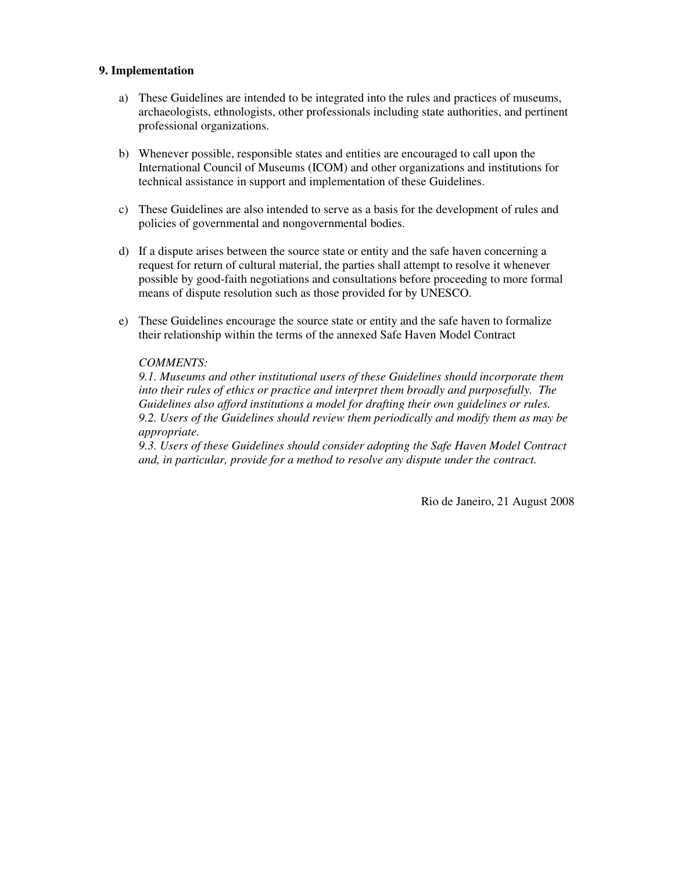#### **9. Implementation**

- a) These Guidelines are intended to be integrated into the rules and practices of museums, archaeologists, ethnologists, other professionals including state authorities, and pertinent professional organizations.
- b) Whenever possible, responsible states and entities are encouraged to call upon the International Council of Museums (ICOM) and other organizations and institutions for technical assistance in support and implementation of these Guidelines.
- c) These Guidelines are also intended to serve as a basis for the development of rules and policies of governmental and nongovernmental bodies.
- d) If a dispute arises between the source state or entity and the safe haven concerning a request for return of cultural material, the parties shall attempt to resolve it whenever possible by good-faith negotiations and consultations before proceeding to more formal means of dispute resolution such as those provided for by UNESCO.
- e) These Guidelines encourage the source state or entity and the safe haven to formalize their relationship within the terms of the annexed Safe Haven Model Contract

#### *COMMENTS:*

*9.1. Museums and other institutional users of these Guidelines should incorporate them into their rules of ethics or practice and interpret them broadly and purposefully. The Guidelines also afford institutions a model for drafting their own guidelines or rules. 9.2. Users of the Guidelines should review them periodically and modify them as may be appropriate.* 

*9.3. Users of these Guidelines should consider adopting the Safe Haven Model Contract and, in particular, provide for a method to resolve any dispute under the contract.* 

Rio de Janeiro, 21 August 2008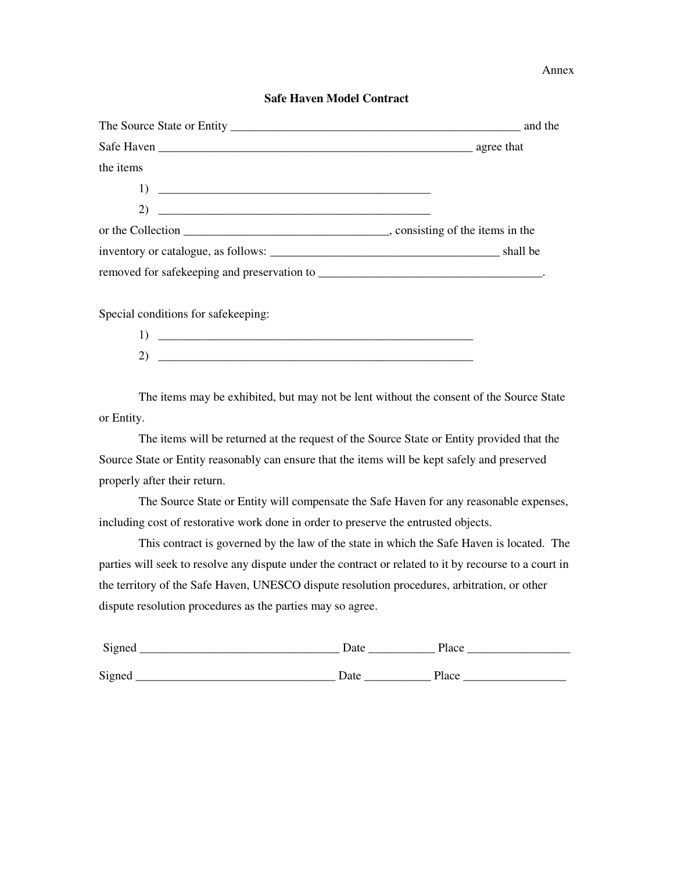Annex

# **Safe Haven Model Contract**

| the items                   |  |
|-----------------------------|--|
|                             |  |
| 2) $\overline{\phantom{a}}$ |  |
|                             |  |
|                             |  |
|                             |  |

Special conditions for safekeeping:

| 1<br>1      |  |
|-------------|--|
| $\sim$<br>∠ |  |

 The items may be exhibited, but may not be lent without the consent of the Source State or Entity.

The items will be returned at the request of the Source State or Entity provided that the Source State or Entity reasonably can ensure that the items will be kept safely and preserved properly after their return.

 The Source State or Entity will compensate the Safe Haven for any reasonable expenses, including cost of restorative work done in order to preserve the entrusted objects.

This contract is governed by the law of the state in which the Safe Haven is located. The parties will seek to resolve any dispute under the contract or related to it by recourse to a court in the territory of the Safe Haven, UNESCO dispute resolution procedures, arbitration, or other dispute resolution procedures as the parties may so agree.

| Signed | Date | Place |
|--------|------|-------|
| Signed | Date | Place |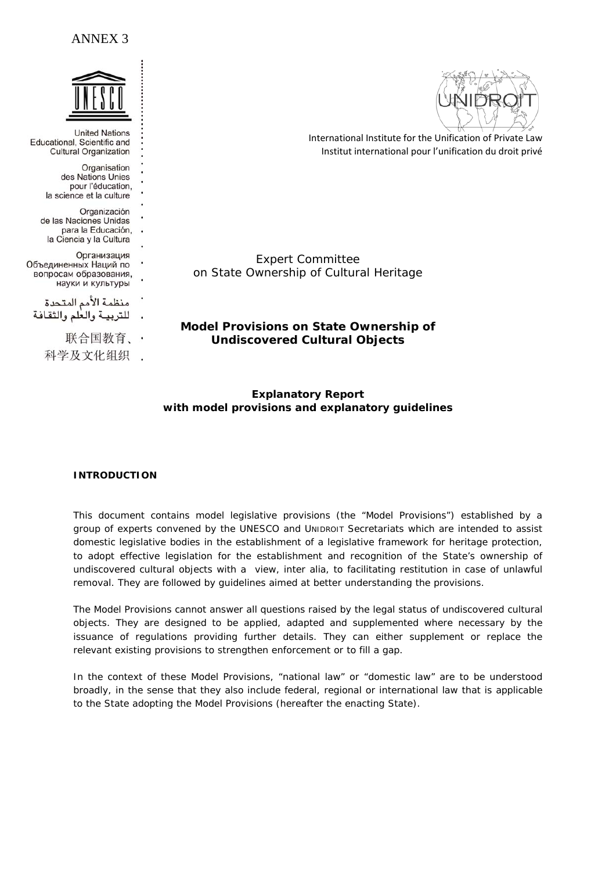

**United Nations** Educational, Scientific and **Cultural Organization** 

> Organisation des Nations Unies pour l'éducation, la science et la culture

Organización de las Naciones Unidas para la Educación, . la Ciencia y la Cultura

Организация Объединенных Наций по вопросам образования, науки и культуры

منظمة الأمم المتحدة للتربية والعلم والثقافة

联合国教育、

科学及文化组织

International Institute for the Unification of Private Law

Institut international pour l'unification du droit privé

Expert Committee on State Ownership of Cultural Heritage

**Model Provisions on State Ownership of Undiscovered Cultural Objects** 

# **Explanatory Report with model provisions and explanatory guidelines**

# **INTRODUCTION**

This document contains model legislative provisions (the "Model Provisions") established by a group of experts convened by the UNESCO and UNIDROIT Secretariats which are intended to assist domestic legislative bodies in the establishment of a legislative framework for heritage protection, to adopt effective legislation for the establishment and recognition of the State's ownership of undiscovered cultural objects with a view, inter alia, to facilitating restitution in case of unlawful removal. They are followed by guidelines aimed at better understanding the provisions.

The Model Provisions cannot answer all questions raised by the legal status of undiscovered cultural objects. They are designed to be applied, adapted and supplemented where necessary by the issuance of regulations providing further details. They can either supplement or replace the relevant existing provisions to strengthen enforcement or to fill a gap.

In the context of these Model Provisions, "national law" or "domestic law" are to be understood broadly, in the sense that they also include federal, regional or international law that is applicable to the State adopting the Model Provisions (hereafter the enacting State).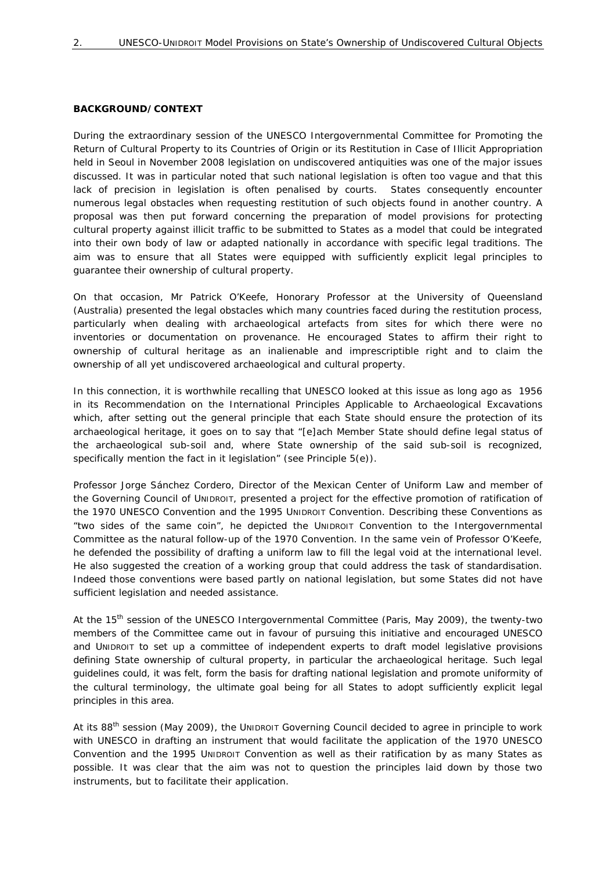#### **BACKGROUND/CONTEXT**

During the extraordinary session of the UNESCO Intergovernmental Committee for Promoting the Return of Cultural Property to its Countries of Origin or its Restitution in Case of Illicit Appropriation held in Seoul in November 2008 legislation on undiscovered antiquities was one of the major issues discussed. It was in particular noted that such national legislation is often too vague and that this lack of precision in legislation is often penalised by courts. States consequently encounter numerous legal obstacles when requesting restitution of such objects found in another country. A proposal was then put forward concerning the preparation of model provisions for protecting cultural property against illicit traffic to be submitted to States as a model that could be integrated into their own body of law or adapted nationally in accordance with specific legal traditions. The aim was to ensure that all States were equipped with sufficiently explicit legal principles to guarantee their ownership of cultural property.

On that occasion, Mr Patrick O'Keefe, Honorary Professor at the University of Queensland (Australia) presented the legal obstacles which many countries faced during the restitution process, particularly when dealing with archaeological artefacts from sites for which there were no inventories or documentation on provenance. He encouraged States to affirm their right to ownership of cultural heritage as an inalienable and imprescriptible right and to claim the ownership of all yet undiscovered archaeological and cultural property.

In this connection, it is worthwhile recalling that UNESCO looked at this issue as long ago as 1956 *in its Recommendation on the International Principles Applicable to Archaeological Excavations* which, after setting out the general principle that each State should ensure the protection of its archaeological heritage, it goes on to say that "[e]ach Member State should define legal status of the archaeological sub-soil and, where State ownership of the said sub-soil is recognized, specifically mention the fact in it legislation" (see Principle 5(e)).

Professor Jorge Sánchez Cordero, Director of the Mexican Center of Uniform Law and member of the Governing Council of UNIDROIT, presented a project for the effective promotion of ratification of the 1970 UNESCO Convention and the 1995 UNIDROIT Convention. Describing these Conventions as "two sides of the same coin", he depicted the UNIDROIT Convention to the Intergovernmental Committee as the natural follow-up of the 1970 Convention. In the same vein of Professor O'Keefe, he defended the possibility of drafting a uniform law to fill the legal void at the international level. He also suggested the creation of a working group that could address the task of standardisation. Indeed those conventions were based partly on national legislation, but some States did not have sufficient legislation and needed assistance.

At the 15<sup>th</sup> session of the UNESCO Intergovernmental Committee (Paris, May 2009), the twenty-two members of the Committee came out in favour of pursuing this initiative and encouraged UNESCO and UNIDROIT to set up a committee of independent experts to draft model legislative provisions defining State ownership of cultural property, in particular the archaeological heritage. Such legal guidelines could, it was felt, form the basis for drafting national legislation and promote uniformity of the cultural terminology, the ultimate goal being for all States to adopt sufficiently explicit legal principles in this area.

At its 88<sup>th</sup> session (May 2009), the UNIDROIT Governing Council decided to agree in principle to work with UNESCO in drafting an instrument that would facilitate the application of the 1970 UNESCO Convention and the 1995 UNIDROIT Convention as well as their ratification by as many States as possible. It was clear that the aim was not to question the principles laid down by those two instruments, but to facilitate their application.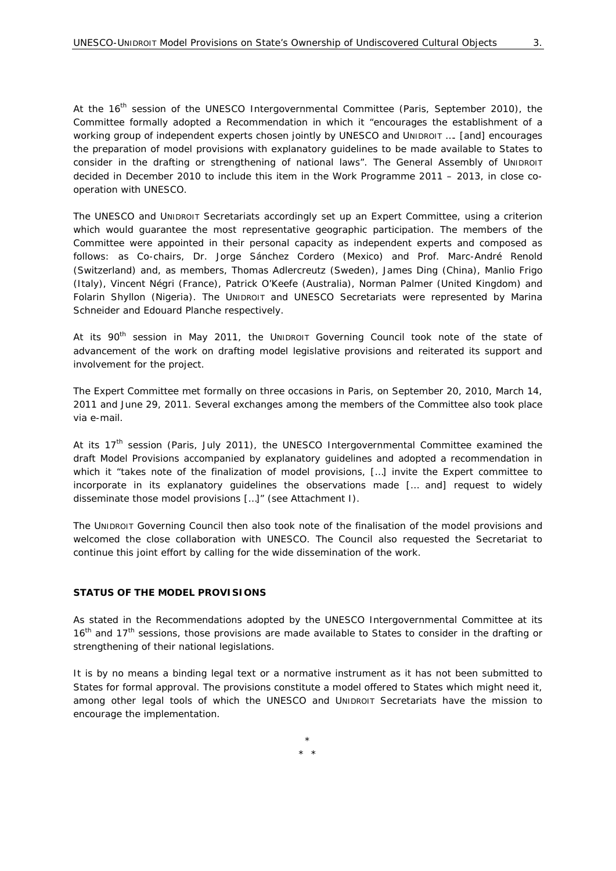At the 16<sup>th</sup> session of the UNESCO Intergovernmental Committee (Paris, September 2010), the Committee formally adopted a Recommendation in which it "encourages the establishment of a working group of independent experts chosen jointly by UNESCO and UNIDROIT .... [and] encourages the preparation of model provisions with explanatory guidelines to be made available to States to consider in the drafting or strengthening of national laws". The General Assembly of UNIDROIT decided in December 2010 to include this item in the Work Programme 2011 – 2013, in close cooperation with UNESCO.

The UNESCO and UNIDROIT Secretariats accordingly set up an Expert Committee, using a criterion which would guarantee the most representative geographic participation. The members of the Committee were appointed in their personal capacity as independent experts and composed as follows: as Co-chairs, Dr. Jorge Sánchez Cordero (Mexico) and Prof. Marc-André Renold (Switzerland) and, as members, Thomas Adlercreutz (Sweden), James Ding (China), Manlio Frigo (Italy), Vincent Négri (France), Patrick O'Keefe (Australia), Norman Palmer (United Kingdom) and Folarin Shyllon (Nigeria). The UNIDROIT and UNESCO Secretariats were represented by Marina Schneider and Edouard Planche respectively.

At its  $90<sup>th</sup>$  session in May 2011, the UNIDROIT Governing Council took note of the state of advancement of the work on drafting model legislative provisions and reiterated its support and involvement for the project.

The Expert Committee met formally on three occasions in Paris, on September 20, 2010, March 14, 2011 and June 29, 2011. Several exchanges among the members of the Committee also took place via e-mail.

At its  $17<sup>th</sup>$  session (Paris, July 2011), the UNESCO Intergovernmental Committee examined the draft Model Provisions accompanied by explanatory guidelines and adopted a recommendation in which it "takes note of the finalization of model provisions, [...] invite the Expert committee to incorporate in its explanatory guidelines the observations made [… and] request to widely disseminate those model provisions […]" (see Attachment I).

The UNIDROIT Governing Council then also took note of the finalisation of the model provisions and welcomed the close collaboration with UNESCO. The Council also requested the Secretariat to continue this joint effort by calling for the wide dissemination of the work.

#### **STATUS OF THE MODEL PROVISIONS**

As stated in the Recommendations adopted by the UNESCO Intergovernmental Committee at its 16<sup>th</sup> and 17<sup>th</sup> sessions, those provisions are made available to States to consider in the drafting or strengthening of their national legislations.

It is by no means a binding legal text or a normative instrument as it has not been submitted to States for formal approval. The provisions constitute a model offered to States which might need it, among other legal tools of which the UNESCO and UNIDROIT Secretariats have the mission to encourage the implementation.

> \* \* \*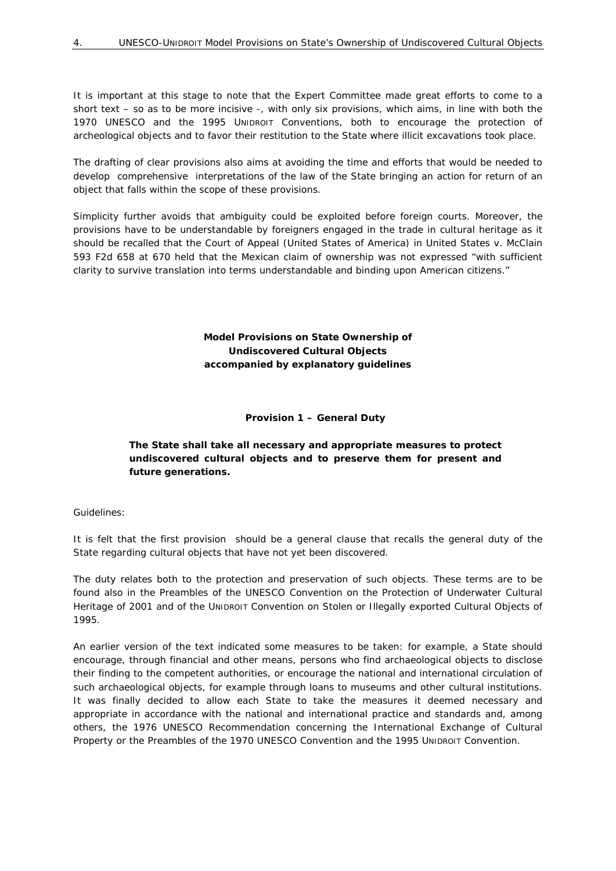It is important at this stage to note that the Expert Committee made great efforts to come to a short text – so as to be more incisive -, with only six provisions, which aims, in line with both the 1970 UNESCO and the 1995 UNIDROIT Conventions, both to encourage the protection of archeological objects and to favor their restitution to the State where illicit excavations took place.

The drafting of clear provisions also aims at avoiding the time and efforts that would be needed to develop comprehensive interpretations of the law of the State bringing an action for return of an object that falls within the scope of these provisions.

Simplicity further avoids that ambiguity could be exploited before foreign courts. Moreover, the provisions have to be understandable by foreigners engaged in the trade in cultural heritage as it should be recalled that the Court of Appeal (United States of America) in United States v. McClain 593 F2d 658 at 670 held that the Mexican claim of ownership was not expressed "with sufficient clarity to survive translation into terms understandable and binding upon American citizens."

> **Model Provisions on State Ownership of Undiscovered Cultural Objects accompanied by explanatory guidelines**

#### **Provision 1 – General Duty**

# **The State shall take all necessary and appropriate measures to protect undiscovered cultural objects and to preserve them for present and future generations.**

#### *Guidelines:*

It is felt that the first provision should be a general clause that recalls the general duty of the State regarding cultural objects that have not yet been discovered.

The duty relates both to the *protection* and *preservation* of such objects. These terms are to be found also in the Preambles of the UNESCO Convention on the Protection of Underwater Cultural Heritage of 2001 and of the UNIDROIT Convention on Stolen or Illegally exported Cultural Objects of 1995.

An earlier version of the text indicated some measures to be taken: for example, a State should encourage, through financial and other means, persons who find archaeological objects to disclose their finding to the competent authorities, or encourage the national and international circulation of such archaeological objects, for example through loans to museums and other cultural institutions. It was finally decided to allow each State to take the measures it deemed necessary and appropriate in accordance with the national and international practice and standards and, among others, the 1976 UNESCO Recommendation concerning the International Exchange of Cultural Property or the Preambles of the 1970 UNESCO Convention and the 1995 UNIDROIT Convention.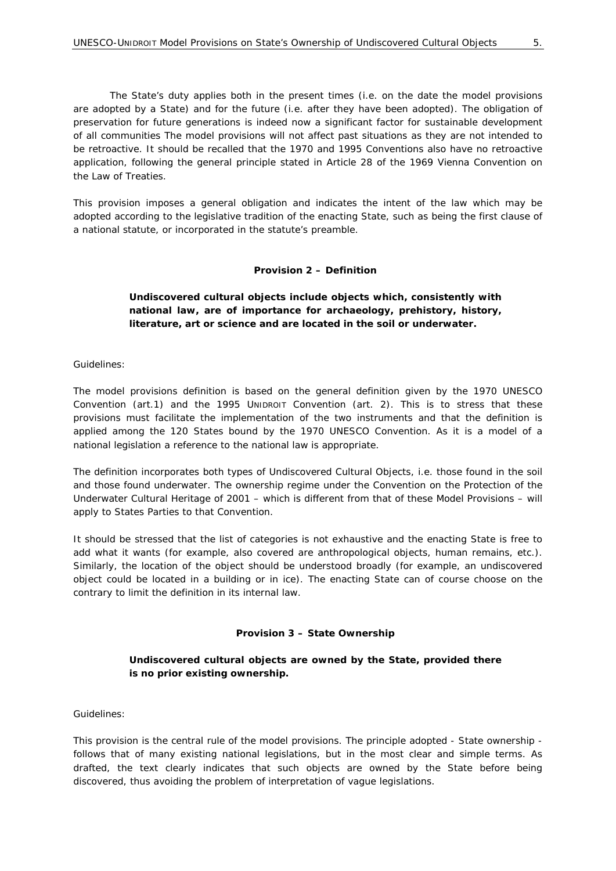The State's duty applies both in the present times (i.e. on the date the model provisions are adopted by a State) and for the future (i.e. after they have been adopted). The obligation of preservation for future generations is indeed now a significant factor for sustainable development of all communities The model provisions will not affect past situations as they are not intended to be retroactive. It should be recalled that the 1970 and 1995 Conventions also have no retroactive application, following the general principle stated in Article 28 of the 1969 Vienna Convention on the Law of Treaties.

This provision imposes a general obligation and indicates the intent of the law which may be adopted according to the legislative tradition of the enacting State, such as being the first clause of a national statute, or incorporated in the statute's preamble.

#### **Provision 2 – Definition**

# **Undiscovered cultural objects include objects which, consistently with national law, are of importance for archaeology, prehistory, history, literature, art or science and are located in the soil or underwater.**

#### *Guidelines:*

The model provisions definition is based on the general definition given by the 1970 UNESCO Convention (art.1) and the 1995 UNIDROIT Convention (art. 2). This is to stress that these provisions must facilitate the implementation of the two instruments and that the definition is applied among the 120 States bound by the 1970 UNESCO Convention. As it is a model of a national legislation a reference to the national law is appropriate.

The definition incorporates both types of Undiscovered Cultural Objects, i.e. those found in the *soil* and those found *underwater*. The ownership regime under the Convention on the Protection of the Underwater Cultural Heritage of 2001 – which is different from that of these Model Provisions – will apply to States Parties to that Convention.

It should be stressed that the list of categories is not exhaustive and the enacting State is free to add what it wants (for example, also covered are anthropological objects, human remains, etc.). Similarly, the location of the object should be understood broadly (for example, an undiscovered object could be located in a building or in ice). The enacting State can of course choose on the contrary to limit the definition in its internal law.

#### **Provision 3 – State Ownership**

#### **Undiscovered cultural objects are owned by the State, provided there is no prior existing ownership.**

#### *Guidelines:*

This provision is the central rule of the model provisions. The principle adopted - State ownership follows that of many existing national legislations, but in the most clear and simple terms. As drafted, the text clearly indicates that such objects are owned by the State *before* being discovered, thus avoiding the problem of interpretation of vague legislations.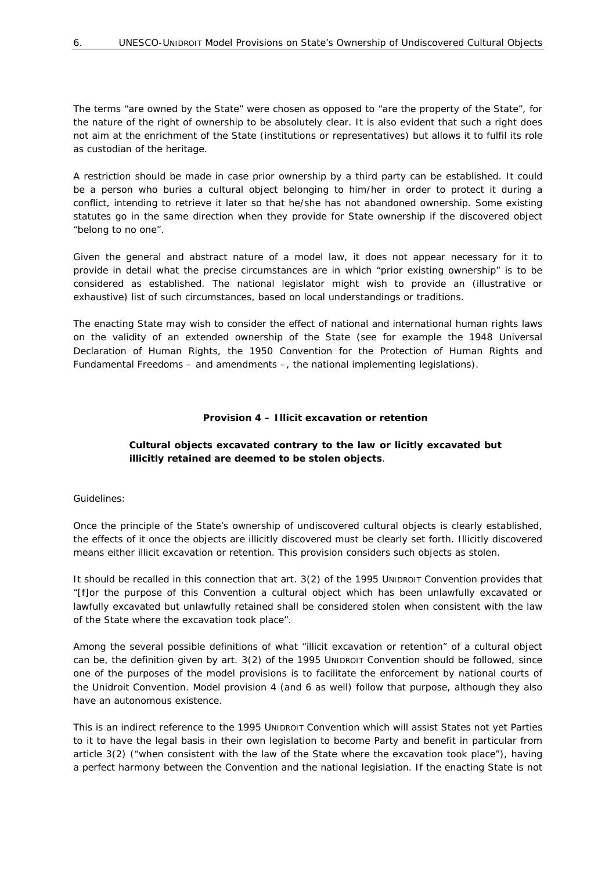The terms "*are owned by* the State" were chosen as opposed to "*are the property of* the State", for the nature of the right of ownership to be absolutely clear. It is also evident that such a right does not aim at the enrichment of the State (institutions or representatives) but allows it to fulfil its role as custodian of the heritage.

A restriction should be made in case prior ownership by a third party can be established. It could be a person who buries a cultural object belonging to him/her in order to protect it during a conflict, intending to retrieve it later so that he/she has not abandoned ownership. Some existing statutes go in the same direction when they provide for State ownership if the discovered object "belong to no one".

Given the general and abstract nature of a model law, it does not appear necessary for it to provide in detail what the precise circumstances are in which "prior existing ownership" is to be considered as established. The national legislator might wish to provide an (illustrative or exhaustive) list of such circumstances, based on local understandings or traditions.

The enacting State may wish to consider the effect of national and international human rights laws on the validity of an extended ownership of the State (see for example the 1948 Universal Declaration of Human Rights, the 1950 Convention for the Protection of Human Rights and Fundamental Freedoms – and amendments –, the national implementing legislations).

#### **Provision 4 – Illicit excavation or retention**

# **Cultural objects excavated contrary to the law or licitly excavated but illicitly retained are deemed to be stolen objects**.

#### *Guidelines:*

Once the principle of the State's ownership of undiscovered cultural objects is clearly established, the effects of it once the objects are illicitly discovered must be clearly set forth. Illicitly discovered means either illicit excavation or retention. This provision considers such objects as stolen.

It should be recalled in this connection that art. 3(2) of the 1995 UNIDROIT Convention provides that "[f]or the purpose of this Convention a cultural object which has been unlawfully excavated or lawfully excavated but unlawfully retained shall be considered stolen when consistent with the law of the State where the excavation took place".

Among the several possible definitions of what "illicit excavation or retention" of a cultural object can be, the definition given by art. 3(2) of the 1995 UNIDROIT Convention should be followed, since one of the purposes of the model provisions is to facilitate the enforcement by national courts of the Unidroit Convention. Model provision 4 (and 6 as well) follow that purpose, although they also have an autonomous existence.

This is an indirect reference to the 1995 UNIDROIT Convention which will assist States not yet Parties to it to have the legal basis in their own legislation to become Party and benefit in particular from article 3(2) ("when consistent with the law of the State where the excavation took place"), having a perfect harmony between the Convention and the national legislation. If the enacting State is not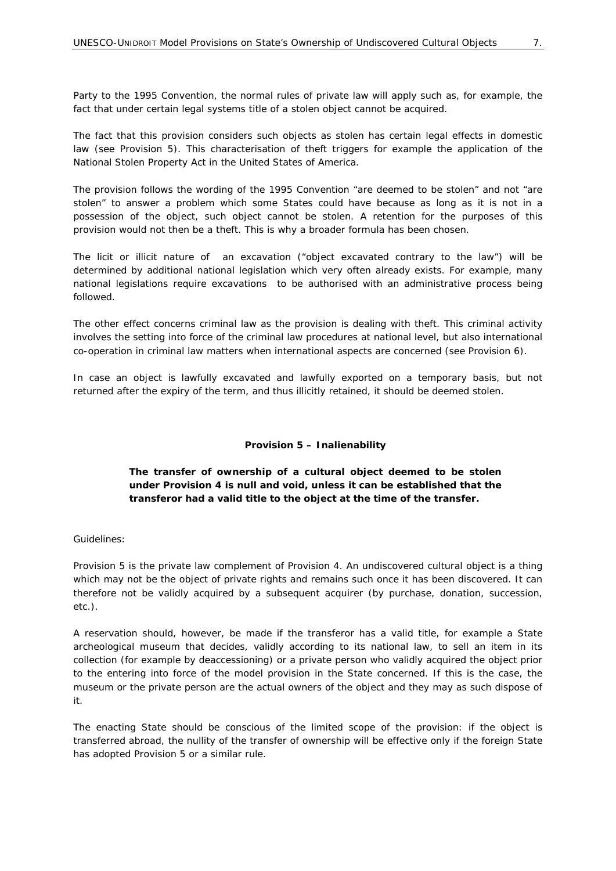Party to the 1995 Convention, the normal rules of private law will apply such as, for example, the fact that under certain legal systems title of a stolen object cannot be acquired.

The fact that this provision considers such objects as stolen has certain legal effects in domestic law (see Provision 5). This characterisation of theft triggers for example the application of the *National Stolen Property Act* in the United States of America.

The provision follows the wording of the 1995 Convention "are deemed to be stolen" and not "are stolen" to answer a problem which some States could have because as long as it is not in a possession of the object, such object cannot be stolen. A retention for the purposes of this provision would not then be a theft. This is why a broader formula has been chosen.

The licit or illicit nature of an excavation ("object excavated contrary to the law") will be determined by additional national legislation which very often already exists. For example, many national legislations require excavations to be authorised with an administrative process being followed.

The other effect concerns criminal law as the provision is dealing with theft. This criminal activity involves the setting into force of the criminal law procedures at national level, but also international co-operation in criminal law matters when international aspects are concerned (see Provision 6).

In case an object is lawfully excavated and lawfully exported on a temporary basis, but not returned after the expiry of the term, and thus illicitly retained, it should be deemed stolen.

# **Provision 5 – Inalienability**

# **The transfer of ownership of a cultural object deemed to be stolen under Provision 4 is null and void, unless it can be established that the transferor had a valid title to the object at the time of the transfer.**

#### *Guidelines:*

Provision 5 is the private law complement of Provision 4. An undiscovered cultural object is a thing which may not be the object of private rights and remains such once it has been discovered. It can therefore not be validly acquired by a subsequent acquirer (by purchase, donation, succession, etc.).

A reservation should, however, be made if the transferor has a valid title, for example a State archeological museum that decides, validly according to its national law, to sell an item in its collection (for example by *deaccessioning*) or a private person who validly acquired the object prior to the entering into force of the model provision in the State concerned. If this is the case, the museum or the private person are the actual owners of the object and they may as such dispose of it.

The enacting State should be conscious of the limited scope of the provision: if the object is transferred abroad, the nullity of the transfer of ownership will be effective only if the foreign State has adopted Provision 5 or a similar rule.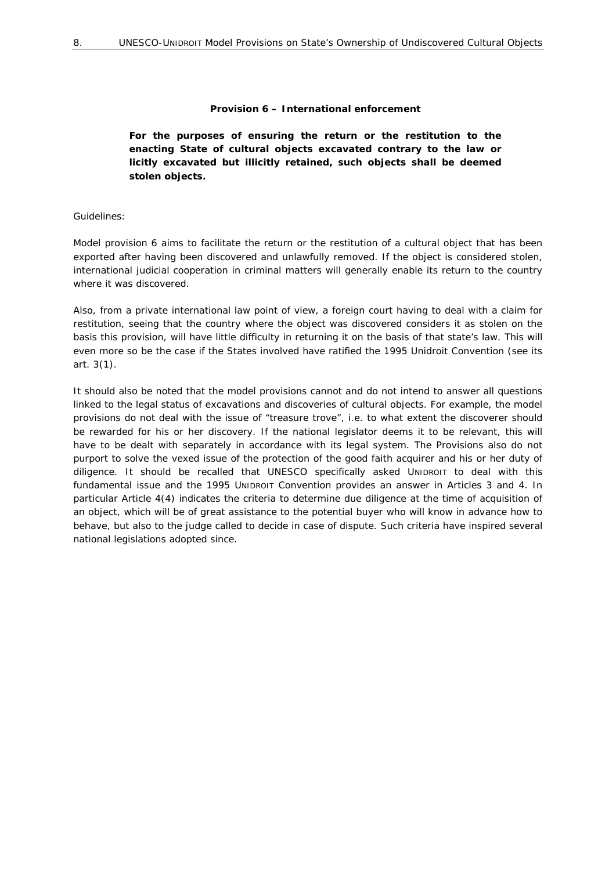#### **Provision 6 – International enforcement**

**For the purposes of ensuring the return or the restitution to the enacting State of cultural objects excavated contrary to the law or licitly excavated but illicitly retained, such objects shall be deemed stolen objects.** 

#### *Guidelines:*

Model provision 6 aims to facilitate the return or the restitution of a cultural object that has been exported after having been discovered and unlawfully removed. If the object is considered stolen, international judicial cooperation in criminal matters will generally enable its return to the country where it was discovered.

Also, from a private international law point of view, a foreign court having to deal with a claim for restitution, seeing that the country where the object was discovered considers it as stolen on the basis this provision, will have little difficulty in returning it on the basis of that state's law. This will even more so be the case if the States involved have ratified the 1995 Unidroit Convention (see its art. 3(1).

It should also be noted that the model provisions cannot and do not intend to answer all questions linked to the legal status of excavations and discoveries of cultural objects. For example, the model provisions do not deal with the issue of "treasure trove", i.e. to what extent the discoverer should be rewarded for his or her discovery. If the national legislator deems it to be relevant, this will have to be dealt with separately in accordance with its legal system. The Provisions also do not purport to solve the vexed issue of the protection of the good faith acquirer and his or her duty of diligence. It should be recalled that UNESCO specifically asked UNIDROIT to deal with this fundamental issue and the 1995 UNIDROIT Convention provides an answer in Articles 3 and 4. In particular Article 4(4) indicates the criteria to determine due diligence at the time of acquisition of an object, which will be of great assistance to the potential buyer who will know in advance how to behave, but also to the judge called to decide in case of dispute. Such criteria have inspired several national legislations adopted since.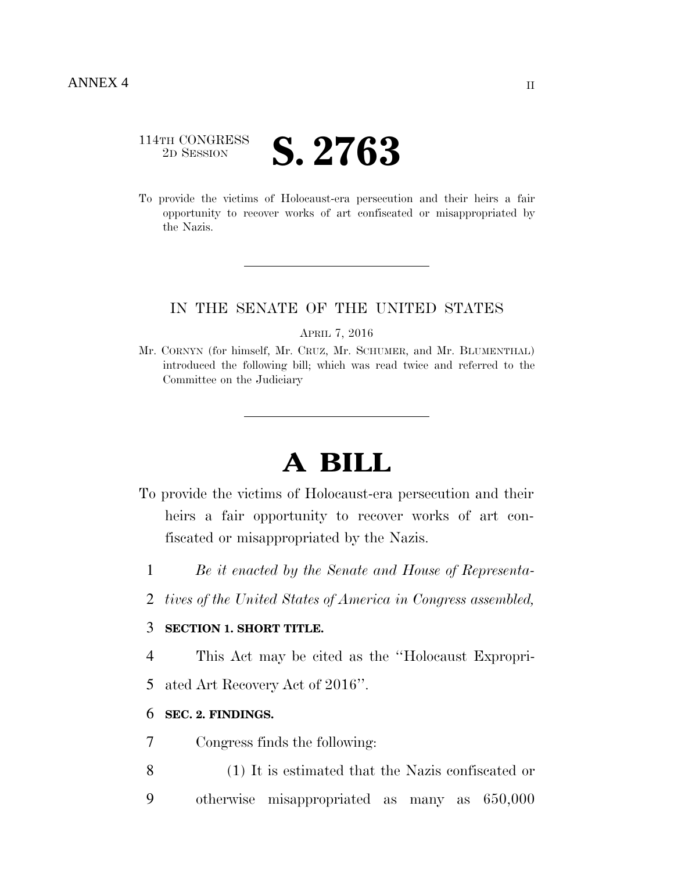# 114TH CONGRESS <sup>2D SESSION</sup> **S. 2763**

To provide the victims of Holocaust-era persecution and their heirs a fair opportunity to recover works of art confiscated or misappropriated by the Nazis.

# IN THE SENATE OF THE UNITED STATES

APRIL 7, 2016

Mr. CORNYN (for himself, Mr. CRUZ, Mr. SCHUMER, and Mr. BLUMENTHAL) introduced the following bill; which was read twice and referred to the Committee on the Judiciary

# **A BILL**

- To provide the victims of Holocaust-era persecution and their heirs a fair opportunity to recover works of art confiscated or misappropriated by the Nazis.
	- 1 *Be it enacted by the Senate and House of Representa-*
	- 2 *tives of the United States of America in Congress assembled,*

# 3 **SECTION 1. SHORT TITLE.**

4 This Act may be cited as the ''Holocaust Expropri-5 ated Art Recovery Act of 2016''.

# 6 **SEC. 2. FINDINGS.**

- 7 Congress finds the following:
- 8 (1) It is estimated that the Nazis confiscated or 9 otherwise misappropriated as many as 650,000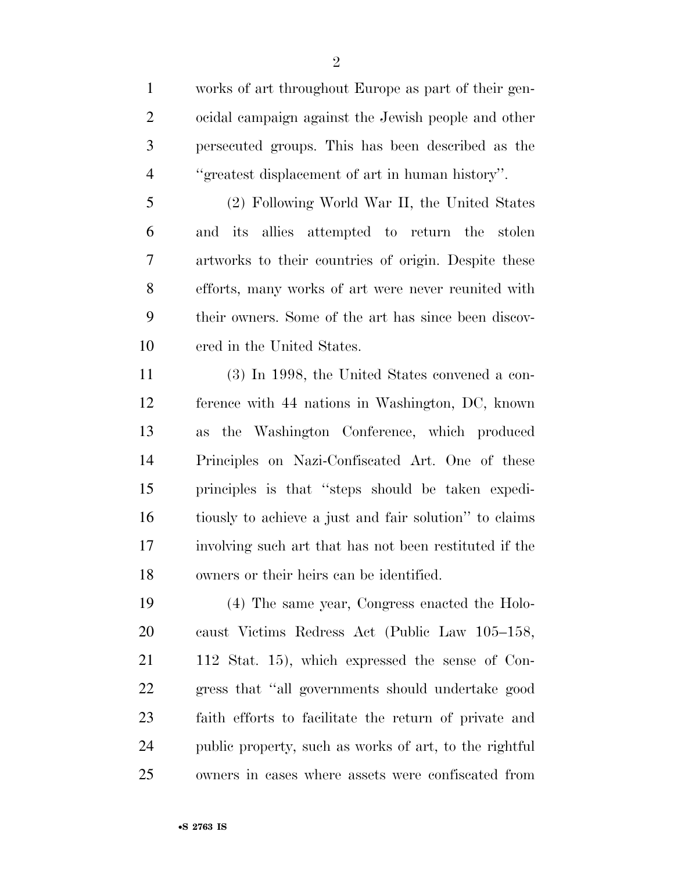works of art throughout Europe as part of their gen- ocidal campaign against the Jewish people and other persecuted groups. This has been described as the ''greatest displacement of art in human history''.

 (2) Following World War II, the United States and its allies attempted to return the stolen artworks to their countries of origin. Despite these efforts, many works of art were never reunited with their owners. Some of the art has since been discov-ered in the United States.

 (3) In 1998, the United States convened a con- ference with 44 nations in Washington, DC, known as the Washington Conference, which produced Principles on Nazi-Confiscated Art. One of these principles is that ''steps should be taken expedi- tiously to achieve a just and fair solution'' to claims involving such art that has not been restituted if the owners or their heirs can be identified.

 (4) The same year, Congress enacted the Holo- caust Victims Redress Act (Public Law 105–158, 112 Stat. 15), which expressed the sense of Con- gress that ''all governments should undertake good faith efforts to facilitate the return of private and public property, such as works of art, to the rightful owners in cases where assets were confiscated from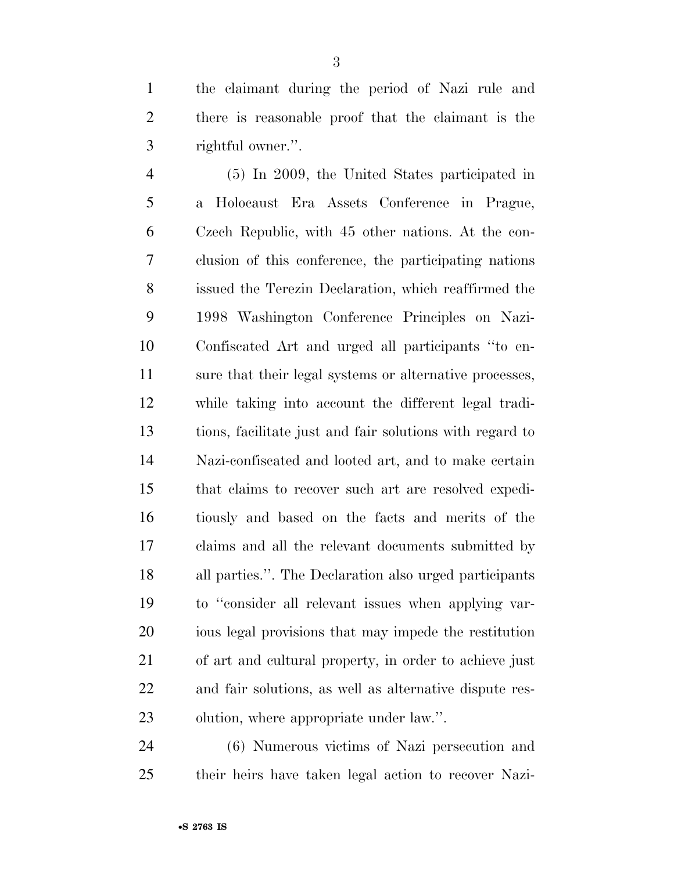the claimant during the period of Nazi rule and there is reasonable proof that the claimant is the rightful owner.''.

 (5) In 2009, the United States participated in a Holocaust Era Assets Conference in Prague, Czech Republic, with 45 other nations. At the con- clusion of this conference, the participating nations issued the Terezin Declaration, which reaffirmed the 1998 Washington Conference Principles on Nazi- Confiscated Art and urged all participants ''to en- sure that their legal systems or alternative processes, while taking into account the different legal tradi- tions, facilitate just and fair solutions with regard to Nazi-confiscated and looted art, and to make certain that claims to recover such art are resolved expedi- tiously and based on the facts and merits of the claims and all the relevant documents submitted by all parties.''. The Declaration also urged participants to ''consider all relevant issues when applying var- ious legal provisions that may impede the restitution of art and cultural property, in order to achieve just and fair solutions, as well as alternative dispute res-olution, where appropriate under law.''.

 (6) Numerous victims of Nazi persecution and their heirs have taken legal action to recover Nazi-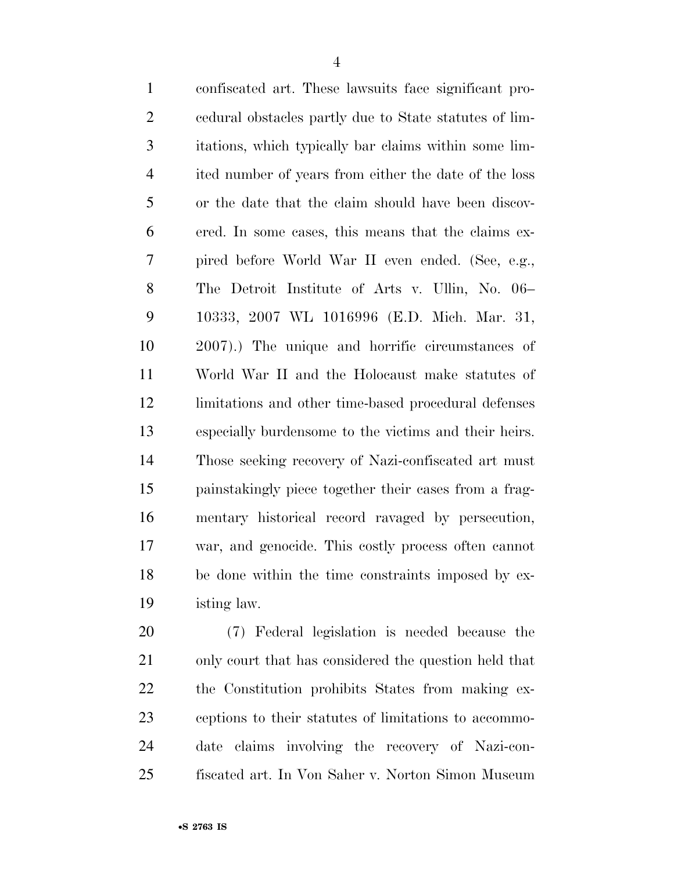| $\mathbf{1}$   | confiscated art. These lawsuits face significant pro-  |
|----------------|--------------------------------------------------------|
| $\overline{2}$ | eedural obstacles partly due to State statutes of lim- |
| 3              | itations, which typically bar claims within some lim-  |
| $\overline{4}$ | ited number of years from either the date of the loss  |
| 5              | or the date that the claim should have been discov-    |
| 6              | ered. In some cases, this means that the claims ex-    |
| 7              | pired before World War II even ended. (See, e.g.,      |
| 8              | The Detroit Institute of Arts v. Ullin, No. 06–        |
| 9              | 10333, 2007 WL 1016996 (E.D. Mich. Mar. 31,            |
| 10             | 2007).) The unique and horrific circumstances of       |
| 11             | World War II and the Holocaust make statutes of        |
| 12             | limitations and other time-based procedural defenses   |
| 13             | especially burdensome to the victims and their heirs.  |
| 14             | Those seeking recovery of Nazi-confiscated art must    |
| 15             | painstakingly piece together their cases from a frag-  |
| 16             | mentary historical record ravaged by persecution,      |
| 17             | war, and genocide. This costly process often cannot    |
| 18             | be done within the time constraints imposed by ex-     |
| 19             | isting law.                                            |
|                |                                                        |

 (7) Federal legislation is needed because the only court that has considered the question held that the Constitution prohibits States from making ex- ceptions to their statutes of limitations to accommo- date claims involving the recovery of Nazi-con-fiscated art. In Von Saher v. Norton Simon Museum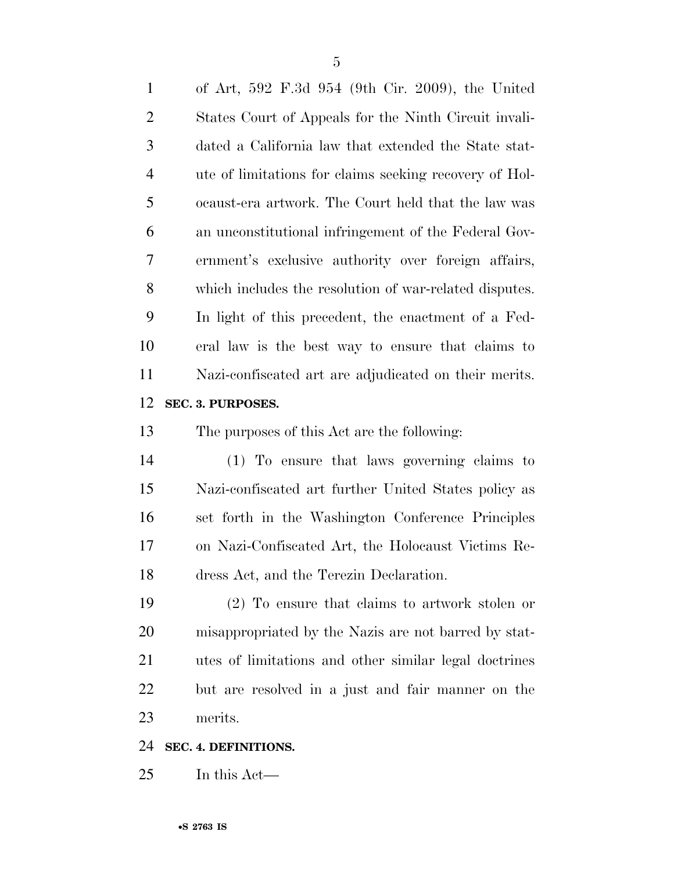of Art, 592 F.3d 954 (9th Cir. 2009), the United States Court of Appeals for the Ninth Circuit invali- dated a California law that extended the State stat- ute of limitations for claims seeking recovery of Hol- ocaust-era artwork. The Court held that the law was an unconstitutional infringement of the Federal Gov- ernment's exclusive authority over foreign affairs, which includes the resolution of war-related disputes. In light of this precedent, the enactment of a Fed- eral law is the best way to ensure that claims to Nazi-confiscated art are adjudicated on their merits. **SEC. 3. PURPOSES.**  The purposes of this Act are the following: (1) To ensure that laws governing claims to Nazi-confiscated art further United States policy as set forth in the Washington Conference Principles on Nazi-Confiscated Art, the Holocaust Victims Re- dress Act, and the Terezin Declaration. (2) To ensure that claims to artwork stolen or misappropriated by the Nazis are not barred by stat-utes of limitations and other similar legal doctrines

but are resolved in a just and fair manner on the

merits.

# **SEC. 4. DEFINITIONS.**

In this Act—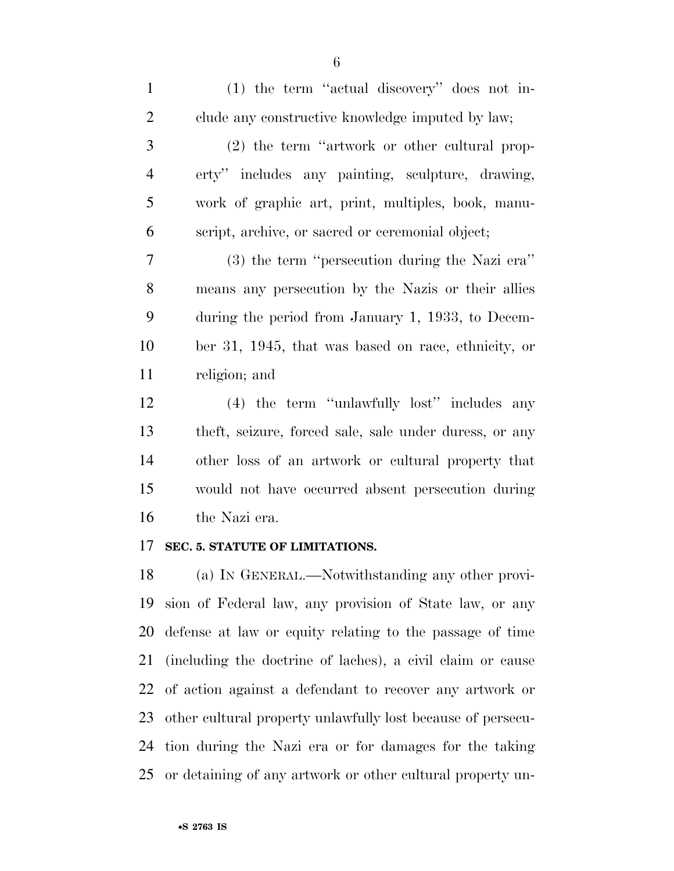(1) the term ''actual discovery'' does not in- clude any constructive knowledge imputed by law; (2) the term ''artwork or other cultural prop- erty'' includes any painting, sculpture, drawing, work of graphic art, print, multiples, book, manu- script, archive, or sacred or ceremonial object; (3) the term ''persecution during the Nazi era'' means any persecution by the Nazis or their allies during the period from January 1, 1933, to Decem- ber 31, 1945, that was based on race, ethnicity, or religion; and (4) the term ''unlawfully lost'' includes any theft, seizure, forced sale, sale under duress, or any other loss of an artwork or cultural property that

 would not have occurred absent persecution during the Nazi era.

## **SEC. 5. STATUTE OF LIMITATIONS.**

 (a) IN GENERAL.—Notwithstanding any other provi- sion of Federal law, any provision of State law, or any defense at law or equity relating to the passage of time (including the doctrine of laches), a civil claim or cause of action against a defendant to recover any artwork or other cultural property unlawfully lost because of persecu- tion during the Nazi era or for damages for the taking or detaining of any artwork or other cultural property un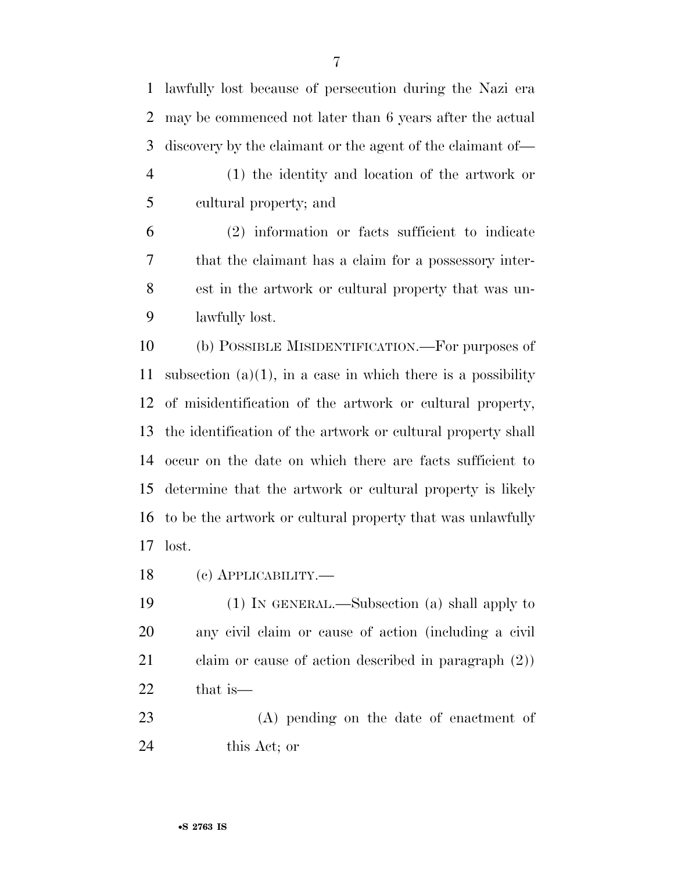lawfully lost because of persecution during the Nazi era may be commenced not later than 6 years after the actual discovery by the claimant or the agent of the claimant of—

 (1) the identity and location of the artwork or cultural property; and

 (2) information or facts sufficient to indicate that the claimant has a claim for a possessory inter- est in the artwork or cultural property that was un-lawfully lost.

 (b) POSSIBLE MISIDENTIFICATION.—For purposes of 11 subsection  $(a)(1)$ , in a case in which there is a possibility of misidentification of the artwork or cultural property, the identification of the artwork or cultural property shall occur on the date on which there are facts sufficient to determine that the artwork or cultural property is likely to be the artwork or cultural property that was unlawfully lost.

(c) APPLICABILITY.—

 (1) IN GENERAL.—Subsection (a) shall apply to any civil claim or cause of action (including a civil claim or cause of action described in paragraph (2)) that is—

 (A) pending on the date of enactment of this Act; or